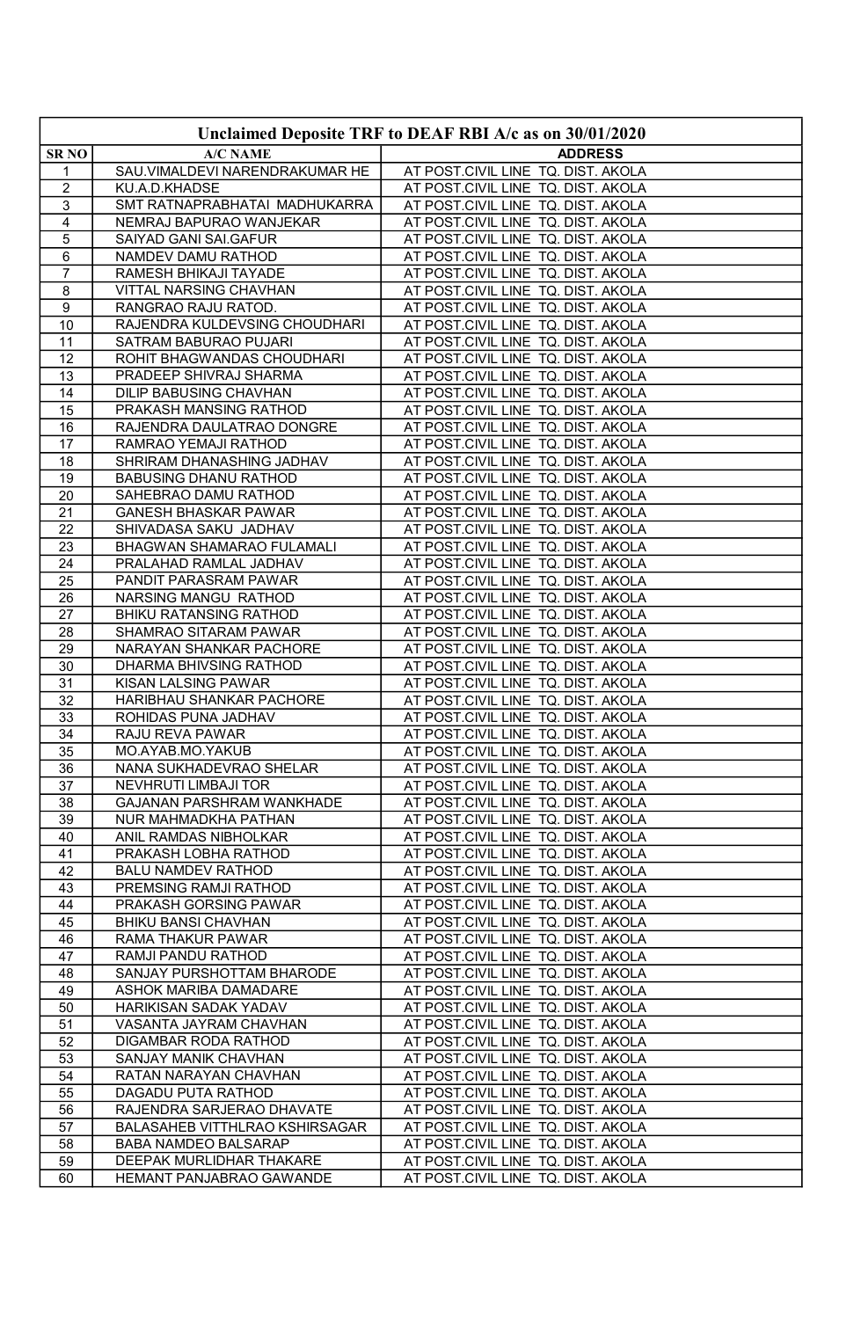| Unclaimed Deposite TRF to DEAF RBI A/c as on 30/01/2020 |                                                    |                                                                          |
|---------------------------------------------------------|----------------------------------------------------|--------------------------------------------------------------------------|
| <b>SRNO</b>                                             | <b>A/C NAME</b>                                    | <b>ADDRESS</b>                                                           |
| 1                                                       | SAU.VIMALDEVI NARENDRAKUMAR HE                     | AT POST.CIVIL LINE TQ. DIST. AKOLA                                       |
| $\overline{2}$                                          | KU.A.D.KHADSE                                      | AT POST.CIVIL LINE TQ. DIST. AKOLA                                       |
| 3                                                       | SMT RATNAPRABHATAI MADHUKARRA                      | AT POST.CIVIL LINE TQ. DIST. AKOLA                                       |
| $\overline{4}$                                          | NEMRAJ BAPURAO WANJEKAR                            | AT POST.CIVIL LINE TQ. DIST. AKOLA                                       |
| $\overline{5}$                                          | SAIYAD GANI SAI.GAFUR                              | AT POST.CIVIL LINE TQ. DIST. AKOLA                                       |
| 6                                                       | NAMDEV DAMU RATHOD                                 | AT POST.CIVIL LINE TQ. DIST. AKOLA                                       |
| $\overline{7}$                                          | RAMESH BHIKAJI TAYADE                              | AT POST.CIVIL LINE TQ. DIST. AKOLA                                       |
| 8                                                       | VITTAL NARSING CHAVHAN                             | AT POST.CIVIL LINE TQ. DIST. AKOLA                                       |
| 9                                                       | RANGRAO RAJU RATOD.                                | AT POST.CIVIL LINE TQ. DIST. AKOLA                                       |
| 10                                                      | RAJENDRA KULDEVSING CHOUDHARI                      | AT POST.CIVIL LINE TQ. DIST. AKOLA                                       |
| 11                                                      | SATRAM BABURAO PUJARI                              | AT POST.CIVIL LINE TQ. DIST. AKOLA                                       |
| 12                                                      | ROHIT BHAGWANDAS CHOUDHARI                         | AT POST.CIVIL LINE TQ. DIST. AKOLA                                       |
| 13                                                      | PRADEEP SHIVRAJ SHARMA                             | AT POST.CIVIL LINE TQ. DIST. AKOLA                                       |
| 14                                                      | <b>DILIP BABUSING CHAVHAN</b>                      | AT POST.CIVIL LINE TQ. DIST. AKOLA                                       |
| 15                                                      | PRAKASH MANSING RATHOD                             | AT POST.CIVIL LINE TQ. DIST. AKOLA                                       |
| 16                                                      | RAJENDRA DAULATRAO DONGRE                          | AT POST.CIVIL LINE TQ. DIST. AKOLA                                       |
| 17                                                      | RAMRAO YEMAJI RATHOD                               | AT POST.CIVIL LINE TQ. DIST. AKOLA                                       |
| 18                                                      | SHRIRAM DHANASHING JADHAV                          | AT POST.CIVIL LINE TQ. DIST. AKOLA                                       |
| 19                                                      | <b>BABUSING DHANU RATHOD</b>                       | AT POST.CIVIL LINE TQ. DIST. AKOLA                                       |
| 20                                                      | SAHEBRAO DAMU RATHOD                               | AT POST.CIVIL LINE TQ. DIST. AKOLA                                       |
| 21                                                      | GANESH BHASKAR PAWAR                               | AT POST.CIVIL LINE TQ. DIST. AKOLA                                       |
| $\overline{22}$<br>23                                   | SHIVADASA SAKU JADHAV<br>BHAGWAN SHAMARAO FULAMALI | AT POST.CIVIL LINE TQ. DIST. AKOLA<br>AT POST.CIVIL LINE TQ. DIST. AKOLA |
| 24                                                      | PRALAHAD RAMLAL JADHAV                             |                                                                          |
| 25                                                      | PANDIT PARASRAM PAWAR                              | AT POST.CIVIL LINE TQ. DIST. AKOLA<br>AT POST.CIVIL LINE TQ. DIST. AKOLA |
| 26                                                      | NARSING MANGU RATHOD                               | AT POST.CIVIL LINE TQ. DIST. AKOLA                                       |
| 27                                                      | <b>BHIKU RATANSING RATHOD</b>                      | AT POST.CIVIL LINE TQ. DIST. AKOLA                                       |
| 28                                                      | SHAMRAO SITARAM PAWAR                              | AT POST.CIVIL LINE TQ. DIST. AKOLA                                       |
| 29                                                      | NARAYAN SHANKAR PACHORE                            | AT POST.CIVIL LINE TQ. DIST. AKOLA                                       |
| 30                                                      | DHARMA BHIVSING RATHOD                             | AT POST.CIVIL LINE TQ. DIST. AKOLA                                       |
| 31                                                      | KISAN LALSING PAWAR                                | AT POST.CIVIL LINE TQ. DIST. AKOLA                                       |
| 32                                                      | HARIBHAU SHANKAR PACHORE                           | AT POST.CIVIL LINE TQ. DIST. AKOLA                                       |
| 33                                                      | ROHIDAS PUNA JADHAV                                | AT POST.CIVIL LINE TQ. DIST. AKOLA                                       |
| 34                                                      | RAJU REVA PAWAR                                    | AT POST.CIVIL LINE TQ. DIST. AKOLA                                       |
| 35                                                      | MO.AYAB.MO.YAKUB                                   | AT POST.CIVIL LINE TQ. DIST. AKOLA                                       |
| 36                                                      | NANA SUKHADEVRAO SHELAR                            | AT POST.CIVIL LINE TQ. DIST. AKOLA                                       |
| 37                                                      | NEVHRUTI LIMBAJI TOR                               | AT POST.CIVIL LINE TQ. DIST. AKOLA                                       |
| 38                                                      | GAJANAN PARSHRAM WANKHADE                          | AT POST.CIVIL LINE TQ. DIST. AKOLA                                       |
| 39                                                      | NUR MAHMADKHA PATHAN                               | AT POST.CIVIL LINE TQ. DIST. AKOLA                                       |
| 40                                                      | ANIL RAMDAS NIBHOLKAR<br>PRAKASH LOBHA RATHOD      | AT POST.CIVIL LINE TQ. DIST. AKOLA                                       |
| 41<br>42                                                | <b>BALU NAMDEV RATHOD</b>                          | AT POST.CIVIL LINE TQ. DIST. AKOLA<br>AT POST.CIVIL LINE TQ. DIST. AKOLA |
| 43                                                      | PREMSING RAMJI RATHOD                              | AT POST.CIVIL LINE TQ. DIST. AKOLA                                       |
| 44                                                      | PRAKASH GORSING PAWAR                              | AT POST.CIVIL LINE TQ. DIST. AKOLA                                       |
| 45                                                      | BHIKU BANSI CHAVHAN                                | AT POST.CIVIL LINE TQ. DIST. AKOLA                                       |
| 46                                                      | RAMA THAKUR PAWAR                                  | AT POST.CIVIL LINE TQ. DIST. AKOLA                                       |
| 47                                                      | RAMJI PANDU RATHOD                                 | AT POST.CIVIL LINE TQ. DIST. AKOLA                                       |
| 48                                                      | SANJAY PURSHOTTAM BHARODE                          | AT POST.CIVIL LINE TQ. DIST. AKOLA                                       |
| 49                                                      | ASHOK MARIBA DAMADARE                              | AT POST.CIVIL LINE TQ. DIST. AKOLA                                       |
| 50                                                      | HARIKISAN SADAK YADAV                              | AT POST.CIVIL LINE TQ. DIST. AKOLA                                       |
| 51                                                      | VASANTA JAYRAM CHAVHAN                             | AT POST.CIVIL LINE TQ. DIST. AKOLA                                       |
| 52                                                      | DIGAMBAR RODA RATHOD                               | AT POST.CIVIL LINE TQ. DIST. AKOLA                                       |
| 53                                                      | SANJAY MANIK CHAVHAN                               | AT POST.CIVIL LINE TQ. DIST. AKOLA                                       |
| 54                                                      | RATAN NARAYAN CHAVHAN                              | AT POST.CIVIL LINE TQ. DIST. AKOLA                                       |
| 55                                                      | DAGADU PUTA RATHOD                                 | AT POST.CIVIL LINE TQ. DIST. AKOLA                                       |
| 56                                                      | RAJENDRA SARJERAO DHAVATE                          | AT POST.CIVIL LINE TQ. DIST. AKOLA                                       |
| 57                                                      | BALASAHEB VITTHLRAO KSHIRSAGAR                     | AT POST.CIVIL LINE TQ. DIST. AKOLA                                       |
| 58<br>59                                                | BABA NAMDEO BALSARAP<br>DEEPAK MURLIDHAR THAKARE   | AT POST.CIVIL LINE TQ. DIST. AKOLA<br>AT POST.CIVIL LINE TQ. DIST. AKOLA |
| 60                                                      | HEMANT PANJABRAO GAWANDE                           | AT POST.CIVIL LINE TQ. DIST. AKOLA                                       |
|                                                         |                                                    |                                                                          |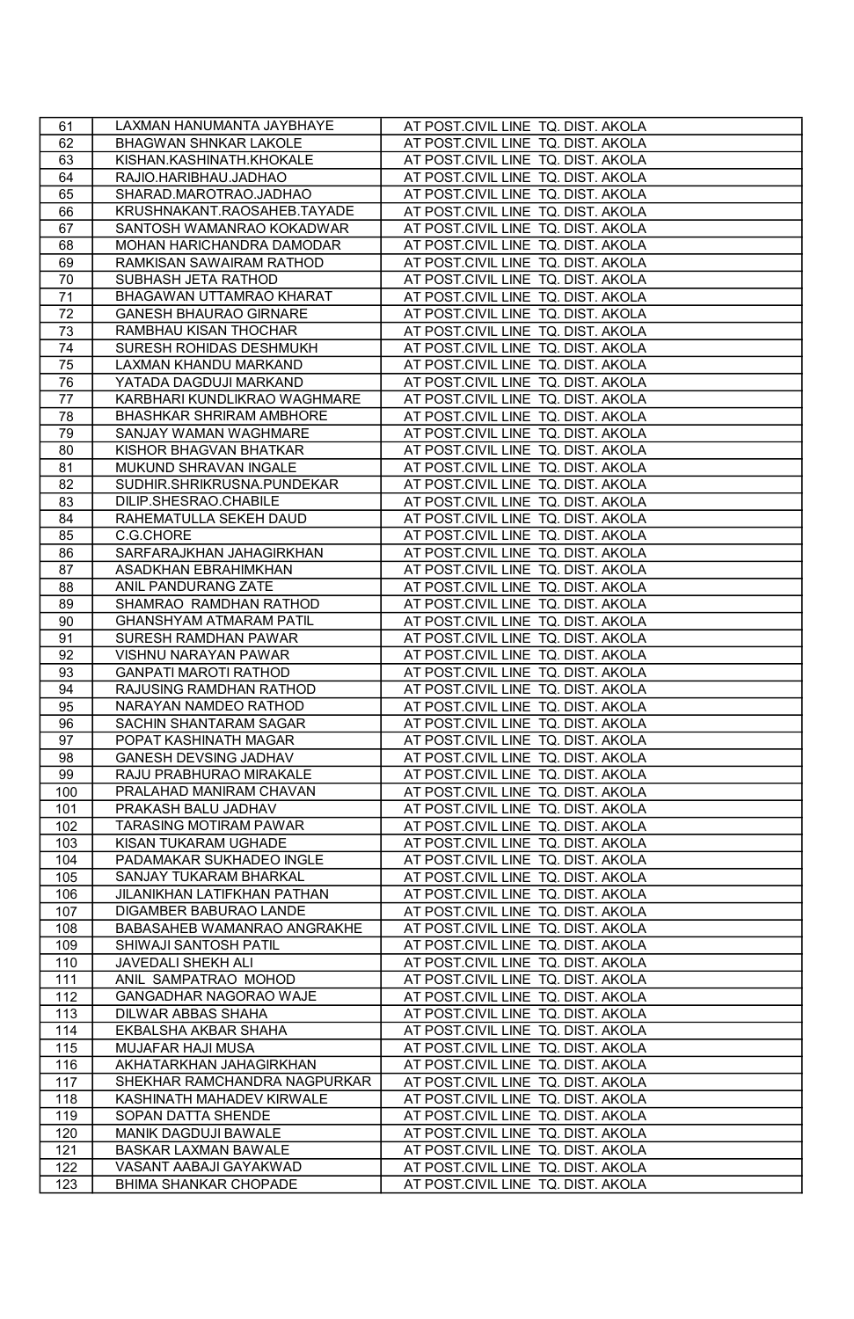| 61  | LAXMAN HANUMANTA JAYBHAYE       | AT POST.CIVIL LINE TQ. DIST. AKOLA |
|-----|---------------------------------|------------------------------------|
| 62  | BHAGWAN SHNKAR LAKOLE           | AT POST.CIVIL LINE TQ. DIST. AKOLA |
| 63  | KISHAN.KASHINATH.KHOKALE        | AT POST.CIVIL LINE TQ. DIST. AKOLA |
| 64  | RAJIO.HARIBHAU.JADHAO           | AT POST.CIVIL LINE TQ. DIST. AKOLA |
| 65  | SHARAD.MAROTRAO.JADHAO          | AT POST.CIVIL LINE TQ. DIST. AKOLA |
| 66  | KRUSHNAKANT.RAOSAHEB.TAYADE     | AT POST.CIVIL LINE TQ. DIST. AKOLA |
| 67  | SANTOSH WAMANRAO KOKADWAR       | AT POST.CIVIL LINE TQ. DIST. AKOLA |
| 68  | MOHAN HARICHANDRA DAMODAR       | AT POST.CIVIL LINE TQ. DIST. AKOLA |
| 69  | RAMKISAN SAWAIRAM RATHOD        | AT POST.CIVIL LINE TQ. DIST. AKOLA |
| 70  | SUBHASH JETA RATHOD             | AT POST.CIVIL LINE TQ. DIST. AKOLA |
| 71  | BHAGAWAN UTTAMRAO KHARAT        | AT POST.CIVIL LINE TQ. DIST. AKOLA |
| 72  | <b>GANESH BHAURAO GIRNARE</b>   | AT POST.CIVIL LINE TQ. DIST. AKOLA |
| 73  | RAMBHAU KISAN THOCHAR           | AT POST.CIVIL LINE TQ. DIST. AKOLA |
| 74  | SURESH ROHIDAS DESHMUKH         | AT POST.CIVIL LINE TQ. DIST. AKOLA |
| 75  | LAXMAN KHANDU MARKAND           | AT POST.CIVIL LINE TQ. DIST. AKOLA |
| 76  | YATADA DAGDUJI MARKAND          | AT POST.CIVIL LINE TQ. DIST. AKOLA |
| 77  | KARBHARI KUNDLIKRAO WAGHMARE    | AT POST.CIVIL LINE TQ. DIST. AKOLA |
| 78  | <b>BHASHKAR SHRIRAM AMBHORE</b> | AT POST.CIVIL LINE TQ. DIST. AKOLA |
| 79  | SANJAY WAMAN WAGHMARE           | AT POST.CIVIL LINE TQ. DIST. AKOLA |
| 80  | KISHOR BHAGVAN BHATKAR          | AT POST.CIVIL LINE TQ. DIST. AKOLA |
| 81  | MUKUND SHRAVAN INGALE           | AT POST.CIVIL LINE TQ. DIST. AKOLA |
| 82  | SUDHIR.SHRIKRUSNA.PUNDEKAR      | AT POST.CIVIL LINE TQ. DIST. AKOLA |
| 83  | DILIP.SHESRAO.CHABILE           | AT POST.CIVIL LINE TQ. DIST. AKOLA |
| 84  | RAHEMATULLA SEKEH DAUD          | AT POST.CIVIL LINE TQ. DIST. AKOLA |
| 85  | C.G.CHORE                       | AT POST.CIVIL LINE TQ. DIST. AKOLA |
| 86  | SARFARAJKHAN JAHAGIRKHAN        | AT POST.CIVIL LINE TQ. DIST. AKOLA |
| 87  | ASADKHAN EBRAHIMKHAN            | AT POST.CIVIL LINE TQ. DIST. AKOLA |
| 88  | ANIL PANDURANG ZATE             | AT POST.CIVIL LINE TQ. DIST. AKOLA |
| 89  | SHAMRAO RAMDHAN RATHOD          | AT POST.CIVIL LINE TQ. DIST. AKOLA |
| 90  | GHANSHYAM ATMARAM PATIL         | AT POST.CIVIL LINE TQ. DIST. AKOLA |
| 91  | SURESH RAMDHAN PAWAR            | AT POST.CIVIL LINE TQ. DIST. AKOLA |
| 92  | VISHNU NARAYAN PAWAR            | AT POST.CIVIL LINE TQ. DIST. AKOLA |
| 93  | <b>GANPATI MAROTI RATHOD</b>    | AT POST.CIVIL LINE TQ. DIST. AKOLA |
| 94  | RAJUSING RAMDHAN RATHOD         | AT POST.CIVIL LINE TQ. DIST. AKOLA |
| 95  | NARAYAN NAMDEO RATHOD           | AT POST.CIVIL LINE TQ. DIST. AKOLA |
| 96  | SACHIN SHANTARAM SAGAR          | AT POST.CIVIL LINE TQ. DIST. AKOLA |
| 97  | POPAT KASHINATH MAGAR           | AT POST.CIVIL LINE TQ. DIST. AKOLA |
| 98  | GANESH DEVSING JADHAV           | AT POST.CIVIL LINE TQ. DIST. AKOLA |
| 99  | RAJU PRABHURAO MIRAKALE         | AT POST.CIVIL LINE TQ. DIST. AKOLA |
| 100 | PRALAHAD MANIRAM CHAVAN         | AT POST.CIVIL LINE TQ. DIST. AKOLA |
| 101 | PRAKASH BALU JADHAV             | AT POST.CIVIL LINE TQ. DIST. AKOLA |
| 102 | TARASING MOTIRAM PAWAR          | AT POST.CIVIL LINE TQ. DIST. AKOLA |
| 103 | KISAN TUKARAM UGHADE            | AT POST.CIVIL LINE TQ. DIST. AKOLA |
| 104 | PADAMAKAR SUKHADEO INGLE        | AT POST.CIVIL LINE TQ. DIST. AKOLA |
| 105 | SANJAY TUKARAM BHARKAL          | AT POST.CIVIL LINE TQ. DIST. AKOLA |
| 106 | JILANIKHAN LATIFKHAN PATHAN     | AT POST.CIVIL LINE TQ. DIST. AKOLA |
| 107 | DIGAMBER BABURAO LANDE          | AT POST.CIVIL LINE TQ. DIST. AKOLA |
| 108 | BABASAHEB WAMANRAO ANGRAKHE     | AT POST.CIVIL LINE TQ. DIST. AKOLA |
| 109 | SHIWAJI SANTOSH PATIL           | AT POST.CIVIL LINE TQ. DIST. AKOLA |
| 110 | JAVEDALI SHEKH ALI              | AT POST.CIVIL LINE TQ. DIST. AKOLA |
| 111 | ANIL SAMPATRAO MOHOD            | AT POST.CIVIL LINE TQ. DIST. AKOLA |
| 112 | GANGADHAR NAGORAO WAJE          | AT POST.CIVIL LINE TQ. DIST. AKOLA |
| 113 | DILWAR ABBAS SHAHA              | AT POST.CIVIL LINE TQ. DIST. AKOLA |
| 114 | EKBALSHA AKBAR SHAHA            | AT POST.CIVIL LINE TQ. DIST. AKOLA |
| 115 | MUJAFAR HAJI MUSA               | AT POST.CIVIL LINE TQ. DIST. AKOLA |
| 116 | AKHATARKHAN JAHAGIRKHAN         | AT POST.CIVIL LINE TQ. DIST. AKOLA |
| 117 | SHEKHAR RAMCHANDRA NAGPURKAR    | AT POST.CIVIL LINE TQ. DIST. AKOLA |
| 118 | KASHINATH MAHADEV KIRWALE       | AT POST.CIVIL LINE TQ. DIST. AKOLA |
| 119 | SOPAN DATTA SHENDE              | AT POST.CIVIL LINE TQ. DIST. AKOLA |
| 120 | MANIK DAGDUJI BAWALE            | AT POST.CIVIL LINE TQ. DIST. AKOLA |
| 121 | BASKAR LAXMAN BAWALE            | AT POST.CIVIL LINE TQ. DIST. AKOLA |
| 122 | VASANT AABAJI GAYAKWAD          | AT POST.CIVIL LINE TQ. DIST. AKOLA |
| 123 | BHIMA SHANKAR CHOPADE           | AT POST.CIVIL LINE TQ. DIST. AKOLA |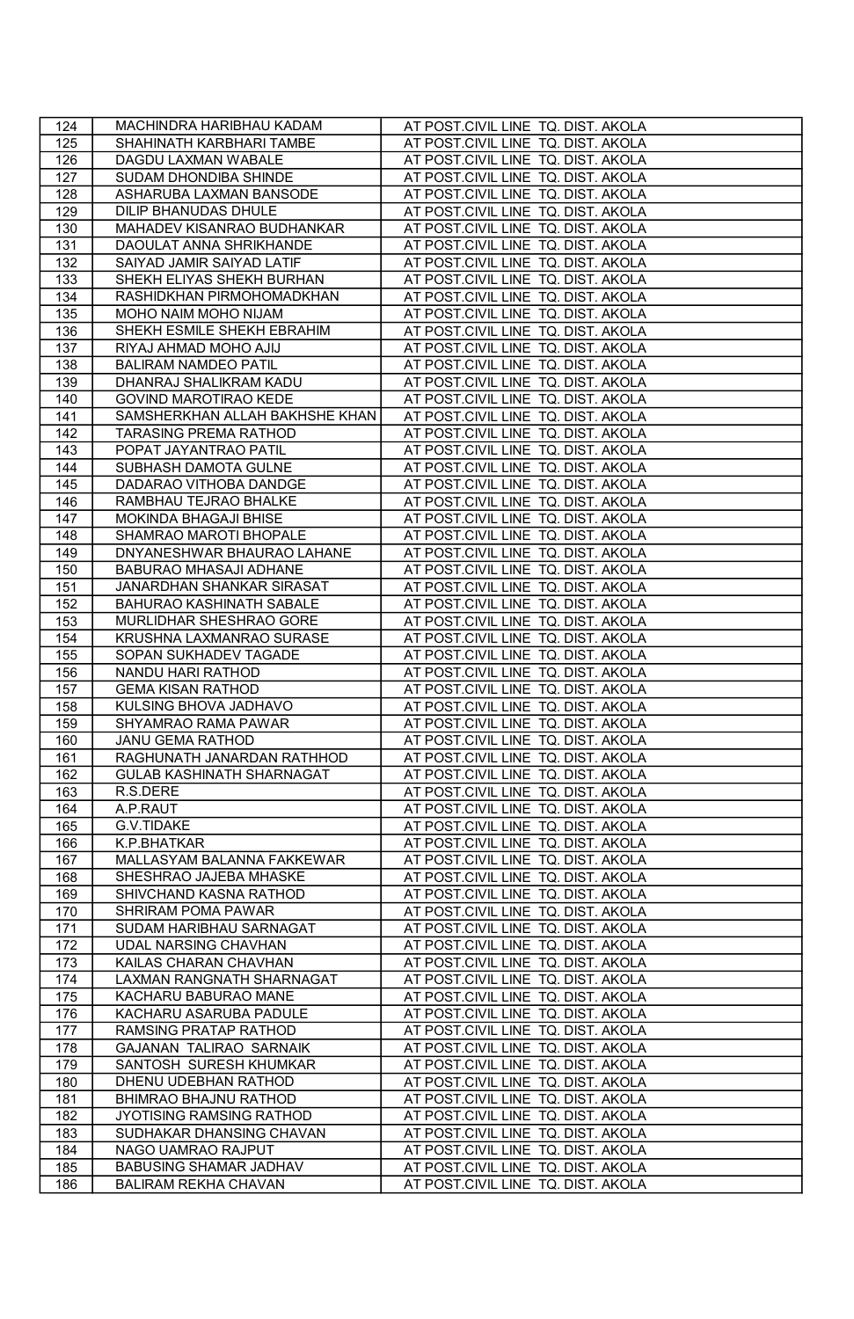| 124 | MACHINDRA HARIBHAU KADAM         | AT POST.CIVIL LINE TQ. DIST. AKOLA |
|-----|----------------------------------|------------------------------------|
| 125 | SHAHINATH KARBHARI TAMBE         | AT POST.CIVIL LINE TQ. DIST. AKOLA |
| 126 | DAGDU LAXMAN WABALE              | AT POST.CIVIL LINE TQ. DIST. AKOLA |
| 127 | SUDAM DHONDIBA SHINDE            | AT POST.CIVIL LINE TQ. DIST. AKOLA |
| 128 | ASHARUBA LAXMAN BANSODE          | AT POST.CIVIL LINE TQ. DIST. AKOLA |
| 129 | DILIP BHANUDAS DHULE             | AT POST.CIVIL LINE TQ. DIST. AKOLA |
| 130 | MAHADEV KISANRAO BUDHANKAR       | AT POST.CIVIL LINE TQ. DIST. AKOLA |
| 131 | DAOULAT ANNA SHRIKHANDE          | AT POST.CIVIL LINE TQ. DIST. AKOLA |
| 132 | SAIYAD JAMIR SAIYAD LATIF        | AT POST.CIVIL LINE TO, DIST, AKOLA |
| 133 | SHEKH ELIYAS SHEKH BURHAN        | AT POST.CIVIL LINE TQ. DIST. AKOLA |
| 134 | RASHIDKHAN PIRMOHOMADKHAN        | AT POST.CIVIL LINE TQ. DIST. AKOLA |
| 135 | MOHO NAIM MOHO NIJAM             | AT POST.CIVIL LINE TQ. DIST. AKOLA |
| 136 | SHEKH ESMILE SHEKH EBRAHIM       | AT POST.CIVIL LINE TQ. DIST. AKOLA |
| 137 | RIYAJ AHMAD MOHO AJIJ            | AT POST.CIVIL LINE TQ. DIST. AKOLA |
| 138 | <b>BALIRAM NAMDEO PATIL</b>      | AT POST.CIVIL LINE TQ. DIST. AKOLA |
| 139 | DHANRAJ SHALIKRAM KADU           | AT POST.CIVIL LINE TQ. DIST. AKOLA |
| 140 | GOVIND MAROTIRAO KEDE            | AT POST.CIVIL LINE TQ. DIST. AKOLA |
| 141 | SAMSHERKHAN ALLAH BAKHSHE KHAN   | AT POST.CIVIL LINE TQ. DIST. AKOLA |
| 142 | TARASING PREMA RATHOD            | AT POST.CIVIL LINE TQ. DIST. AKOLA |
| 143 | POPAT JAYANTRAO PATIL            | AT POST.CIVIL LINE TQ. DIST. AKOLA |
| 144 | SUBHASH DAMOTA GULNE             | AT POST.CIVIL LINE TQ. DIST. AKOLA |
| 145 | DADARAO VITHOBA DANDGE           | AT POST.CIVIL LINE TQ. DIST. AKOLA |
| 146 | RAMBHAU TEJRAO BHALKE            | AT POST.CIVIL LINE TQ. DIST. AKOLA |
| 147 | MOKINDA BHAGAJI BHISE            | AT POST.CIVIL LINE TQ. DIST. AKOLA |
| 148 | SHAMRAO MAROTI BHOPALE           | AT POST.CIVIL LINE TQ. DIST. AKOLA |
| 149 | DNYANESHWAR BHAURAO LAHANE       | AT POST.CIVIL LINE TQ. DIST. AKOLA |
| 150 | BABURAO MHASAJI ADHANE           | AT POST.CIVIL LINE TQ. DIST. AKOLA |
| 151 | JANARDHAN SHANKAR SIRASAT        | AT POST.CIVIL LINE TQ. DIST. AKOLA |
| 152 | BAHURAO KASHINATH SABALE         | AT POST.CIVIL LINE TQ. DIST. AKOLA |
| 153 | MURLIDHAR SHESHRAO GORE          | AT POST.CIVIL LINE TQ. DIST. AKOLA |
| 154 | KRUSHNA LAXMANRAO SURASE         | AT POST.CIVIL LINE TQ. DIST. AKOLA |
| 155 | SOPAN SUKHADEV TAGADE            | AT POST.CIVIL LINE TQ. DIST. AKOLA |
| 156 | NANDU HARI RATHOD                | AT POST.CIVIL LINE TQ. DIST. AKOLA |
| 157 | <b>GEMA KISAN RATHOD</b>         | AT POST.CIVIL LINE TQ. DIST. AKOLA |
| 158 | KULSING BHOVA JADHAVO            | AT POST.CIVIL LINE TQ. DIST. AKOLA |
| 159 | SHYAMRAO RAMA PAWAR              | AT POST.CIVIL LINE TQ. DIST. AKOLA |
| 160 | <b>JANU GEMA RATHOD</b>          | AT POST.CIVIL LINE TQ. DIST. AKOLA |
| 161 | RAGHUNATH JANARDAN RATHHOD       | AT POST.CIVIL LINE TQ. DIST. AKOLA |
| 162 | <b>GULAB KASHINATH SHARNAGAT</b> | AT POST.CIVIL LINE TQ. DIST. AKOLA |
| 163 | R.S.DERE                         | AT POST.CIVIL LINE TQ. DIST. AKOLA |
| 164 | A.P.RAUT                         | AT POST.CIVIL LINE TQ. DIST. AKOLA |
| 165 | <b>G.V.TIDAKE</b>                | AT POST.CIVIL LINE TQ. DIST. AKOLA |
| 166 | K.P.BHATKAR                      | AT POST.CIVIL LINE TQ. DIST. AKOLA |
| 167 | MALLASYAM BALANNA FAKKEWAR       | AT POST.CIVIL LINE TQ. DIST. AKOLA |
| 168 | SHESHRAO JAJEBA MHASKE           | AT POST.CIVIL LINE TQ. DIST. AKOLA |
| 169 | SHIVCHAND KASNA RATHOD           | AT POST.CIVIL LINE TQ. DIST. AKOLA |
| 170 | SHRIRAM POMA PAWAR               | AT POST.CIVIL LINE TQ. DIST. AKOLA |
| 171 | SUDAM HARIBHAU SARNAGAT          | AT POST.CIVIL LINE TQ. DIST. AKOLA |
| 172 | <b>UDAL NARSING CHAVHAN</b>      | AT POST.CIVIL LINE TQ. DIST. AKOLA |
| 173 | KAILAS CHARAN CHAVHAN            | AT POST.CIVIL LINE TQ. DIST. AKOLA |
| 174 | LAXMAN RANGNATH SHARNAGAT        | AT POST.CIVIL LINE TQ. DIST. AKOLA |
| 175 | KACHARU BABURAO MANE             | AT POST.CIVIL LINE TQ. DIST. AKOLA |
| 176 | KACHARU ASARUBA PADULE           | AT POST.CIVIL LINE TQ. DIST. AKOLA |
| 177 | RAMSING PRATAP RATHOD            | AT POST.CIVIL LINE TQ. DIST. AKOLA |
| 178 | GAJANAN TALIRAO SARNAIK          | AT POST.CIVIL LINE TQ. DIST. AKOLA |
| 179 | SANTOSH SURESH KHUMKAR           | AT POST.CIVIL LINE TQ. DIST. AKOLA |
| 180 | DHENU UDEBHAN RATHOD             | AT POST.CIVIL LINE TQ. DIST. AKOLA |
| 181 | BHIMRAO BHAJNU RATHOD            | AT POST.CIVIL LINE TQ. DIST. AKOLA |
| 182 | JYOTISING RAMSING RATHOD         | AT POST.CIVIL LINE TQ. DIST. AKOLA |
| 183 | SUDHAKAR DHANSING CHAVAN         | AT POST.CIVIL LINE TQ. DIST. AKOLA |
| 184 | NAGO UAMRAO RAJPUT               | AT POST.CIVIL LINE TQ. DIST. AKOLA |
| 185 | <b>BABUSING SHAMAR JADHAV</b>    | AT POST.CIVIL LINE TQ. DIST. AKOLA |
| 186 | BALIRAM REKHA CHAVAN             | AT POST.CIVIL LINE TQ. DIST. AKOLA |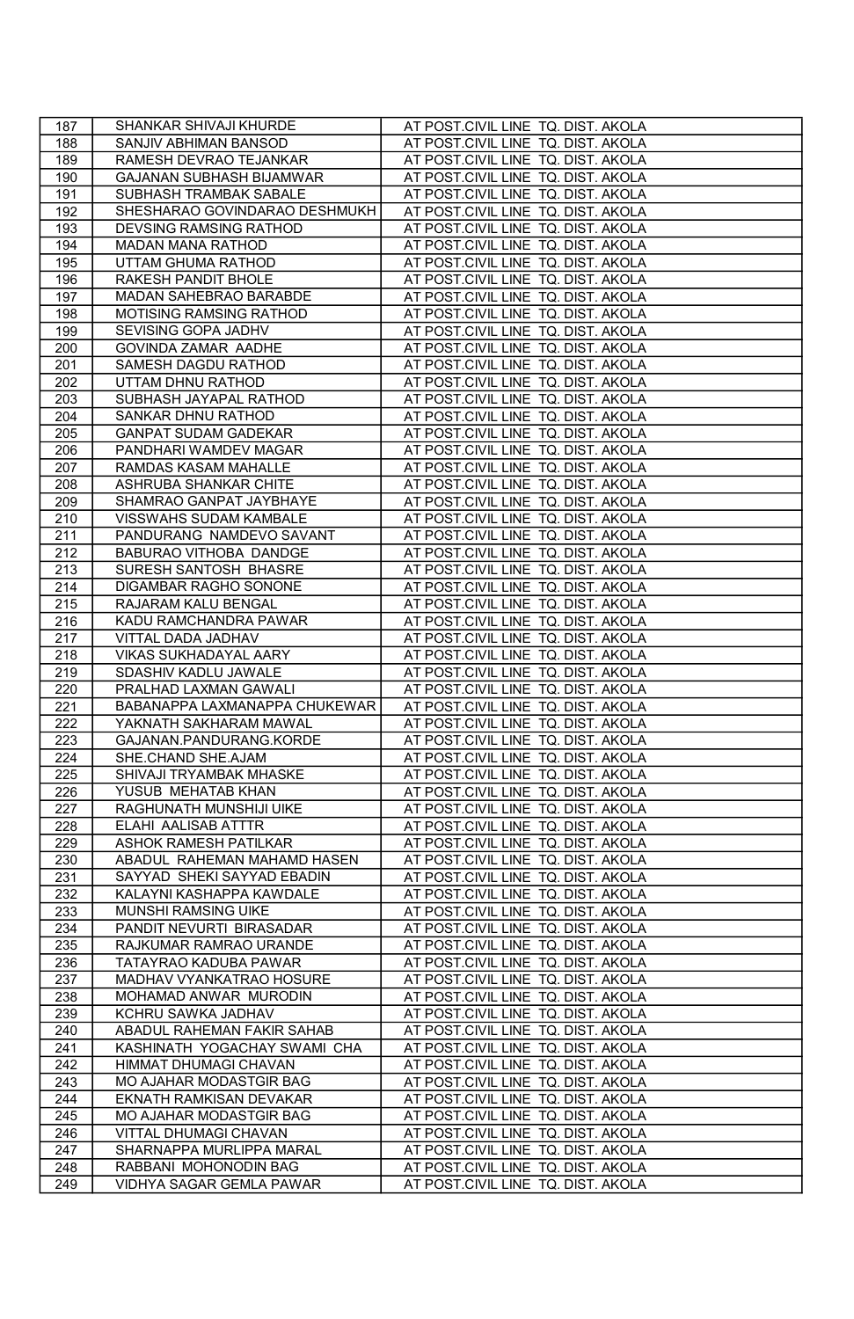| 187 | SHANKAR SHIVAJI KHURDE        | AT POST.CIVIL LINE TQ. DIST. AKOLA |
|-----|-------------------------------|------------------------------------|
| 188 | SANJIV ABHIMAN BANSOD         | AT POST.CIVIL LINE TQ. DIST. AKOLA |
| 189 | RAMESH DEVRAO TEJANKAR        | AT POST.CIVIL LINE TQ. DIST. AKOLA |
| 190 | GAJANAN SUBHASH BIJAMWAR      | AT POST.CIVIL LINE TQ. DIST. AKOLA |
| 191 | SUBHASH TRAMBAK SABALE        | AT POST.CIVIL LINE TQ. DIST. AKOLA |
| 192 | SHESHARAO GOVINDARAO DESHMUKH | AT POST.CIVIL LINE TQ. DIST. AKOLA |
| 193 | <b>DEVSING RAMSING RATHOD</b> | AT POST.CIVIL LINE TQ. DIST. AKOLA |
| 194 | MADAN MANA RATHOD             | AT POST.CIVIL LINE TQ. DIST. AKOLA |
| 195 | UTTAM GHUMA RATHOD            | AT POST.CIVIL LINE TQ. DIST. AKOLA |
| 196 | RAKESH PANDIT BHOLE           | AT POST.CIVIL LINE TQ. DIST. AKOLA |
| 197 | MADAN SAHEBRAO BARABDE        | AT POST.CIVIL LINE TQ. DIST. AKOLA |
| 198 | MOTISING RAMSING RATHOD       | AT POST.CIVIL LINE TQ. DIST. AKOLA |
| 199 | SEVISING GOPA JADHV           | AT POST.CIVIL LINE TQ. DIST. AKOLA |
| 200 | GOVINDA ZAMAR AADHE           | AT POST.CIVIL LINE TQ. DIST. AKOLA |
| 201 | SAMESH DAGDU RATHOD           | AT POST.CIVIL LINE TQ. DIST. AKOLA |
| 202 | UTTAM DHNU RATHOD             | AT POST.CIVIL LINE TQ. DIST. AKOLA |
| 203 | SUBHASH JAYAPAL RATHOD        | AT POST.CIVIL LINE TQ. DIST. AKOLA |
| 204 | SANKAR DHNU RATHOD            | AT POST.CIVIL LINE TQ. DIST. AKOLA |
| 205 | <b>GANPAT SUDAM GADEKAR</b>   | AT POST.CIVIL LINE TQ. DIST. AKOLA |
| 206 | PANDHARI WAMDEV MAGAR         | AT POST.CIVIL LINE TQ. DIST. AKOLA |
| 207 | RAMDAS KASAM MAHALLE          | AT POST.CIVIL LINE TQ. DIST. AKOLA |
| 208 | ASHRUBA SHANKAR CHITE         | AT POST.CIVIL LINE TQ. DIST. AKOLA |
| 209 | SHAMRAO GANPAT JAYBHAYE       | AT POST.CIVIL LINE TQ. DIST. AKOLA |
| 210 | VISSWAHS SUDAM KAMBALE        | AT POST.CIVIL LINE TQ. DIST. AKOLA |
| 211 | PANDURANG NAMDEVO SAVANT      | AT POST.CIVIL LINE TQ. DIST. AKOLA |
| 212 | BABURAO VITHOBA DANDGE        | AT POST.CIVIL LINE TQ. DIST. AKOLA |
| 213 | SURESH SANTOSH BHASRE         | AT POST.CIVIL LINE TQ. DIST. AKOLA |
| 214 | DIGAMBAR RAGHO SONONE         | AT POST.CIVIL LINE TQ. DIST. AKOLA |
| 215 | RAJARAM KALU BENGAL           | AT POST.CIVIL LINE TQ. DIST. AKOLA |
| 216 | KADU RAMCHANDRA PAWAR         | AT POST.CIVIL LINE TQ. DIST. AKOLA |
| 217 | VITTAL DADA JADHAV            | AT POST.CIVIL LINE TQ. DIST. AKOLA |
| 218 | VIKAS SUKHADAYAL AARY         | AT POST.CIVIL LINE TQ. DIST. AKOLA |
| 219 | SDASHIV KADLU JAWALE          | AT POST.CIVIL LINE TQ. DIST. AKOLA |
| 220 | PRALHAD LAXMAN GAWALI         | AT POST.CIVIL LINE TQ. DIST. AKOLA |
| 221 | BABANAPPA LAXMANAPPA CHUKEWAR | AT POST.CIVIL LINE TQ. DIST. AKOLA |
| 222 | YAKNATH SAKHARAM MAWAL        | AT POST.CIVIL LINE TQ. DIST. AKOLA |
| 223 | GAJANAN.PANDURANG.KORDE       | AT POST.CIVIL LINE TQ. DIST. AKOLA |
| 224 | SHE.CHAND SHE.AJAM            | AT POST.CIVIL LINE TQ. DIST. AKOLA |
| 225 | SHIVAJI TRYAMBAK MHASKE       | AT POST.CIVIL LINE TQ. DIST. AKOLA |
| 226 | YUSUB MEHATAB KHAN            | AT POST.CIVIL LINE TQ. DIST. AKOLA |
| 227 | RAGHUNATH MUNSHIJI UIKE       | AT POST.CIVIL LINE TQ. DIST. AKOLA |
| 228 | ELAHI AALISAB ATTTR           | AT POST.CIVIL LINE TQ. DIST. AKOLA |
| 229 | <b>ASHOK RAMESH PATILKAR</b>  | AT POST.CIVIL LINE TQ. DIST. AKOLA |
| 230 | ABADUL RAHEMAN MAHAMD HASEN   | AT POST.CIVIL LINE TQ. DIST. AKOLA |
| 231 | SAYYAD SHEKI SAYYAD EBADIN    | AT POST.CIVIL LINE TQ. DIST. AKOLA |
| 232 | KALAYNI KASHAPPA KAWDALE      | AT POST.CIVIL LINE TQ. DIST. AKOLA |
| 233 | MUNSHI RAMSING UIKE           | AT POST.CIVIL LINE TQ. DIST. AKOLA |
| 234 | PANDIT NEVURTI BIRASADAR      | AT POST.CIVIL LINE TQ. DIST. AKOLA |
| 235 | RAJKUMAR RAMRAO URANDE        | AT POST.CIVIL LINE TQ. DIST. AKOLA |
| 236 | TATAYRAO KADUBA PAWAR         | AT POST.CIVIL LINE TQ. DIST. AKOLA |
| 237 | MADHAV VYANKATRAO HOSURE      | AT POST.CIVIL LINE TQ. DIST. AKOLA |
| 238 | MOHAMAD ANWAR MURODIN         | AT POST.CIVIL LINE TQ. DIST. AKOLA |
| 239 | KCHRU SAWKA JADHAV            | AT POST.CIVIL LINE TQ. DIST. AKOLA |
| 240 | ABADUL RAHEMAN FAKIR SAHAB    | AT POST.CIVIL LINE TQ. DIST. AKOLA |
| 241 | KASHINATH YOGACHAY SWAMI CHA  | AT POST.CIVIL LINE TQ. DIST. AKOLA |
| 242 | HIMMAT DHUMAGI CHAVAN         | AT POST.CIVIL LINE TQ. DIST. AKOLA |
| 243 | MO AJAHAR MODASTGIR BAG       | AT POST.CIVIL LINE TQ. DIST. AKOLA |
| 244 | EKNATH RAMKISAN DEVAKAR       | AT POST.CIVIL LINE TQ. DIST. AKOLA |
| 245 | MO AJAHAR MODASTGIR BAG       | AT POST.CIVIL LINE TQ. DIST. AKOLA |
| 246 | VITTAL DHUMAGI CHAVAN         | AT POST.CIVIL LINE TQ. DIST. AKOLA |
| 247 | SHARNAPPA MURLIPPA MARAL      | AT POST.CIVIL LINE TQ. DIST. AKOLA |
| 248 | RABBANI MOHONODIN BAG         | AT POST.CIVIL LINE TQ. DIST. AKOLA |
| 249 | VIDHYA SAGAR GEMLA PAWAR      | AT POST.CIVIL LINE TQ. DIST. AKOLA |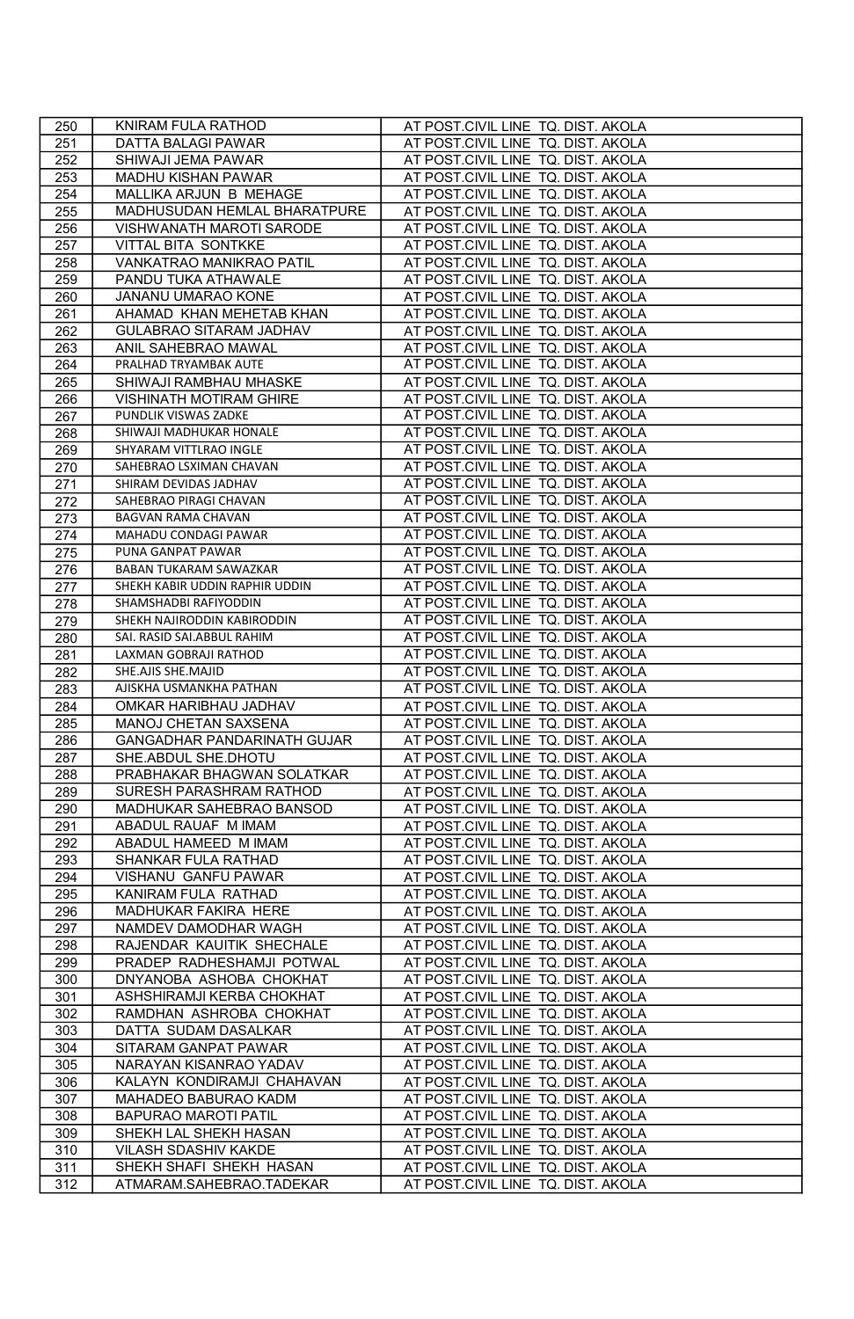| 250        | KNIRAM FULA RATHOD                                     | AT POST.CIVIL LINE TQ. DIST. AKOLA                                       |
|------------|--------------------------------------------------------|--------------------------------------------------------------------------|
| 251        | DATTA BALAGI PAWAR                                     | AT POST.CIVIL LINE TQ. DIST. AKOLA                                       |
| 252        | SHIWAJI JEMA PAWAR                                     | AT POST.CIVIL LINE TQ. DIST. AKOLA                                       |
| 253        | MADHU KISHAN PAWAR                                     | AT POST.CIVIL LINE TQ. DIST. AKOLA                                       |
| 254        | MALLIKA ARJUN B MEHAGE                                 | AT POST.CIVIL LINE TQ. DIST. AKOLA                                       |
| 255        | MADHUSUDAN HEMLAL BHARATPURE                           | AT POST.CIVIL LINE TQ. DIST. AKOLA                                       |
| 256        | VISHWANATH MAROTI SARODE                               | AT POST.CIVIL LINE TQ. DIST. AKOLA                                       |
| 257        | VITTAL BITA SONTKKE                                    | AT POST.CIVIL LINE TQ. DIST. AKOLA                                       |
| 258        | VANKATRAO MANIKRAO PATIL                               | AT POST.CIVIL LINE TQ. DIST. AKOLA                                       |
| 259        | PANDU TUKA ATHAWALE                                    | AT POST.CIVIL LINE TQ. DIST. AKOLA                                       |
| 260        | JANANU UMARAO KONE                                     | AT POST.CIVIL LINE TQ. DIST. AKOLA                                       |
| 261        | AHAMAD KHAN MEHETAB KHAN                               | AT POST.CIVIL LINE TQ. DIST. AKOLA                                       |
| 262        | GULABRAO SITARAM JADHAV                                | AT POST.CIVIL LINE TQ. DIST. AKOLA                                       |
| 263        | ANIL SAHEBRAO MAWAL                                    | AT POST.CIVIL LINE TQ. DIST. AKOLA                                       |
| 264        | PRALHAD TRYAMBAK AUTE                                  | AT POST.CIVIL LINE TQ. DIST. AKOLA                                       |
| 265        | SHIWAJI RAMBHAU MHASKE                                 | AT POST.CIVIL LINE TQ. DIST. AKOLA                                       |
| 266        | <b>VISHINATH MOTIRAM GHIRE</b>                         | AT POST.CIVIL LINE TQ. DIST. AKOLA                                       |
| 267        | PUNDLIK VISWAS ZADKE                                   | AT POST.CIVIL LINE TQ. DIST. AKOLA                                       |
| 268        | SHIWAJI MADHUKAR HONALE                                | AT POST.CIVIL LINE TQ. DIST. AKOLA                                       |
| 269        | SHYARAM VITTLRAO INGLE                                 | AT POST.CIVIL LINE TQ. DIST. AKOLA                                       |
| 270        | SAHEBRAO LSXIMAN CHAVAN                                | AT POST.CIVIL LINE TQ. DIST. AKOLA                                       |
| 271        | SHIRAM DEVIDAS JADHAV                                  | AT POST.CIVIL LINE TQ. DIST. AKOLA                                       |
| 272        | SAHEBRAO PIRAGI CHAVAN                                 | AT POST.CIVIL LINE TQ. DIST. AKOLA                                       |
| 273        | BAGVAN RAMA CHAVAN                                     | AT POST.CIVIL LINE TQ. DIST. AKOLA                                       |
| 274        | MAHADU CONDAGI PAWAR                                   | AT POST.CIVIL LINE TQ. DIST. AKOLA                                       |
| 275        | PUNA GANPAT PAWAR                                      | AT POST.CIVIL LINE TQ. DIST. AKOLA                                       |
| 276        | BABAN TUKARAM SAWAZKAR                                 | AT POST.CIVIL LINE TQ. DIST. AKOLA                                       |
| 277        | SHEKH KABIR UDDIN RAPHIR UDDIN                         | AT POST.CIVIL LINE TQ. DIST. AKOLA                                       |
| 278        | SHAMSHADBI RAFIYODDIN                                  | AT POST.CIVIL LINE TQ. DIST. AKOLA                                       |
| 279        | SHEKH NAJIRODDIN KABIRODDIN                            | AT POST.CIVIL LINE TQ. DIST. AKOLA                                       |
| 280        | SAI. RASID SAI.ABBUL RAHIM                             | AT POST.CIVIL LINE TQ. DIST. AKOLA                                       |
| 281        | LAXMAN GOBRAJI RATHOD                                  | AT POST.CIVIL LINE TQ. DIST. AKOLA                                       |
| 282        | SHE.AJIS SHE.MAJID                                     | AT POST.CIVIL LINE TQ. DIST. AKOLA                                       |
| 283        | AJISKHA USMANKHA PATHAN                                | AT POST.CIVIL LINE TQ. DIST. AKOLA                                       |
| 284        | OMKAR HARIBHAU JADHAV                                  | AT POST.CIVIL LINE TQ. DIST. AKOLA                                       |
| 285        | MANOJ CHETAN SAXSENA                                   | AT POST.CIVIL LINE TQ. DIST. AKOLA                                       |
| 286        | GANGADHAR PANDARINATH GUJAR                            | AT POST.CIVIL LINE TQ. DIST. AKOLA                                       |
| 287        | SHE.ABDUL SHE.DHOTU                                    | AT POST.CIVIL LINE TQ. DIST. AKOLA                                       |
| 288        | PRABHAKAR BHAGWAN SOLATKAR                             | AT POST.CIVIL LINE TQ. DIST. AKOLA                                       |
| 289        | SURESH PARASHRAM RATHOD                                | AT POST.CIVIL LINE TQ. DIST. AKOLA                                       |
| 290        | MADHUKAR SAHEBRAO BANSOD                               | AT POST.CIVIL LINE TQ. DIST. AKOLA                                       |
| 291        | ABADUL RAUAF M IMAM                                    | AT POST.CIVIL LINE TQ. DIST. AKOLA                                       |
| 292        | ABADUL HAMEED M IMAM                                   | AT POST.CIVIL LINE TQ. DIST. AKOLA                                       |
| 293        | SHANKAR FULA RATHAD                                    | AT POST.CIVIL LINE TQ. DIST. AKOLA                                       |
| 294        | VISHANU GANFU PAWAR                                    | AT POST.CIVIL LINE TQ. DIST. AKOLA                                       |
| 295        | KANIRAM FULA RATHAD                                    | AT POST.CIVIL LINE TQ. DIST. AKOLA                                       |
| 296        | MADHUKAR FAKIRA HERE                                   | AT POST.CIVIL LINE TQ. DIST. AKOLA                                       |
| 297        | NAMDEV DAMODHAR WAGH                                   | AT POST.CIVIL LINE TQ. DIST. AKOLA                                       |
| 298<br>299 | RAJENDAR KAUITIK SHECHALE<br>PRADEP RADHESHAMJI POTWAL | AT POST.CIVIL LINE TQ. DIST. AKOLA<br>AT POST.CIVIL LINE TQ. DIST. AKOLA |
|            |                                                        |                                                                          |
| 300<br>301 | DNYANOBA ASHOBA CHOKHAT<br>ASHSHIRAMJI KERBA CHOKHAT   | AT POST.CIVIL LINE TQ. DIST. AKOLA<br>AT POST.CIVIL LINE TQ. DIST. AKOLA |
| 302        | RAMDHAN ASHROBA CHOKHAT                                | AT POST.CIVIL LINE TQ. DIST. AKOLA                                       |
| 303        | DATTA SUDAM DASALKAR                                   | AT POST.CIVIL LINE TQ. DIST. AKOLA                                       |
| 304        | SITARAM GANPAT PAWAR                                   | AT POST.CIVIL LINE TQ. DIST. AKOLA                                       |
| 305        | NARAYAN KISANRAO YADAV                                 | AT POST.CIVIL LINE TQ. DIST. AKOLA                                       |
| 306        | KALAYN KONDIRAMJI CHAHAVAN                             | AT POST.CIVIL LINE TQ. DIST. AKOLA                                       |
| 307        | MAHADEO BABURAO KADM                                   | AT POST.CIVIL LINE TQ. DIST. AKOLA                                       |
| 308        | <b>BAPURAO MAROTI PATIL</b>                            | AT POST.CIVIL LINE TQ. DIST. AKOLA                                       |
| 309        | SHEKH LAL SHEKH HASAN                                  | AT POST.CIVIL LINE TQ. DIST. AKOLA                                       |
| 310        | VILASH SDASHIV KAKDE                                   | AT POST.CIVIL LINE TQ. DIST. AKOLA                                       |
| 311        | SHEKH SHAFI SHEKH HASAN                                | AT POST.CIVIL LINE TQ. DIST. AKOLA                                       |
| 312        | ATMARAM.SAHEBRAO.TADEKAR                               | AT POST.CIVIL LINE TQ. DIST. AKOLA                                       |
|            |                                                        |                                                                          |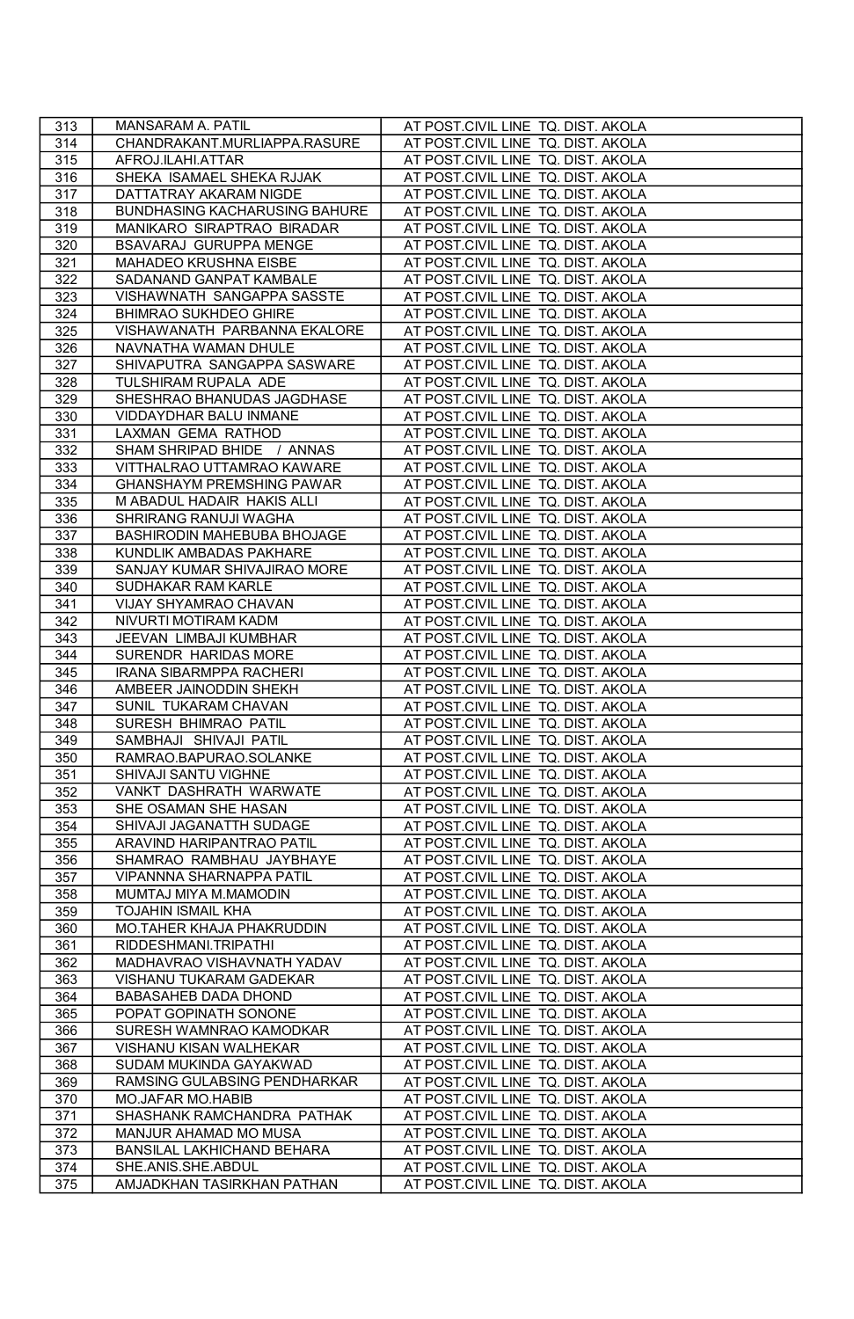| 313 | MANSARAM A. PATIL                    | AT POST.CIVIL LINE TQ. DIST. AKOLA |
|-----|--------------------------------------|------------------------------------|
| 314 | CHANDRAKANT.MURLIAPPA.RASURE         | AT POST.CIVIL LINE TQ. DIST. AKOLA |
| 315 | AFROJ.ILAHI.ATTAR                    | AT POST.CIVIL LINE TQ. DIST. AKOLA |
| 316 | SHEKA ISAMAEL SHEKA RJJAK            | AT POST.CIVIL LINE TQ. DIST. AKOLA |
| 317 | DATTATRAY AKARAM NIGDE               | AT POST.CIVIL LINE TQ. DIST. AKOLA |
| 318 | <b>BUNDHASING KACHARUSING BAHURE</b> | AT POST.CIVIL LINE TQ. DIST. AKOLA |
| 319 | MANIKARO SIRAPTRAO BIRADAR           | AT POST.CIVIL LINE TQ. DIST. AKOLA |
| 320 | BSAVARAJ GURUPPA MENGE               | AT POST.CIVIL LINE TQ. DIST. AKOLA |
| 321 | MAHADEO KRUSHNA EISBE                | AT POST.CIVIL LINE TQ. DIST. AKOLA |
| 322 | SADANAND GANPAT KAMBALE              | AT POST.CIVIL LINE TQ. DIST. AKOLA |
| 323 | VISHAWNATH SANGAPPA SASSTE           | AT POST.CIVIL LINE TQ. DIST. AKOLA |
| 324 | BHIMRAO SUKHDEO GHIRE                | AT POST.CIVIL LINE TQ. DIST. AKOLA |
| 325 | VISHAWANATH PARBANNA EKALORE         | AT POST.CIVIL LINE TQ. DIST. AKOLA |
| 326 | NAVNATHA WAMAN DHULE                 | AT POST.CIVIL LINE TQ. DIST. AKOLA |
| 327 | SHIVAPUTRA SANGAPPA SASWARE          | AT POST.CIVIL LINE TQ. DIST. AKOLA |
| 328 | TULSHIRAM RUPALA ADE                 | AT POST.CIVIL LINE TQ. DIST. AKOLA |
| 329 | SHESHRAO BHANUDAS JAGDHASE           | AT POST.CIVIL LINE TQ. DIST. AKOLA |
| 330 | VIDDAYDHAR BALU INMANE               | AT POST.CIVIL LINE TQ. DIST. AKOLA |
| 331 | LAXMAN GEMA RATHOD                   | AT POST.CIVIL LINE TQ. DIST. AKOLA |
| 332 | SHAM SHRIPAD BHIDE / ANNAS           | AT POST.CIVIL LINE TQ. DIST. AKOLA |
| 333 | VITTHALRAO UTTAMRAO KAWARE           | AT POST.CIVIL LINE TQ. DIST. AKOLA |
| 334 | GHANSHAYM PREMSHING PAWAR            | AT POST.CIVIL LINE TQ. DIST. AKOLA |
| 335 | M ABADUL HADAIR HAKIS ALLI           | AT POST.CIVIL LINE TQ. DIST. AKOLA |
| 336 | SHRIRANG RANUJI WAGHA                | AT POST.CIVIL LINE TQ. DIST. AKOLA |
| 337 | BASHIRODIN MAHEBUBA BHOJAGE          | AT POST.CIVIL LINE TQ. DIST. AKOLA |
| 338 | KUNDLIK AMBADAS PAKHARE              | AT POST.CIVIL LINE TQ. DIST. AKOLA |
| 339 | SANJAY KUMAR SHIVAJIRAO MORE         | AT POST.CIVIL LINE TQ. DIST. AKOLA |
| 340 | SUDHAKAR RAM KARLE                   | AT POST.CIVIL LINE TQ. DIST. AKOLA |
| 341 | VIJAY SHYAMRAO CHAVAN                | AT POST.CIVIL LINE TQ. DIST. AKOLA |
| 342 | NIVURTI MOTIRAM KADM                 | AT POST.CIVIL LINE TQ. DIST. AKOLA |
| 343 | JEEVAN LIMBAJI KUMBHAR               | AT POST.CIVIL LINE TQ. DIST. AKOLA |
| 344 | SURENDR HARIDAS MORE                 | AT POST.CIVIL LINE TQ. DIST. AKOLA |
| 345 | <b>IRANA SIBARMPPA RACHERI</b>       | AT POST.CIVIL LINE TQ. DIST. AKOLA |
| 346 | AMBEER JAINODDIN SHEKH               | AT POST.CIVIL LINE TQ. DIST. AKOLA |
| 347 | SUNIL TUKARAM CHAVAN                 | AT POST.CIVIL LINE TQ. DIST. AKOLA |
| 348 | SURESH BHIMRAO PATIL                 | AT POST.CIVIL LINE TQ. DIST. AKOLA |
| 349 | SAMBHAJI SHIVAJI PATIL               | AT POST.CIVIL LINE TQ. DIST. AKOLA |
| 350 | RAMRAO.BAPURAO.SOLANKE               | AT POST.CIVIL LINE TQ. DIST. AKOLA |
| 351 | SHIVAJI SANTU VIGHNE                 | AT POST.CIVIL LINE TQ. DIST. AKOLA |
| 352 | VANKT DASHRATH WARWATE               | AT POST.CIVIL LINE TQ. DIST. AKOLA |
| 353 | SHE OSAMAN SHE HASAN                 | AT POST.CIVIL LINE TQ. DIST. AKOLA |
| 354 | SHIVAJI JAGANATTH SUDAGE             | AT POST.CIVIL LINE TQ. DIST. AKOLA |
| 355 | ARAVIND HARIPANTRAO PATIL            | AT POST.CIVIL LINE TQ. DIST. AKOLA |
| 356 | SHAMRAO RAMBHAU JAYBHAYE             | AT POST.CIVIL LINE TQ. DIST. AKOLA |
| 357 | VIPANNNA SHARNAPPA PATIL             | AT POST.CIVIL LINE TQ. DIST. AKOLA |
| 358 | MUMTAJ MIYA M.MAMODIN                | AT POST.CIVIL LINE TQ. DIST. AKOLA |
| 359 | TOJAHIN ISMAIL KHA                   | AT POST.CIVIL LINE TQ. DIST. AKOLA |
| 360 | MO.TAHER KHAJA PHAKRUDDIN            | AT POST.CIVIL LINE TQ. DIST. AKOLA |
| 361 | RIDDESHMANI.TRIPATHI                 | AT POST.CIVIL LINE TQ. DIST. AKOLA |
| 362 | MADHAVRAO VISHAVNATH YADAV           | AT POST.CIVIL LINE TQ. DIST. AKOLA |
| 363 | VISHANU TUKARAM GADEKAR              | AT POST.CIVIL LINE TQ. DIST. AKOLA |
| 364 | BABASAHEB DADA DHOND                 | AT POST.CIVIL LINE TQ. DIST. AKOLA |
| 365 | POPAT GOPINATH SONONE                | AT POST.CIVIL LINE TQ. DIST. AKOLA |
| 366 | SURESH WAMNRAO KAMODKAR              | AT POST.CIVIL LINE TQ. DIST. AKOLA |
| 367 | VISHANU KISAN WALHEKAR               | AT POST.CIVIL LINE TQ. DIST. AKOLA |
| 368 | SUDAM MUKINDA GAYAKWAD               | AT POST.CIVIL LINE TQ. DIST. AKOLA |
| 369 | RAMSING GULABSING PENDHARKAR         | AT POST.CIVIL LINE TQ. DIST. AKOLA |
| 370 | MO.JAFAR MO.HABIB                    | AT POST.CIVIL LINE TQ. DIST. AKOLA |
| 371 | SHASHANK RAMCHANDRA PATHAK           | AT POST.CIVIL LINE TQ. DIST. AKOLA |
| 372 | MANJUR AHAMAD MO MUSA                | AT POST.CIVIL LINE TQ. DIST. AKOLA |
| 373 | BANSILAL LAKHICHAND BEHARA           | AT POST.CIVIL LINE TQ. DIST. AKOLA |
| 374 | SHE.ANIS.SHE.ABDUL                   | AT POST.CIVIL LINE TQ. DIST. AKOLA |
| 375 | AMJADKHAN TASIRKHAN PATHAN           | AT POST.CIVIL LINE TQ. DIST. AKOLA |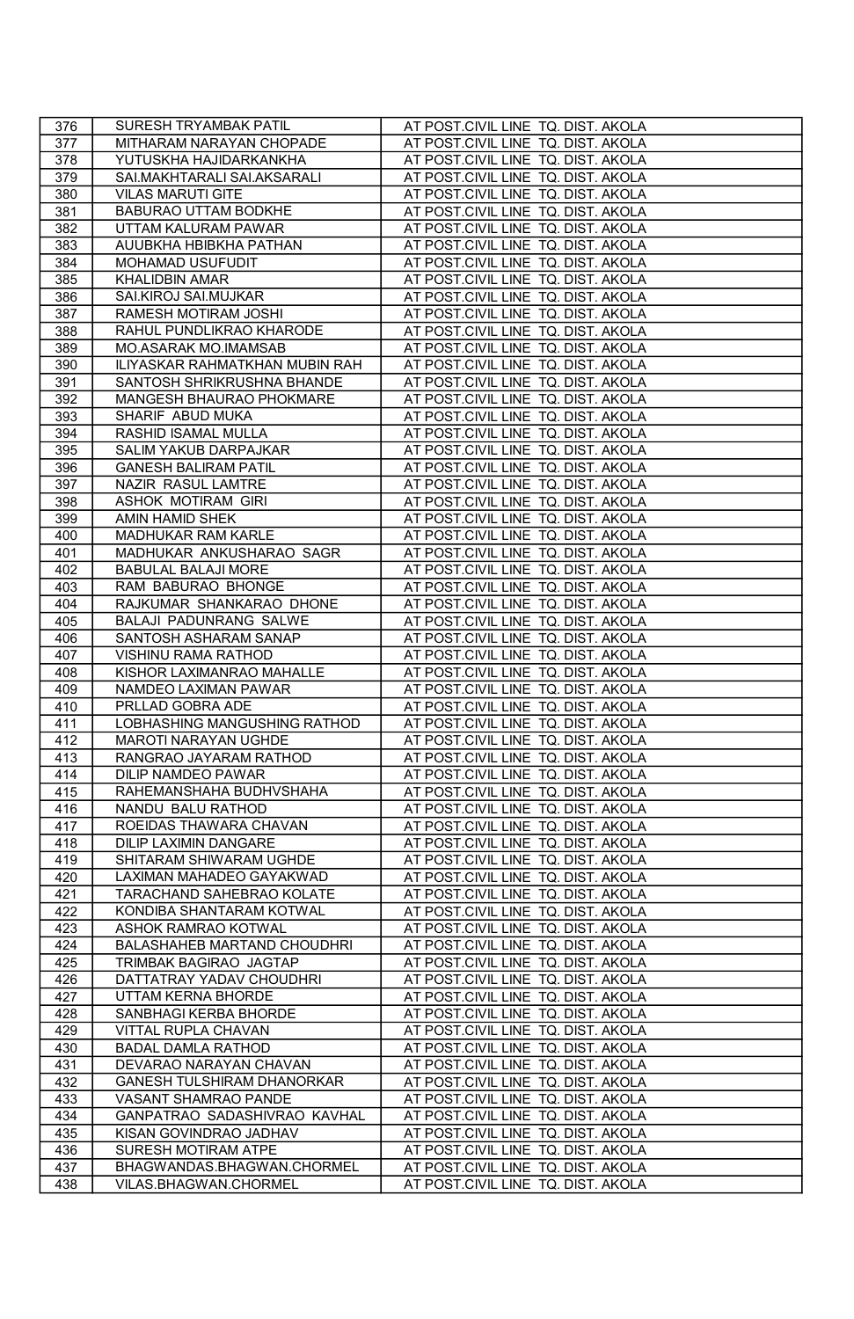| 376        | SURESH TRYAMBAK PATIL                          | AT POST.CIVIL LINE TQ. DIST. AKOLA                                       |
|------------|------------------------------------------------|--------------------------------------------------------------------------|
| 377        | MITHARAM NARAYAN CHOPADE                       | AT POST.CIVIL LINE TQ. DIST. AKOLA                                       |
| 378        | YUTUSKHA HAJIDARKANKHA                         | AT POST.CIVIL LINE TQ. DIST. AKOLA                                       |
| 379        | SAI.MAKHTARALI SAI.AKSARALI                    | AT POST.CIVIL LINE TQ. DIST. AKOLA                                       |
| 380        | <b>VILAS MARUTI GITE</b>                       | AT POST.CIVIL LINE TQ. DIST. AKOLA                                       |
| 381        | BABURAO UTTAM BODKHE                           | AT POST.CIVIL LINE TQ. DIST. AKOLA                                       |
| 382        | UTTAM KALURAM PAWAR                            | AT POST.CIVIL LINE TQ. DIST. AKOLA                                       |
| 383        | AUUBKHA HBIBKHA PATHAN                         | AT POST.CIVIL LINE TQ. DIST. AKOLA                                       |
| 384        | MOHAMAD USUFUDIT                               | AT POST.CIVIL LINE TQ. DIST. AKOLA                                       |
| 385        | KHALIDBIN AMAR                                 | AT POST.CIVIL LINE TQ. DIST. AKOLA                                       |
| 386        | SAI.KIROJ SAI.MUJKAR                           | AT POST.CIVIL LINE TQ. DIST. AKOLA                                       |
| 387        | RAMESH MOTIRAM JOSHI                           | AT POST.CIVIL LINE TQ. DIST. AKOLA                                       |
| 388        | RAHUL PUNDLIKRAO KHARODE                       | AT POST.CIVIL LINE TQ. DIST. AKOLA                                       |
| 389        | MO.ASARAK MO.IMAMSAB                           | AT POST.CIVIL LINE TQ. DIST. AKOLA                                       |
| 390        | ILIYASKAR RAHMATKHAN MUBIN RAH                 | AT POST.CIVIL LINE TQ. DIST. AKOLA                                       |
| 391        | SANTOSH SHRIKRUSHNA BHANDE                     | AT POST.CIVIL LINE TQ. DIST. AKOLA                                       |
| 392        | MANGESH BHAURAO PHOKMARE                       | AT POST.CIVIL LINE TQ. DIST. AKOLA                                       |
| 393        | SHARIF ABUD MUKA                               | AT POST.CIVIL LINE TQ. DIST. AKOLA                                       |
| 394        | RASHID ISAMAL MULLA                            | AT POST.CIVIL LINE TQ. DIST. AKOLA                                       |
| 395        | SALIM YAKUB DARPAJKAR                          | AT POST.CIVIL LINE TQ. DIST. AKOLA                                       |
| 396        | <b>GANESH BALIRAM PATIL</b>                    | AT POST.CIVIL LINE TQ. DIST. AKOLA                                       |
| 397        | NAZIR RASUL LAMTRE                             | AT POST.CIVIL LINE TQ. DIST. AKOLA                                       |
| 398        | ASHOK MOTIRAM GIRI                             | AT POST.CIVIL LINE TQ. DIST. AKOLA                                       |
| 399        | AMIN HAMID SHEK                                | AT POST.CIVIL LINE TQ. DIST. AKOLA                                       |
| 400        | MADHUKAR RAM KARLE                             | AT POST.CIVIL LINE TQ. DIST. AKOLA                                       |
| 401        | MADHUKAR ANKUSHARAO SAGR                       | AT POST.CIVIL LINE TQ. DIST. AKOLA                                       |
| 402        | <b>BABULAL BALAJI MORE</b>                     | AT POST.CIVIL LINE TQ. DIST. AKOLA                                       |
| 403        | RAM BABURAO BHONGE                             | AT POST.CIVIL LINE TQ. DIST. AKOLA                                       |
| 404        | RAJKUMAR SHANKARAO DHONE                       | AT POST.CIVIL LINE TQ. DIST. AKOLA                                       |
| 405        | BALAJI PADUNRANG SALWE                         | AT POST.CIVIL LINE TQ. DIST. AKOLA                                       |
| 406        | SANTOSH ASHARAM SANAP                          | AT POST.CIVIL LINE TQ. DIST. AKOLA                                       |
| 407        | VISHINU RAMA RATHOD                            | AT POST.CIVIL LINE TQ. DIST. AKOLA                                       |
| 408        | KISHOR LAXIMANRAO MAHALLE                      | AT POST.CIVIL LINE TQ. DIST. AKOLA                                       |
| 409        | NAMDEO LAXIMAN PAWAR                           | AT POST.CIVIL LINE TQ. DIST. AKOLA                                       |
| 410        | PRLLAD GOBRA ADE                               | AT POST.CIVIL LINE TQ. DIST. AKOLA                                       |
| 411        | LOBHASHING MANGUSHING RATHOD                   | AT POST.CIVIL LINE TQ. DIST. AKOLA                                       |
| 412        | MAROTI NARAYAN UGHDE                           | AT POST.CIVIL LINE TQ. DIST. AKOLA                                       |
| 413        | RANGRAO JAYARAM RATHOD                         | AT POST.CIVIL LINE TQ. DIST. AKOLA                                       |
| 414        | DILIP NAMDEO PAWAR                             | AT POST.CIVIL LINE TQ. DIST. AKOLA                                       |
| 415        | RAHEMANSHAHA BUDHVSHAHA                        | AT POST.CIVIL LINE TQ. DIST. AKOLA                                       |
| 416        | NANDU BALU RATHOD                              | AT POST.CIVIL LINE TQ. DIST. AKOLA                                       |
| 417        | ROEIDAS THAWARA CHAVAN                         | AT POST.CIVIL LINE TQ. DIST. AKOLA                                       |
| 418        | <b>DILIP LAXIMIN DANGARE</b>                   | AT POST.CIVIL LINE TQ. DIST. AKOLA                                       |
| 419        | SHITARAM SHIWARAM UGHDE                        | AT POST.CIVIL LINE TQ. DIST. AKOLA                                       |
| 420        | LAXIMAN MAHADEO GAYAKWAD                       | AT POST.CIVIL LINE TQ. DIST. AKOLA                                       |
| 421        | TARACHAND SAHEBRAO KOLATE                      | AT POST.CIVIL LINE TQ. DIST. AKOLA                                       |
| 422        | KONDIBA SHANTARAM KOTWAL                       | AT POST.CIVIL LINE TQ. DIST. AKOLA                                       |
| 423        | ASHOK RAMRAO KOTWAL                            | AT POST.CIVIL LINE TQ. DIST. AKOLA                                       |
| 424        | BALASHAHEB MARTAND CHOUDHRI                    | AT POST.CIVIL LINE TQ. DIST. AKOLA                                       |
| 425<br>426 | TRIMBAK BAGIRAO JAGTAP                         | AT POST.CIVIL LINE TQ. DIST. AKOLA                                       |
| 427        | DATTATRAY YADAV CHOUDHRI<br>UTTAM KERNA BHORDE | AT POST.CIVIL LINE TQ. DIST. AKOLA<br>AT POST.CIVIL LINE TQ. DIST. AKOLA |
| 428        |                                                | AT POST.CIVIL LINE TQ. DIST. AKOLA                                       |
| 429        | SANBHAGI KERBA BHORDE<br>VITTAL RUPLA CHAVAN   | AT POST.CIVIL LINE TQ. DIST. AKOLA                                       |
| 430        | <b>BADAL DAMLA RATHOD</b>                      | AT POST.CIVIL LINE TQ. DIST. AKOLA                                       |
| 431        | DEVARAO NARAYAN CHAVAN                         | AT POST.CIVIL LINE TQ. DIST. AKOLA                                       |
| 432        | GANESH TULSHIRAM DHANORKAR                     | AT POST.CIVIL LINE TQ. DIST. AKOLA                                       |
| 433        | VASANT SHAMRAO PANDE                           | AT POST.CIVIL LINE TQ. DIST. AKOLA                                       |
| 434        | GANPATRAO SADASHIVRAO KAVHAL                   | AT POST.CIVIL LINE TQ. DIST. AKOLA                                       |
| 435        | KISAN GOVINDRAO JADHAV                         | AT POST.CIVIL LINE TQ. DIST. AKOLA                                       |
| 436        | SURESH MOTIRAM ATPE                            | AT POST.CIVIL LINE TQ. DIST. AKOLA                                       |
| 437        | BHAGWANDAS.BHAGWAN.CHORMEL                     | AT POST.CIVIL LINE TQ. DIST. AKOLA                                       |
| 438        | VILAS.BHAGWAN.CHORMEL                          | AT POST.CIVIL LINE TQ. DIST. AKOLA                                       |
|            |                                                |                                                                          |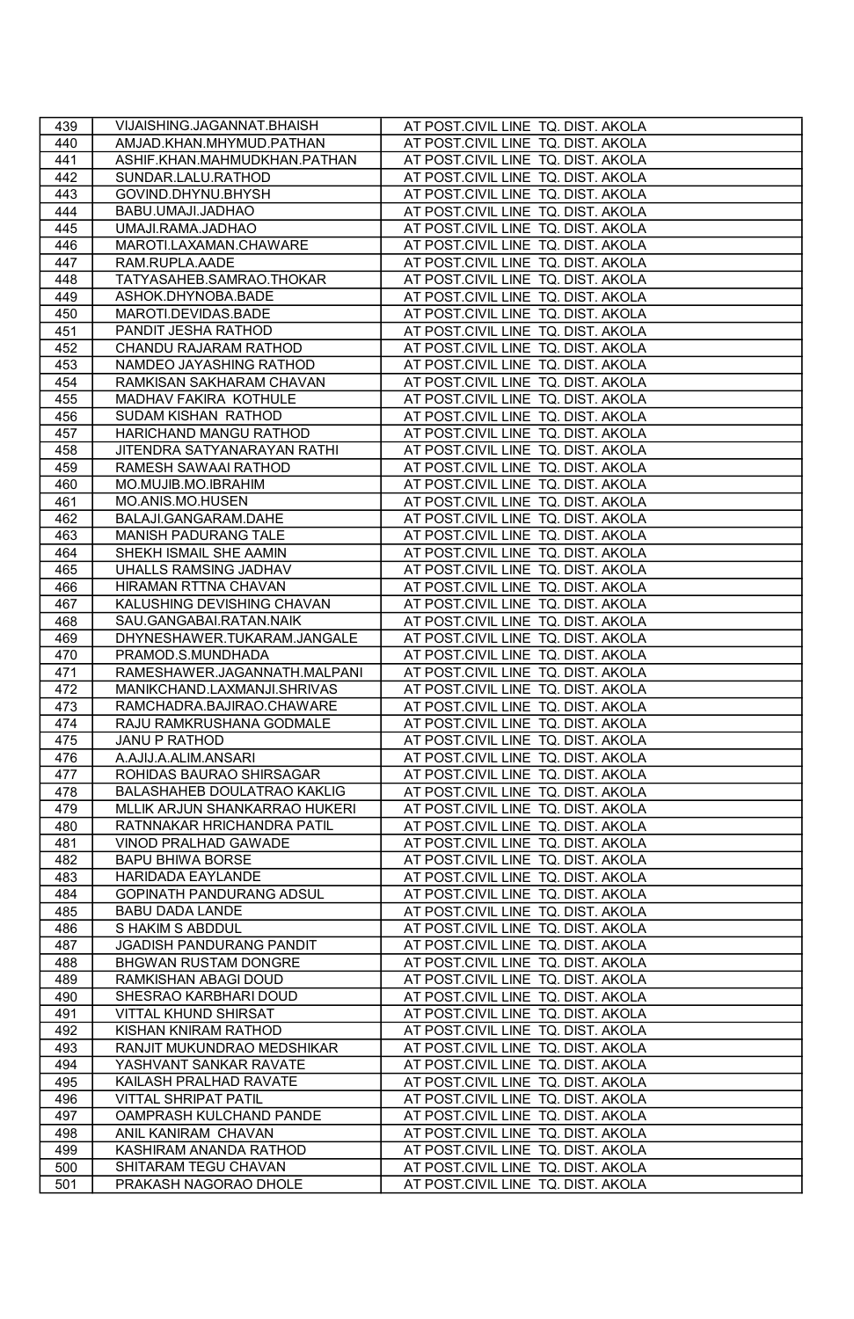| 439 | VIJAISHING.JAGANNAT.BHAISH      | AT POST.CIVIL LINE TQ. DIST. AKOLA |
|-----|---------------------------------|------------------------------------|
| 440 | AMJAD.KHAN.MHYMUD.PATHAN        | AT POST.CIVIL LINE TQ. DIST. AKOLA |
| 441 | ASHIF.KHAN.MAHMUDKHAN.PATHAN    | AT POST.CIVIL LINE TQ. DIST. AKOLA |
| 442 | SUNDAR.LALU.RATHOD              | AT POST.CIVIL LINE TQ. DIST. AKOLA |
| 443 | GOVIND.DHYNU.BHYSH              | AT POST.CIVIL LINE TQ. DIST. AKOLA |
| 444 | BABU.UMAJI.JADHAO               | AT POST.CIVIL LINE TQ. DIST. AKOLA |
| 445 | UMAJI.RAMA.JADHAO               | AT POST.CIVIL LINE TQ. DIST. AKOLA |
| 446 | MAROTI.LAXAMAN.CHAWARE          | AT POST.CIVIL LINE TQ. DIST. AKOLA |
| 447 | RAM.RUPLA.AADE                  | AT POST.CIVIL LINE TQ. DIST. AKOLA |
| 448 | TATYASAHEB.SAMRAO.THOKAR        | AT POST.CIVIL LINE TQ. DIST. AKOLA |
| 449 | ASHOK.DHYNOBA.BADE              | AT POST.CIVIL LINE TQ. DIST. AKOLA |
| 450 | MAROTI.DEVIDAS.BADE             | AT POST.CIVIL LINE TQ. DIST. AKOLA |
| 451 | PANDIT JESHA RATHOD             | AT POST.CIVIL LINE TQ. DIST. AKOLA |
| 452 | CHANDU RAJARAM RATHOD           | AT POST.CIVIL LINE TQ. DIST. AKOLA |
| 453 | NAMDEO JAYASHING RATHOD         | AT POST.CIVIL LINE TQ. DIST. AKOLA |
| 454 | RAMKISAN SAKHARAM CHAVAN        | AT POST.CIVIL LINE TQ. DIST. AKOLA |
| 455 | MADHAV FAKIRA KOTHULE           | AT POST.CIVIL LINE TQ. DIST. AKOLA |
| 456 | SUDAM KISHAN RATHOD             | AT POST.CIVIL LINE TQ. DIST. AKOLA |
| 457 | HARICHAND MANGU RATHOD          | AT POST.CIVIL LINE TQ. DIST. AKOLA |
| 458 | JITENDRA SATYANARAYAN RATHI     | AT POST.CIVIL LINE TQ. DIST. AKOLA |
| 459 | RAMESH SAWAAI RATHOD            | AT POST.CIVIL LINE TQ. DIST. AKOLA |
| 460 | MO.MUJIB.MO.IBRAHIM             | AT POST.CIVIL LINE TQ. DIST. AKOLA |
| 461 | MO.ANIS.MO.HUSEN                | AT POST.CIVIL LINE TQ. DIST. AKOLA |
| 462 | BALAJI.GANGARAM.DAHE            | AT POST.CIVIL LINE TQ. DIST. AKOLA |
| 463 | MANISH PADURANG TALE            | AT POST.CIVIL LINE TQ. DIST. AKOLA |
| 464 | SHEKH ISMAIL SHE AAMIN          | AT POST.CIVIL LINE TQ. DIST. AKOLA |
| 465 | UHALLS RAMSING JADHAV           | AT POST.CIVIL LINE TQ. DIST. AKOLA |
| 466 | HIRAMAN RTTNA CHAVAN            | AT POST.CIVIL LINE TQ. DIST. AKOLA |
| 467 | KALUSHING DEVISHING CHAVAN      | AT POST.CIVIL LINE TQ. DIST. AKOLA |
| 468 | SAU.GANGABAI.RATAN.NAIK         | AT POST.CIVIL LINE TQ. DIST. AKOLA |
| 469 | DHYNESHAWER.TUKARAM.JANGALE     | AT POST.CIVIL LINE TQ. DIST. AKOLA |
| 470 | PRAMOD.S.MUNDHADA               | AT POST.CIVIL LINE TQ. DIST. AKOLA |
| 471 | RAMESHAWER.JAGANNATH.MALPANI    | AT POST.CIVIL LINE TQ. DIST. AKOLA |
| 472 | MANIKCHAND.LAXMANJI.SHRIVAS     | AT POST.CIVIL LINE TQ. DIST. AKOLA |
| 473 | RAMCHADRA.BAJIRAO.CHAWARE       | AT POST.CIVIL LINE TQ. DIST. AKOLA |
| 474 | RAJU RAMKRUSHANA GODMALE        | AT POST.CIVIL LINE TQ. DIST. AKOLA |
| 475 | JANU P RATHOD                   | AT POST.CIVIL LINE TQ. DIST. AKOLA |
| 476 | A.AJIJ.A.ALIM.ANSARI            | AT POST.CIVIL LINE TQ. DIST. AKOLA |
| 477 | ROHIDAS BAURAO SHIRSAGAR        | AT POST.CIVIL LINE TQ. DIST. AKOLA |
| 478 | BALASHAHEB DOULATRAO KAKLIG     | AT POST.CIVIL LINE TQ. DIST. AKOLA |
| 479 | MLLIK ARJUN SHANKARRAO HUKERI   | AT POST.CIVIL LINE TQ. DIST. AKOLA |
| 480 | RATNNAKAR HRICHANDRA PATIL      | AT POST.CIVIL LINE TQ. DIST. AKOLA |
| 481 | VINOD PRALHAD GAWADE            | AT POST.CIVIL LINE TQ. DIST. AKOLA |
| 482 | <b>BAPU BHIWA BORSE</b>         | AT POST.CIVIL LINE TQ. DIST. AKOLA |
| 483 | <b>HARIDADA EAYLANDE</b>        | AT POST.CIVIL LINE TQ. DIST. AKOLA |
| 484 | <b>GOPINATH PANDURANG ADSUL</b> | AT POST.CIVIL LINE TQ. DIST. AKOLA |
| 485 | <b>BABU DADA LANDE</b>          | AT POST.CIVIL LINE TQ. DIST. AKOLA |
| 486 | S HAKIM S ABDDUL                | AT POST.CIVIL LINE TQ. DIST. AKOLA |
| 487 | JGADISH PANDURANG PANDIT        | AT POST.CIVIL LINE TQ. DIST. AKOLA |
| 488 | BHGWAN RUSTAM DONGRE            | AT POST.CIVIL LINE TQ. DIST. AKOLA |
| 489 | RAMKISHAN ABAGI DOUD            | AT POST.CIVIL LINE TQ. DIST. AKOLA |
| 490 | SHESRAO KARBHARI DOUD           | AT POST.CIVIL LINE TQ. DIST. AKOLA |
| 491 | VITTAL KHUND SHIRSAT            | AT POST.CIVIL LINE TQ. DIST. AKOLA |
| 492 | KISHAN KNIRAM RATHOD            | AT POST.CIVIL LINE TQ. DIST. AKOLA |
| 493 | RANJIT MUKUNDRAO MEDSHIKAR      | AT POST.CIVIL LINE TQ. DIST. AKOLA |
| 494 | YASHVANT SANKAR RAVATE          | AT POST.CIVIL LINE TQ. DIST. AKOLA |
| 495 | KAILASH PRALHAD RAVATE          | AT POST.CIVIL LINE TQ. DIST. AKOLA |
| 496 | <b>VITTAL SHRIPAT PATIL</b>     | AT POST.CIVIL LINE TQ. DIST. AKOLA |
| 497 | OAMPRASH KULCHAND PANDE         | AT POST.CIVIL LINE TQ. DIST. AKOLA |
| 498 | ANIL KANIRAM CHAVAN             | AT POST.CIVIL LINE TQ. DIST. AKOLA |
| 499 | KASHIRAM ANANDA RATHOD          | AT POST.CIVIL LINE TQ. DIST. AKOLA |
| 500 | SHITARAM TEGU CHAVAN            | AT POST.CIVIL LINE TQ. DIST. AKOLA |
| 501 | PRAKASH NAGORAO DHOLE           | AT POST.CIVIL LINE TQ. DIST. AKOLA |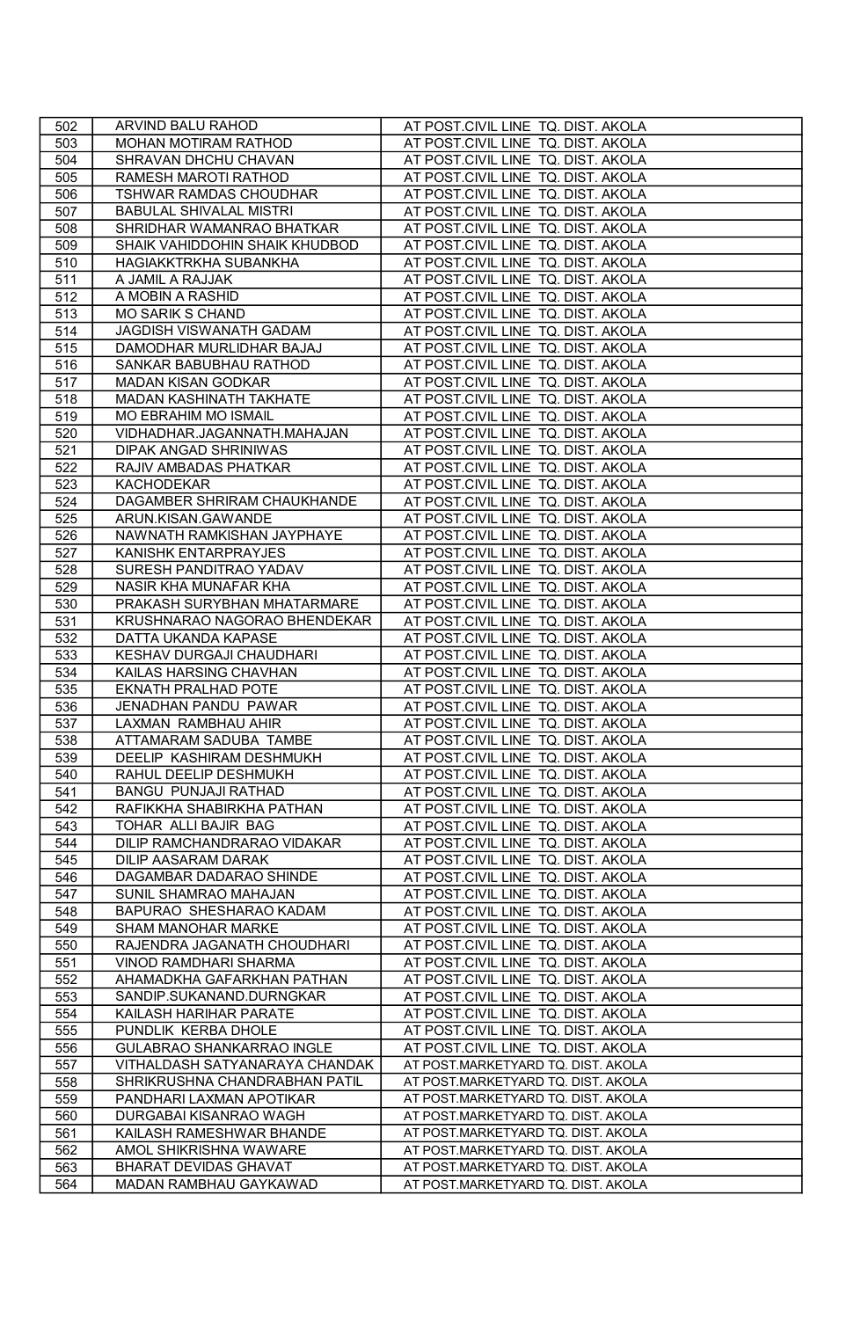| 502 | ARVIND BALU RAHOD              | AT POST.CIVIL LINE TQ. DIST. AKOLA |
|-----|--------------------------------|------------------------------------|
| 503 | MOHAN MOTIRAM RATHOD           | AT POST.CIVIL LINE TQ. DIST. AKOLA |
| 504 | SHRAVAN DHCHU CHAVAN           | AT POST.CIVIL LINE TQ. DIST. AKOLA |
| 505 | RAMESH MAROTI RATHOD           | AT POST.CIVIL LINE TQ. DIST. AKOLA |
| 506 | TSHWAR RAMDAS CHOUDHAR         | AT POST.CIVIL LINE TQ. DIST. AKOLA |
| 507 | <b>BABULAL SHIVALAL MISTRI</b> | AT POST.CIVIL LINE TQ. DIST. AKOLA |
| 508 | SHRIDHAR WAMANRAO BHATKAR      | AT POST.CIVIL LINE TQ. DIST. AKOLA |
| 509 | SHAIK VAHIDDOHIN SHAIK KHUDBOD | AT POST.CIVIL LINE TQ. DIST. AKOLA |
| 510 | <b>HAGIAKKTRKHA SUBANKHA</b>   | AT POST.CIVIL LINE TQ. DIST. AKOLA |
| 511 | A JAMIL A RAJJAK               | AT POST.CIVIL LINE TQ. DIST. AKOLA |
| 512 | A MOBIN A RASHID               | AT POST.CIVIL LINE TQ. DIST. AKOLA |
| 513 | <b>MO SARIK S CHAND</b>        | AT POST.CIVIL LINE TQ. DIST. AKOLA |
| 514 | JAGDISH VISWANATH GADAM        | AT POST.CIVIL LINE TQ. DIST. AKOLA |
| 515 | DAMODHAR MURLIDHAR BAJAJ       | AT POST.CIVIL LINE TQ. DIST. AKOLA |
| 516 | SANKAR BABUBHAU RATHOD         | AT POST.CIVIL LINE TQ. DIST. AKOLA |
| 517 | <b>MADAN KISAN GODKAR</b>      | AT POST.CIVIL LINE TQ. DIST. AKOLA |
| 518 | MADAN KASHINATH TAKHATE        | AT POST.CIVIL LINE TQ. DIST. AKOLA |
| 519 | MO EBRAHIM MO ISMAIL           | AT POST.CIVIL LINE TQ. DIST. AKOLA |
| 520 | VIDHADHAR.JAGANNATH.MAHAJAN    | AT POST.CIVIL LINE TQ. DIST. AKOLA |
| 521 | DIPAK ANGAD SHRINIWAS          | AT POST.CIVIL LINE TQ. DIST. AKOLA |
| 522 | RAJIV AMBADAS PHATKAR          | AT POST.CIVIL LINE TQ. DIST. AKOLA |
| 523 | KACHODEKAR                     | AT POST.CIVIL LINE TQ. DIST. AKOLA |
| 524 | DAGAMBER SHRIRAM CHAUKHANDE    | AT POST.CIVIL LINE TQ. DIST. AKOLA |
| 525 | ARUN.KISAN.GAWANDE             | AT POST.CIVIL LINE TQ. DIST. AKOLA |
| 526 | NAWNATH RAMKISHAN JAYPHAYE     | AT POST.CIVIL LINE TQ. DIST. AKOLA |
| 527 | KANISHK ENTARPRAYJES           | AT POST.CIVIL LINE TQ. DIST. AKOLA |
| 528 | SURESH PANDITRAO YADAV         | AT POST.CIVIL LINE TQ. DIST. AKOLA |
| 529 | NASIR KHA MUNAFAR KHA          | AT POST.CIVIL LINE TQ. DIST. AKOLA |
| 530 | PRAKASH SURYBHAN MHATARMARE    | AT POST.CIVIL LINE TQ. DIST. AKOLA |
| 531 | KRUSHNARAO NAGORAO BHENDEKAR   | AT POST.CIVIL LINE TQ. DIST. AKOLA |
| 532 | DATTA UKANDA KAPASE            | AT POST.CIVIL LINE TQ. DIST. AKOLA |
| 533 | KESHAV DURGAJI CHAUDHARI       | AT POST.CIVIL LINE TQ. DIST. AKOLA |
| 534 | KAILAS HARSING CHAVHAN         | AT POST.CIVIL LINE TQ. DIST. AKOLA |
| 535 | EKNATH PRALHAD POTE            | AT POST.CIVIL LINE TQ. DIST. AKOLA |
| 536 | JENADHAN PANDU PAWAR           | AT POST.CIVIL LINE TQ. DIST. AKOLA |
| 537 | LAXMAN RAMBHAU AHIR            | AT POST.CIVIL LINE TQ. DIST. AKOLA |
| 538 | ATTAMARAM SADUBA TAMBE         | AT POST.CIVIL LINE TQ. DIST. AKOLA |
| 539 | DEELIP KASHIRAM DESHMUKH       | AT POST.CIVIL LINE TQ. DIST. AKOLA |
| 540 | RAHUL DEELIP DESHMUKH          | AT POST.CIVIL LINE TQ. DIST. AKOLA |
| 541 | BANGU PUNJAJI RATHAD           | AT POST.CIVIL LINE TQ. DIST. AKOLA |
| 542 | RAFIKKHA SHABIRKHA PATHAN      | AT POST.CIVIL LINE TQ. DIST. AKOLA |
| 543 | TOHAR ALLI BAJIR BAG           | AT POST.CIVIL LINE TQ. DIST. AKOLA |
| 544 | DILIP RAMCHANDRARAO VIDAKAR    | AT POST.CIVIL LINE TQ. DIST. AKOLA |
| 545 | DILIP AASARAM DARAK            | AT POST.CIVIL LINE TQ. DIST. AKOLA |
| 546 | DAGAMBAR DADARAO SHINDE        | AT POST.CIVIL LINE TQ. DIST. AKOLA |
| 547 | SUNIL SHAMRAO MAHAJAN          | AT POST.CIVIL LINE TQ. DIST. AKOLA |
| 548 | BAPURAO SHESHARAO KADAM        | AT POST.CIVIL LINE TQ. DIST. AKOLA |
| 549 | SHAM MANOHAR MARKE             | AT POST.CIVIL LINE TQ. DIST. AKOLA |
| 550 | RAJENDRA JAGANATH CHOUDHARI    | AT POST.CIVIL LINE TQ. DIST. AKOLA |
| 551 | VINOD RAMDHARI SHARMA          | AT POST.CIVIL LINE TQ. DIST. AKOLA |
| 552 | AHAMADKHA GAFARKHAN PATHAN     | AT POST.CIVIL LINE TQ. DIST. AKOLA |
| 553 | SANDIP.SUKANAND.DURNGKAR       | AT POST.CIVIL LINE TQ. DIST. AKOLA |
| 554 | KAILASH HARIHAR PARATE         | AT POST.CIVIL LINE TQ. DIST. AKOLA |
| 555 | PUNDLIK KERBA DHOLE            | AT POST.CIVIL LINE TQ. DIST. AKOLA |
| 556 | GULABRAO SHANKARRAO INGLE      | AT POST.CIVIL LINE TQ. DIST. AKOLA |
| 557 | VITHALDASH SATYANARAYA CHANDAK | AT POST.MARKETYARD TQ. DIST. AKOLA |
| 558 | SHRIKRUSHNA CHANDRABHAN PATIL  | AT POST.MARKETYARD TQ. DIST. AKOLA |
| 559 | PANDHARI LAXMAN APOTIKAR       | AT POST.MARKETYARD TQ. DIST. AKOLA |
| 560 | DURGABAI KISANRAO WAGH         | AT POST.MARKETYARD TQ. DIST. AKOLA |
| 561 | KAILASH RAMESHWAR BHANDE       | AT POST.MARKETYARD TQ. DIST. AKOLA |
| 562 | AMOL SHIKRISHNA WAWARE         | AT POST.MARKETYARD TQ. DIST. AKOLA |
| 563 | <b>BHARAT DEVIDAS GHAVAT</b>   | AT POST.MARKETYARD TQ. DIST. AKOLA |
| 564 | MADAN RAMBHAU GAYKAWAD         | AT POST.MARKETYARD TQ. DIST. AKOLA |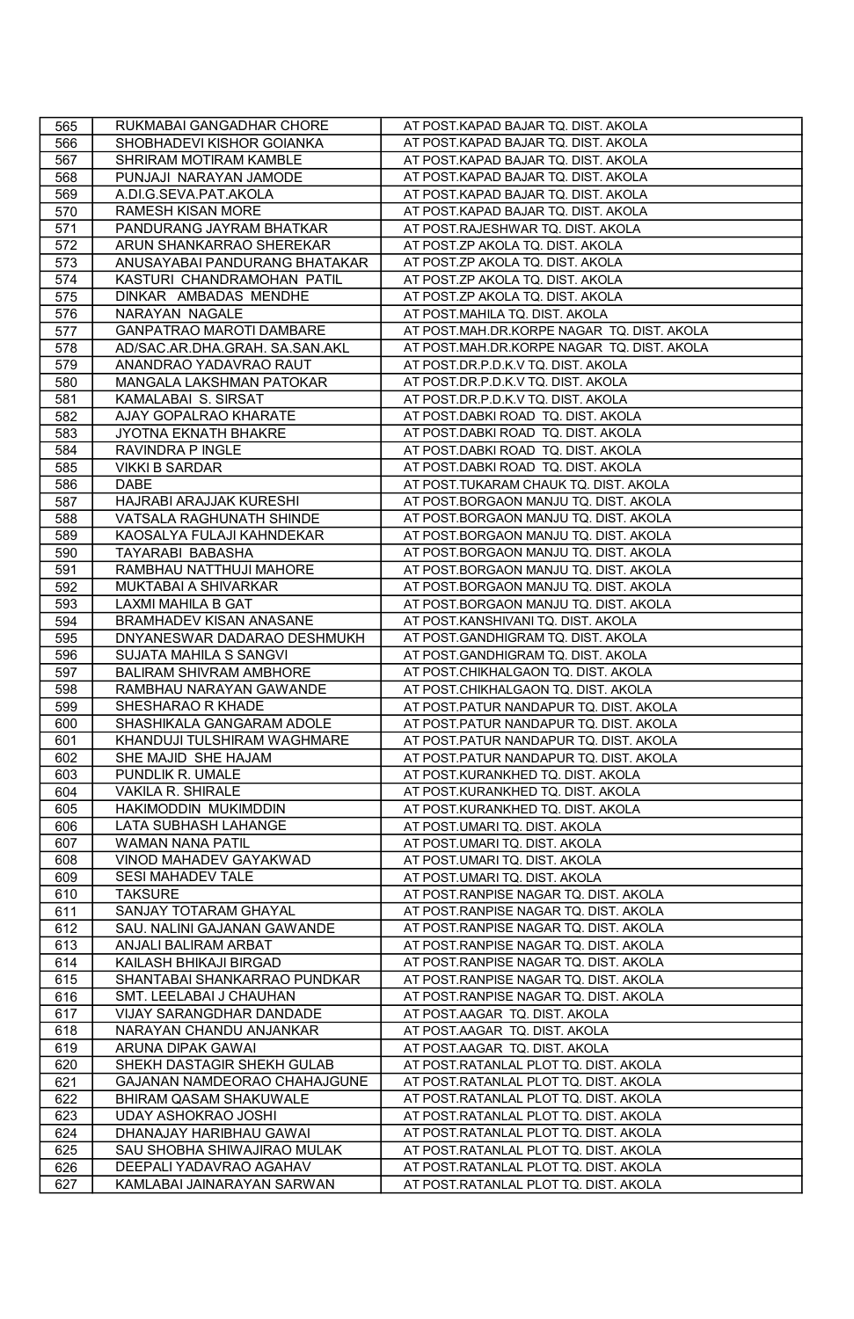| 565 | RUKMABAI GANGADHAR CHORE        | AT POST.KAPAD BAJAR TQ. DIST. AKOLA        |
|-----|---------------------------------|--------------------------------------------|
| 566 | SHOBHADEVI KISHOR GOIANKA       | AT POST.KAPAD BAJAR TQ. DIST. AKOLA        |
| 567 | SHRIRAM MOTIRAM KAMBLE          | AT POST.KAPAD BAJAR TQ. DIST. AKOLA        |
| 568 | PUNJAJI NARAYAN JAMODE          | AT POST.KAPAD BAJAR TQ. DIST. AKOLA        |
| 569 | A.DI.G.SEVA.PAT.AKOLA           | AT POST.KAPAD BAJAR TQ. DIST. AKOLA        |
| 570 | <b>RAMESH KISAN MORE</b>        | AT POST.KAPAD BAJAR TQ. DIST. AKOLA        |
| 571 | PANDURANG JAYRAM BHATKAR        | AT POST.RAJESHWAR TQ. DIST. AKOLA          |
| 572 | ARUN SHANKARRAO SHEREKAR        | AT POST.ZP AKOLA TQ. DIST. AKOLA           |
| 573 | ANUSAYABAI PANDURANG BHATAKAR   | AT POST.ZP AKOLA TQ. DIST. AKOLA           |
| 574 | KASTURI CHANDRAMOHAN PATIL      | AT POST.ZP AKOLA TQ. DIST. AKOLA           |
| 575 | DINKAR AMBADAS MENDHE           | AT POST.ZP AKOLA TQ. DIST. AKOLA           |
| 576 | NARAYAN NAGALE                  | AT POST.MAHILA TQ. DIST. AKOLA             |
| 577 | <b>GANPATRAO MAROTI DAMBARE</b> | AT POST.MAH.DR.KORPE NAGAR TQ. DIST. AKOLA |
| 578 | AD/SAC.AR.DHA.GRAH. SA.SAN.AKL  | AT POST.MAH.DR.KORPE NAGAR TQ. DIST. AKOLA |
| 579 | ANANDRAO YADAVRAO RAUT          | AT POST.DR.P.D.K.V TQ. DIST. AKOLA         |
| 580 | MANGALA LAKSHMAN PATOKAR        | AT POST.DR.P.D.K.V TQ. DIST. AKOLA         |
| 581 | KAMALABAI S. SIRSAT             | AT POST.DR.P.D.K.V TQ. DIST. AKOLA         |
| 582 | AJAY GOPALRAO KHARATE           | AT POST.DABKI ROAD TQ. DIST. AKOLA         |
| 583 | JYOTNA EKNATH BHAKRE            | AT POST.DABKI ROAD TQ. DIST. AKOLA         |
| 584 | RAVINDRA P INGLE                | AT POST.DABKI ROAD TQ. DIST. AKOLA         |
| 585 | <b>VIKKI B SARDAR</b>           | AT POST.DABKI ROAD TQ. DIST. AKOLA         |
| 586 | DABE                            | AT POST.TUKARAM CHAUK TQ. DIST. AKOLA      |
| 587 | HAJRABI ARAJJAK KURESHI         | AT POST.BORGAON MANJU TQ. DIST. AKOLA      |
| 588 | VATSALA RAGHUNATH SHINDE        | AT POST.BORGAON MANJU TQ. DIST. AKOLA      |
| 589 | KAOSALYA FULAJI KAHNDEKAR       | AT POST.BORGAON MANJU TQ. DIST. AKOLA      |
| 590 | TAYARABI BABASHA                | AT POST.BORGAON MANJU TQ. DIST. AKOLA      |
| 591 | RAMBHAU NATTHUJI MAHORE         | AT POST.BORGAON MANJU TQ. DIST. AKOLA      |
| 592 | MUKTABAI A SHIVARKAR            | AT POST.BORGAON MANJU TQ. DIST. AKOLA      |
| 593 | LAXMI MAHILA B GAT              | AT POST.BORGAON MANJU TQ. DIST. AKOLA      |
| 594 | BRAMHADEV KISAN ANASANE         | AT POST.KANSHIVANI TQ. DIST. AKOLA         |
| 595 | DNYANESWAR DADARAO DESHMUKH     | AT POST.GANDHIGRAM TQ. DIST. AKOLA         |
| 596 | SUJATA MAHILA S SANGVI          | AT POST.GANDHIGRAM TQ. DIST. AKOLA         |
| 597 | <b>BALIRAM SHIVRAM AMBHORE</b>  | AT POST.CHIKHALGAON TQ. DIST. AKOLA        |
| 598 | RAMBHAU NARAYAN GAWANDE         | AT POST.CHIKHALGAON TQ. DIST. AKOLA        |
| 599 | SHESHARAO R KHADE               | AT POST.PATUR NANDAPUR TQ. DIST. AKOLA     |
| 600 | SHASHIKALA GANGARAM ADOLE       | AT POST.PATUR NANDAPUR TQ. DIST. AKOLA     |
| 601 | KHANDUJI TULSHIRAM WAGHMARE     | AT POST.PATUR NANDAPUR TQ. DIST. AKOLA     |
| 602 | SHE MAJID SHE HAJAM             | AT POST.PATUR NANDAPUR TQ. DIST. AKOLA     |
| 603 | PUNDLIK R. UMALE                | AT POST.KURANKHED TQ. DIST. AKOLA          |
| 604 | <b>VAKILA R. SHIRALE</b>        | AT POST.KURANKHED TQ. DIST. AKOLA          |
| 605 | HAKIMODDIN MUKIMDDIN            | AT POST.KURANKHED TQ. DIST. AKOLA          |
| 606 | LATA SUBHASH LAHANGE            | AT POST.UMARI TQ. DIST. AKOLA              |
| 607 | WAMAN NANA PATIL                | AT POST.UMARI TQ. DIST. AKOLA              |
| 608 | VINOD MAHADEV GAYAKWAD          | AT POST.UMARI TQ. DIST. AKOLA              |
| 609 | SESI MAHADEV TALE               | AT POST.UMARI TQ. DIST. AKOLA              |
| 610 | <b>TAKSURE</b>                  | AT POST.RANPISE NAGAR TQ. DIST. AKOLA      |
| 611 | SANJAY TOTARAM GHAYAL           | AT POST.RANPISE NAGAR TQ. DIST. AKOLA      |
| 612 | SAU. NALINI GAJANAN GAWANDE     | AT POST.RANPISE NAGAR TQ. DIST. AKOLA      |
| 613 | ANJALI BALIRAM ARBAT            | AT POST.RANPISE NAGAR TQ. DIST. AKOLA      |
| 614 | KAILASH BHIKAJI BIRGAD          | AT POST.RANPISE NAGAR TQ. DIST. AKOLA      |
| 615 | SHANTABAI SHANKARRAO PUNDKAR    | AT POST.RANPISE NAGAR TQ. DIST. AKOLA      |
| 616 | SMT. LEELABAI J CHAUHAN         | AT POST.RANPISE NAGAR TQ. DIST. AKOLA      |
| 617 | VIJAY SARANGDHAR DANDADE        | AT POST.AAGAR TQ. DIST. AKOLA              |
| 618 | NARAYAN CHANDU ANJANKAR         | AT POST.AAGAR TQ. DIST. AKOLA              |
| 619 | ARUNA DIPAK GAWAI               | AT POST.AAGAR TQ. DIST. AKOLA              |
| 620 | SHEKH DASTAGIR SHEKH GULAB      | AT POST.RATANLAL PLOT TQ. DIST. AKOLA      |
| 621 | GAJANAN NAMDEORAO CHAHAJGUNE    | AT POST.RATANLAL PLOT TQ. DIST. AKOLA      |
| 622 | BHIRAM QASAM SHAKUWALE          | AT POST.RATANLAL PLOT TQ. DIST. AKOLA      |
| 623 | <b>UDAY ASHOKRAO JOSHI</b>      | AT POST.RATANLAL PLOT TQ. DIST. AKOLA      |
| 624 | DHANAJAY HARIBHAU GAWAI         | AT POST.RATANLAL PLOT TQ. DIST. AKOLA      |
| 625 | SAU SHOBHA SHIWAJIRAO MULAK     | AT POST.RATANLAL PLOT TQ. DIST. AKOLA      |
| 626 | DEEPALI YADAVRAO AGAHAV         | AT POST.RATANLAL PLOT TQ. DIST. AKOLA      |
| 627 | KAMLABAI JAINARAYAN SARWAN      | AT POST.RATANLAL PLOT TQ. DIST. AKOLA      |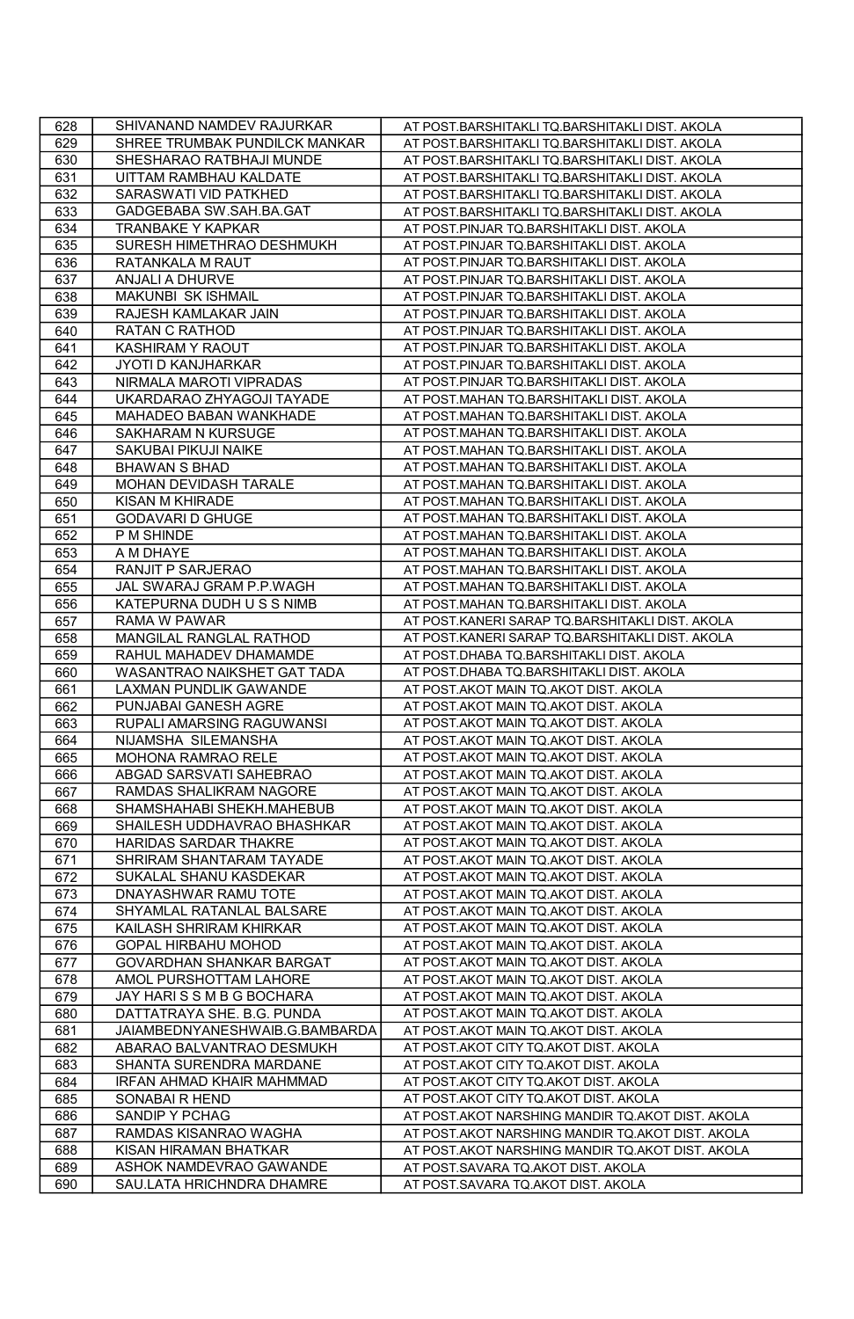| 628 | SHIVANAND NAMDEV RAJURKAR        | AT POST.BARSHITAKLI TQ.BARSHITAKLI DIST. AKOLA   |
|-----|----------------------------------|--------------------------------------------------|
| 629 | SHREE TRUMBAK PUNDILCK MANKAR    | AT POST.BARSHITAKLI TQ.BARSHITAKLI DIST. AKOLA   |
| 630 | SHESHARAO RATBHAJI MUNDE         | AT POST.BARSHITAKLI TQ.BARSHITAKLI DIST. AKOLA   |
| 631 | UITTAM RAMBHAU KALDATE           | AT POST.BARSHITAKLI TQ.BARSHITAKLI DIST. AKOLA   |
| 632 | SARASWATI VID PATKHED            | AT POST.BARSHITAKLI TQ.BARSHITAKLI DIST. AKOLA   |
| 633 | GADGEBABA SW.SAH.BA.GAT          | AT POST.BARSHITAKLI TQ.BARSHITAKLI DIST. AKOLA   |
| 634 | <b>TRANBAKE Y KAPKAR</b>         | AT POST.PINJAR TQ.BARSHITAKLI DIST. AKOLA        |
| 635 | SURESH HIMETHRAO DESHMUKH        | AT POST.PINJAR TQ.BARSHITAKLI DIST. AKOLA        |
| 636 | RATANKALA M RAUT                 | AT POST.PINJAR TQ.BARSHITAKLI DIST. AKOLA        |
| 637 | <b>ANJALI A DHURVE</b>           | AT POST.PINJAR TQ.BARSHITAKLI DIST. AKOLA        |
| 638 | MAKUNBI SK ISHMAIL               | AT POST.PINJAR TQ.BARSHITAKLI DIST. AKOLA        |
| 639 | RAJESH KAMLAKAR JAIN             | AT POST.PINJAR TQ.BARSHITAKLI DIST. AKOLA        |
| 640 | <b>RATAN C RATHOD</b>            | AT POST.PINJAR TQ.BARSHITAKLI DIST. AKOLA        |
| 641 | <b>KASHIRAM Y RAOUT</b>          | AT POST.PINJAR TQ.BARSHITAKLI DIST. AKOLA        |
| 642 | JYOTI D KANJHARKAR               | AT POST.PINJAR TQ.BARSHITAKLI DIST. AKOLA        |
| 643 | NIRMALA MAROTI VIPRADAS          | AT POST.PINJAR TQ.BARSHITAKLI DIST. AKOLA        |
| 644 | UKARDARAO ZHYAGOJI TAYADE        | AT POST.MAHAN TQ.BARSHITAKLI DIST. AKOLA         |
| 645 | MAHADEO BABAN WANKHADE           | AT POST.MAHAN TQ.BARSHITAKLI DIST. AKOLA         |
| 646 | SAKHARAM N KURSUGE               | AT POST.MAHAN TQ.BARSHITAKLI DIST. AKOLA         |
| 647 | SAKUBAI PIKUJI NAIKE             | AT POST.MAHAN TQ.BARSHITAKLI DIST. AKOLA         |
| 648 | <b>BHAWAN S BHAD</b>             | AT POST.MAHAN TQ.BARSHITAKLI DIST. AKOLA         |
| 649 | MOHAN DEVIDASH TARALE            | AT POST.MAHAN TQ.BARSHITAKLI DIST. AKOLA         |
| 650 | <b>KISAN M KHIRADE</b>           | AT POST.MAHAN TQ.BARSHITAKLI DIST. AKOLA         |
| 651 | <b>GODAVARI D GHUGE</b>          | AT POST.MAHAN TQ.BARSHITAKLI DIST. AKOLA         |
| 652 | P M SHINDE                       | AT POST.MAHAN TQ.BARSHITAKLI DIST. AKOLA         |
| 653 | A M DHAYE                        | AT POST.MAHAN TQ.BARSHITAKLI DIST. AKOLA         |
| 654 | RANJIT P SARJERAO                | AT POST.MAHAN TQ.BARSHITAKLI DIST. AKOLA         |
| 655 | JAL SWARAJ GRAM P.P.WAGH         | AT POST.MAHAN TQ.BARSHITAKLI DIST. AKOLA         |
| 656 | KATEPURNA DUDH U S S NIMB        | AT POST.MAHAN TQ.BARSHITAKLI DIST. AKOLA         |
| 657 | RAMA W PAWAR                     | AT POST.KANERI SARAP TQ.BARSHITAKLI DIST. AKOLA  |
| 658 | MANGILAL RANGLAL RATHOD          | AT POST.KANERI SARAP TQ.BARSHITAKLI DIST. AKOLA  |
| 659 | RAHUL MAHADEV DHAMAMDE           | AT POST.DHABA TQ.BARSHITAKLI DIST. AKOLA         |
| 660 | WASANTRAO NAIKSHET GAT TADA      | AT POST.DHABA TQ.BARSHITAKLI DIST. AKOLA         |
| 661 | LAXMAN PUNDLIK GAWANDE           | AT POST.AKOT MAIN TQ.AKOT DIST. AKOLA            |
| 662 | PUNJABAI GANESH AGRE             | AT POST.AKOT MAIN TQ.AKOT DIST. AKOLA            |
| 663 | RUPALI AMARSING RAGUWANSI        | AT POST.AKOT MAIN TQ.AKOT DIST. AKOLA            |
| 664 | NIJAMSHA SILEMANSHA              | AT POST.AKOT MAIN TQ.AKOT DIST. AKOLA            |
| 665 | MOHONA RAMRAO RELE               | AT POST.AKOT MAIN TQ.AKOT DIST. AKOLA            |
| 666 | ABGAD SARSVATI SAHEBRAO          | AT POST.AKOT MAIN TQ.AKOT DIST. AKOLA            |
| 667 | RAMDAS SHALIKRAM NAGORE          | AT POST.AKOT MAIN TQ.AKOT DIST. AKOLA            |
| 668 | SHAMSHAHABI SHEKH.MAHEBUB        | AT POST.AKOT MAIN TQ.AKOT DIST. AKOLA            |
| 669 | SHAILESH UDDHAVRAO BHASHKAR      | AT POST.AKOT MAIN TQ.AKOT DIST. AKOLA            |
| 670 | HARIDAS SARDAR THAKRE            | AT POST.AKOT MAIN TQ.AKOT DIST. AKOLA            |
| 671 | SHRIRAM SHANTARAM TAYADE         | AT POST.AKOT MAIN TQ.AKOT DIST. AKOLA            |
| 672 | SUKALAL SHANU KASDEKAR           | AT POST.AKOT MAIN TQ.AKOT DIST. AKOLA            |
| 673 | DNAYASHWAR RAMU TOTE             | AT POST.AKOT MAIN TQ.AKOT DIST. AKOLA            |
| 674 | SHYAMLAL RATANLAL BALSARE        | AT POST.AKOT MAIN TQ.AKOT DIST. AKOLA            |
| 675 | KAILASH SHRIRAM KHIRKAR          | AT POST.AKOT MAIN TQ.AKOT DIST. AKOLA            |
| 676 | <b>GOPAL HIRBAHU MOHOD</b>       | AT POST.AKOT MAIN TQ.AKOT DIST. AKOLA            |
| 677 | GOVARDHAN SHANKAR BARGAT         | AT POST.AKOT MAIN TQ.AKOT DIST. AKOLA            |
| 678 | AMOL PURSHOTTAM LAHORE           | AT POST.AKOT MAIN TQ.AKOT DIST. AKOLA            |
| 679 | JAY HARISSMBGBOCHARA             | AT POST.AKOT MAIN TQ.AKOT DIST. AKOLA            |
| 680 | DATTATRAYA SHE. B.G. PUNDA       | AT POST.AKOT MAIN TQ.AKOT DIST. AKOLA            |
| 681 | JAIAMBEDNYANESHWAIB.G.BAMBARDA   | AT POST.AKOT MAIN TQ.AKOT DIST. AKOLA            |
| 682 | ABARAO BALVANTRAO DESMUKH        | AT POST.AKOT CITY TQ.AKOT DIST. AKOLA            |
| 683 | SHANTA SURENDRA MARDANE          | AT POST.AKOT CITY TQ.AKOT DIST. AKOLA            |
| 684 | <b>IRFAN AHMAD KHAIR MAHMMAD</b> | AT POST.AKOT CITY TQ.AKOT DIST. AKOLA            |
| 685 | SONABAI R HEND                   | AT POST.AKOT CITY TQ.AKOT DIST. AKOLA            |
| 686 | SANDIP Y PCHAG                   | AT POST.AKOT NARSHING MANDIR TQ.AKOT DIST. AKOLA |
| 687 | RAMDAS KISANRAO WAGHA            | AT POST.AKOT NARSHING MANDIR TQ.AKOT DIST. AKOLA |
| 688 | KISAN HIRAMAN BHATKAR            | AT POST.AKOT NARSHING MANDIR TQ.AKOT DIST. AKOLA |
| 689 | ASHOK NAMDEVRAO GAWANDE          | AT POST.SAVARA TQ.AKOT DIST. AKOLA               |
| 690 | SAU.LATA HRICHNDRA DHAMRE        | AT POST.SAVARA TQ.AKOT DIST. AKOLA               |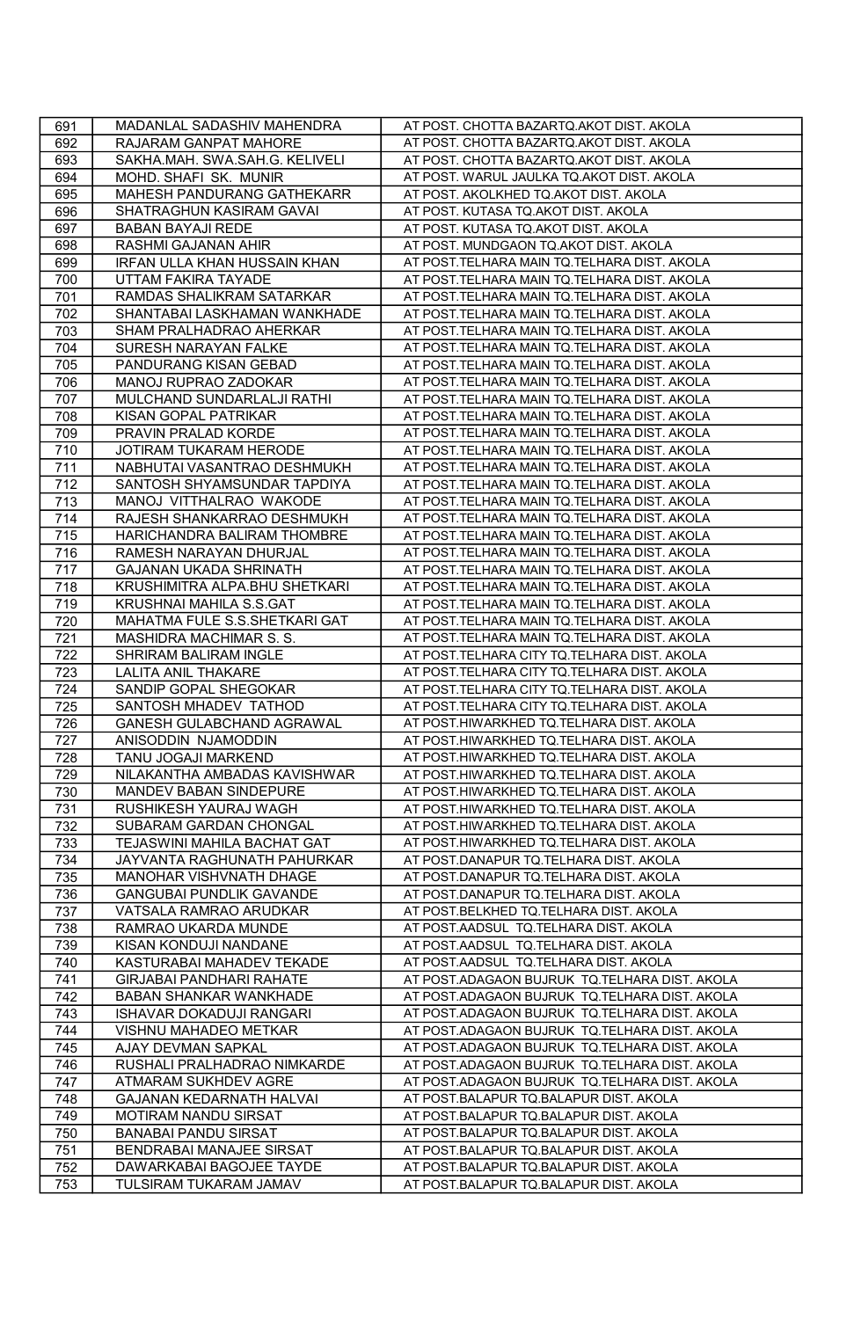| 691 | MADANLAL SADASHIV MAHENDRA          | AT POST. CHOTTA BAZARTQ.AKOT DIST. AKOLA      |
|-----|-------------------------------------|-----------------------------------------------|
| 692 | RAJARAM GANPAT MAHORE               | AT POST. CHOTTA BAZARTQ.AKOT DIST. AKOLA      |
| 693 | SAKHA.MAH. SWA.SAH.G. KELIVELI      | AT POST. CHOTTA BAZARTQ.AKOT DIST. AKOLA      |
| 694 | MOHD. SHAFI SK. MUNIR               | AT POST. WARUL JAULKA TQ.AKOT DIST. AKOLA     |
| 695 | MAHESH PANDURANG GATHEKARR          | AT POST. AKOLKHED TQ.AKOT DIST. AKOLA         |
| 696 | SHATRAGHUN KASIRAM GAVAI            | AT POST. KUTASA TQ.AKOT DIST. AKOLA           |
| 697 | BABAN BAYAJI REDE                   | AT POST. KUTASA TQ.AKOT DIST. AKOLA           |
| 698 | RASHMI GAJANAN AHIR                 | AT POST. MUNDGAON TQ.AKOT DIST. AKOLA         |
| 699 | <b>IRFAN ULLA KHAN HUSSAIN KHAN</b> | AT POST.TELHARA MAIN TQ.TELHARA DIST. AKOLA   |
| 700 | UTTAM FAKIRA TAYADE                 | AT POST.TELHARA MAIN TQ.TELHARA DIST. AKOLA   |
| 701 | RAMDAS SHALIKRAM SATARKAR           | AT POST.TELHARA MAIN TQ.TELHARA DIST. AKOLA   |
| 702 | SHANTABAI LASKHAMAN WANKHADE        | AT POST.TELHARA MAIN TQ.TELHARA DIST. AKOLA   |
| 703 | SHAM PRALHADRAO AHERKAR             | AT POST.TELHARA MAIN TQ.TELHARA DIST. AKOLA   |
| 704 | SURESH NARAYAN FALKE                | AT POST.TELHARA MAIN TQ.TELHARA DIST. AKOLA   |
| 705 | PANDURANG KISAN GEBAD               | AT POST.TELHARA MAIN TQ.TELHARA DIST. AKOLA   |
| 706 | MANOJ RUPRAO ZADOKAR                | AT POST.TELHARA MAIN TQ.TELHARA DIST. AKOLA   |
| 707 | MULCHAND SUNDARLALJI RATHI          | AT POST.TELHARA MAIN TQ.TELHARA DIST. AKOLA   |
| 708 | KISAN GOPAL PATRIKAR                | AT POST.TELHARA MAIN TQ.TELHARA DIST. AKOLA   |
| 709 | PRAVIN PRALAD KORDE                 | AT POST.TELHARA MAIN TQ.TELHARA DIST. AKOLA   |
| 710 | JOTIRAM TUKARAM HERODE              | AT POST.TELHARA MAIN TQ.TELHARA DIST. AKOLA   |
| 711 | NABHUTAI VASANTRAO DESHMUKH         | AT POST.TELHARA MAIN TQ.TELHARA DIST. AKOLA   |
| 712 | SANTOSH SHYAMSUNDAR TAPDIYA         | AT POST.TELHARA MAIN TQ.TELHARA DIST. AKOLA   |
| 713 | MANOJ VITTHALRAO WAKODE             | AT POST.TELHARA MAIN TQ.TELHARA DIST. AKOLA   |
| 714 | RAJESH SHANKARRAO DESHMUKH          | AT POST.TELHARA MAIN TQ.TELHARA DIST. AKOLA   |
| 715 | HARICHANDRA BALIRAM THOMBRE         | AT POST.TELHARA MAIN TQ.TELHARA DIST. AKOLA   |
| 716 | RAMESH NARAYAN DHURJAL              | AT POST.TELHARA MAIN TQ.TELHARA DIST. AKOLA   |
| 717 | GAJANAN UKADA SHRINATH              | AT POST.TELHARA MAIN TQ.TELHARA DIST. AKOLA   |
| 718 | KRUSHIMITRA ALPA.BHU SHETKARI       | AT POST.TELHARA MAIN TQ.TELHARA DIST. AKOLA   |
| 719 | KRUSHNAI MAHILA S.S.GAT             | AT POST. TELHARA MAIN TQ. TELHARA DIST. AKOLA |
| 720 | MAHATMA FULE S.S.SHETKARI GAT       | AT POST.TELHARA MAIN TQ.TELHARA DIST. AKOLA   |
| 721 | MASHIDRA MACHIMAR S. S.             | AT POST.TELHARA MAIN TQ.TELHARA DIST. AKOLA   |
| 722 | SHRIRAM BALIRAM INGLE               | AT POST.TELHARA CITY TQ.TELHARA DIST. AKOLA   |
| 723 | <b>LALITA ANIL THAKARE</b>          | AT POST.TELHARA CITY TQ.TELHARA DIST. AKOLA   |
| 724 | SANDIP GOPAL SHEGOKAR               | AT POST.TELHARA CITY TQ.TELHARA DIST. AKOLA   |
| 725 | SANTOSH MHADEV TATHOD               | AT POST.TELHARA CITY TQ.TELHARA DIST. AKOLA   |
| 726 | GANESH GULABCHAND AGRAWAL           | AT POST.HIWARKHED TQ.TELHARA DIST. AKOLA      |
| 727 | ANISODDIN NJAMODDIN                 | AT POST.HIWARKHED TQ.TELHARA DIST. AKOLA      |
| 728 | TANU JOGAJI MARKEND                 | AT POST.HIWARKHED TQ.TELHARA DIST. AKOLA      |
| 729 | NILAKANTHA AMBADAS KAVISHWAR        | AT POST.HIWARKHED TQ.TELHARA DIST. AKOLA      |
| 730 | MANDEV BABAN SINDEPURE              | AT POST.HIWARKHED TQ.TELHARA DIST. AKOLA      |
| 731 | RUSHIKESH YAURAJ WAGH               | AT POST.HIWARKHED TQ.TELHARA DIST. AKOLA      |
| 732 | SUBARAM GARDAN CHONGAL              | AT POST.HIWARKHED TQ.TELHARA DIST. AKOLA      |
| 733 | TEJASWINI MAHILA BACHAT GAT         | AT POST.HIWARKHED TQ.TELHARA DIST. AKOLA      |
| 734 | JAYVANTA RAGHUNATH PAHURKAR         | AT POST.DANAPUR TQ.TELHARA DIST. AKOLA        |
| 735 | MANOHAR VISHVNATH DHAGE             | AT POST.DANAPUR TQ.TELHARA DIST. AKOLA        |
| 736 | GANGUBAI PUNDLIK GAVANDE            | AT POST.DANAPUR TQ.TELHARA DIST. AKOLA        |
| 737 | VATSALA RAMRAO ARUDKAR              | AT POST.BELKHED TQ.TELHARA DIST. AKOLA        |
| 738 | RAMRAO UKARDA MUNDE                 | AT POST.AADSUL TQ.TELHARA DIST. AKOLA         |
| 739 | KISAN KONDUJI NANDANE               | AT POST.AADSUL TQ.TELHARA DIST. AKOLA         |
| 740 | KASTURABAI MAHADEV TEKADE           | AT POST.AADSUL TQ.TELHARA DIST. AKOLA         |
| 741 | <b>GIRJABAI PANDHARI RAHATE</b>     | AT POST.ADAGAON BUJRUK TQ.TELHARA DIST. AKOLA |
| 742 | <b>BABAN SHANKAR WANKHADE</b>       | AT POST.ADAGAON BUJRUK TQ.TELHARA DIST. AKOLA |
| 743 | ISHAVAR DOKADUJI RANGARI            | AT POST.ADAGAON BUJRUK TQ.TELHARA DIST. AKOLA |
| 744 | VISHNU MAHADEO METKAR               | AT POST.ADAGAON BUJRUK TQ.TELHARA DIST. AKOLA |
| 745 | AJAY DEVMAN SAPKAL                  | AT POST.ADAGAON BUJRUK TQ.TELHARA DIST. AKOLA |
| 746 | RUSHALI PRALHADRAO NIMKARDE         | AT POST.ADAGAON BUJRUK TQ.TELHARA DIST. AKOLA |
| 747 | ATMARAM SUKHDEV AGRE                | AT POST.ADAGAON BUJRUK TQ.TELHARA DIST. AKOLA |
| 748 | GAJANAN KEDARNATH HALVAI            | AT POST.BALAPUR TQ.BALAPUR DIST. AKOLA        |
| 749 | MOTIRAM NANDU SIRSAT                | AT POST.BALAPUR TQ.BALAPUR DIST. AKOLA        |
| 750 | <b>BANABAI PANDU SIRSAT</b>         | AT POST.BALAPUR TQ.BALAPUR DIST. AKOLA        |
| 751 | <b>BENDRABAI MANAJEE SIRSAT</b>     | AT POST.BALAPUR TQ.BALAPUR DIST. AKOLA        |
| 752 | DAWARKABAI BAGOJEE TAYDE            | AT POST.BALAPUR TQ.BALAPUR DIST. AKOLA        |
| 753 | TULSIRAM TUKARAM JAMAV              | AT POST.BALAPUR TQ.BALAPUR DIST. AKOLA        |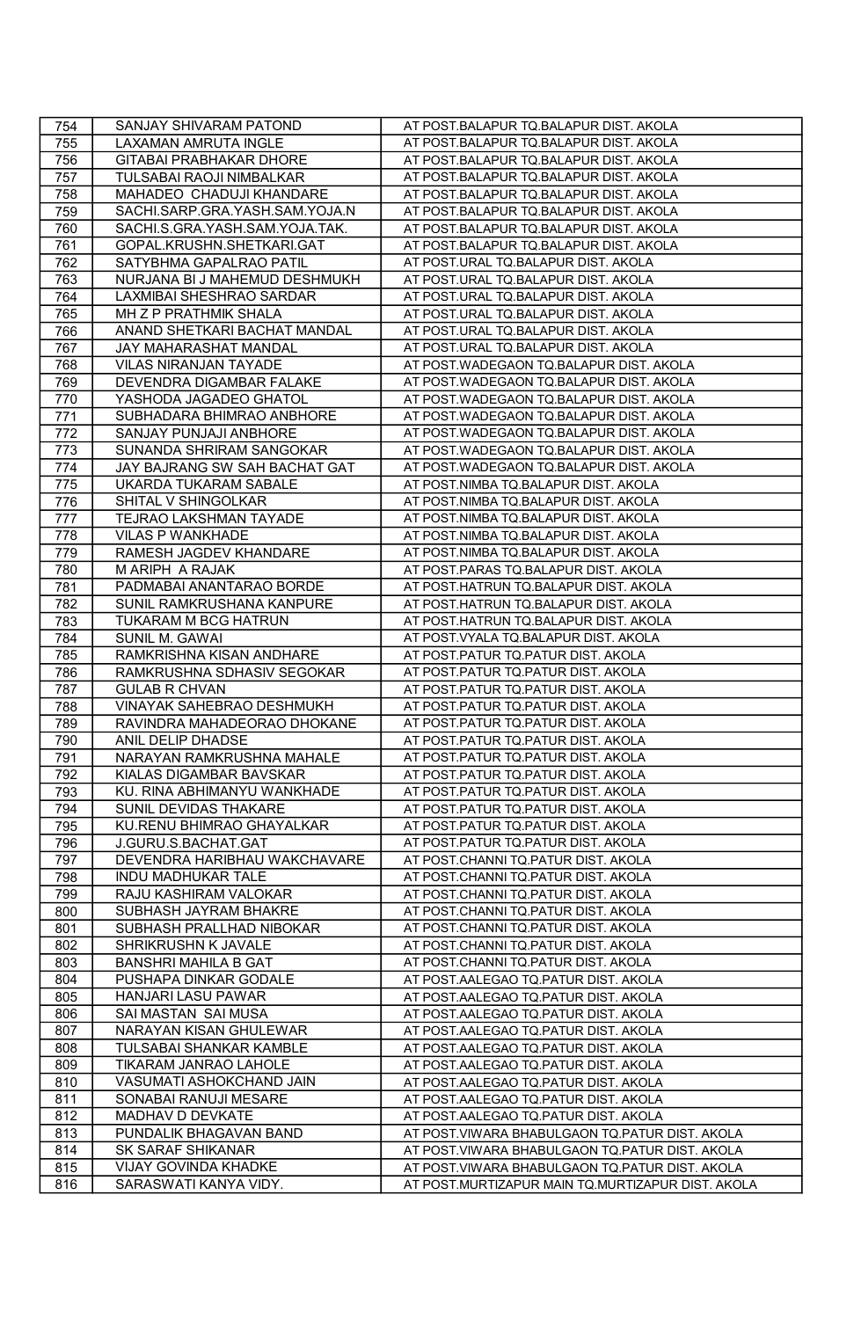| 754 | SANJAY SHIVARAM PATOND         | AT POST.BALAPUR TQ.BALAPUR DIST. AKOLA            |
|-----|--------------------------------|---------------------------------------------------|
| 755 | LAXAMAN AMRUTA INGLE           | AT POST.BALAPUR TQ.BALAPUR DIST. AKOLA            |
| 756 | GITABAI PRABHAKAR DHORE        | AT POST.BALAPUR TQ.BALAPUR DIST. AKOLA            |
| 757 | TULSABAI RAOJI NIMBALKAR       | AT POST.BALAPUR TQ.BALAPUR DIST. AKOLA            |
| 758 | MAHADEO CHADUJI KHANDARE       | AT POST.BALAPUR TQ.BALAPUR DIST. AKOLA            |
| 759 | SACHI.SARP.GRA.YASH.SAM.YOJA.N | AT POST.BALAPUR TQ.BALAPUR DIST. AKOLA            |
| 760 | SACHI.S.GRA.YASH.SAM.YOJA.TAK. | AT POST.BALAPUR TQ.BALAPUR DIST. AKOLA            |
| 761 | GOPAL.KRUSHN.SHETKARI.GAT      | AT POST.BALAPUR TQ.BALAPUR DIST. AKOLA            |
| 762 | SATYBHMA GAPALRAO PATIL        | AT POST.URAL TQ.BALAPUR DIST. AKOLA               |
| 763 | NURJANA BI J MAHEMUD DESHMUKH  | AT POST.URAL TQ.BALAPUR DIST. AKOLA               |
| 764 | LAXMIBAI SHESHRAO SARDAR       | AT POST.URAL TQ.BALAPUR DIST. AKOLA               |
| 765 | MH Z P PRATHMIK SHALA          | AT POST.URAL TQ.BALAPUR DIST. AKOLA               |
| 766 | ANAND SHETKARI BACHAT MANDAL   | AT POST.URAL TQ.BALAPUR DIST. AKOLA               |
| 767 | JAY MAHARASHAT MANDAL          | AT POST.URAL TQ.BALAPUR DIST. AKOLA               |
| 768 | <b>VILAS NIRANJAN TAYADE</b>   | AT POST.WADEGAON TQ.BALAPUR DIST. AKOLA           |
| 769 | DEVENDRA DIGAMBAR FALAKE       | AT POST.WADEGAON TQ.BALAPUR DIST. AKOLA           |
| 770 | YASHODA JAGADEO GHATOL         | AT POST.WADEGAON TQ.BALAPUR DIST. AKOLA           |
| 771 | SUBHADARA BHIMRAO ANBHORE      | AT POST.WADEGAON TQ.BALAPUR DIST. AKOLA           |
| 772 | SANJAY PUNJAJI ANBHORE         | AT POST.WADEGAON TQ.BALAPUR DIST. AKOLA           |
| 773 | SUNANDA SHRIRAM SANGOKAR       | AT POST.WADEGAON TQ.BALAPUR DIST. AKOLA           |
| 774 | JAY BAJRANG SW SAH BACHAT GAT  | AT POST.WADEGAON TQ.BALAPUR DIST. AKOLA           |
| 775 | UKARDA TUKARAM SABALE          | AT POST.NIMBA TQ.BALAPUR DIST. AKOLA              |
| 776 | SHITAL V SHINGOLKAR            | AT POST.NIMBA TQ.BALAPUR DIST. AKOLA              |
| 777 | TEJRAO LAKSHMAN TAYADE         | AT POST.NIMBA TQ.BALAPUR DIST. AKOLA              |
| 778 | <b>VILAS P WANKHADE</b>        | AT POST.NIMBA TQ.BALAPUR DIST. AKOLA              |
| 779 | RAMESH JAGDEV KHANDARE         | AT POST.NIMBA TQ.BALAPUR DIST. AKOLA              |
| 780 | M ARIPH A RAJAK                | AT POST.PARAS TQ.BALAPUR DIST. AKOLA              |
| 781 | PADMABAI ANANTARAO BORDE       | AT POST.HATRUN TQ.BALAPUR DIST. AKOLA             |
| 782 | SUNIL RAMKRUSHANA KANPURE      | AT POST.HATRUN TQ.BALAPUR DIST. AKOLA             |
| 783 | TUKARAM M BCG HATRUN           | AT POST.HATRUN TQ.BALAPUR DIST. AKOLA             |
| 784 | SUNIL M. GAWAI                 | AT POST.VYALA TQ.BALAPUR DIST. AKOLA              |
| 785 | RAMKRISHNA KISAN ANDHARE       | AT POST.PATUR TO PATUR DIST. AKOLA                |
| 786 | RAMKRUSHNA SDHASIV SEGOKAR     | AT POST.PATUR TQ.PATUR DIST. AKOLA                |
| 787 | <b>GULAB R CHVAN</b>           | AT POST.PATUR TQ.PATUR DIST. AKOLA                |
| 788 | VINAYAK SAHEBRAO DESHMUKH      | AT POST.PATUR TQ.PATUR DIST. AKOLA                |
| 789 | RAVINDRA MAHADEORAO DHOKANE    | AT POST.PATUR TQ.PATUR DIST. AKOLA                |
| 790 | ANIL DELIP DHADSE              | AT POST.PATUR TQ.PATUR DIST. AKOLA                |
| 791 | NARAYAN RAMKRUSHNA MAHALE      | AT POST.PATUR TQ.PATUR DIST. AKOLA                |
| 792 | KIALAS DIGAMBAR BAVSKAR        | AT POST.PATUR TQ.PATUR DIST. AKOLA                |
| 793 | KU. RINA ABHIMANYU WANKHADE    | AT POST.PATUR TQ.PATUR DIST. AKOLA                |
| 794 | SUNIL DEVIDAS THAKARE          | AT POST.PATUR TQ.PATUR DIST. AKOLA                |
| 795 | KU.RENU BHIMRAO GHAYALKAR      | AT POST.PATUR TQ.PATUR DIST. AKOLA                |
| 796 | J.GURU.S.BACHAT.GAT            | AT POST.PATUR TQ.PATUR DIST. AKOLA                |
| 797 | DEVENDRA HARIBHAU WAKCHAVARE   | AT POST.CHANNI TQ.PATUR DIST. AKOLA               |
| 798 | <b>INDU MADHUKAR TALE</b>      | AT POST.CHANNI TQ.PATUR DIST. AKOLA               |
| 799 | RAJU KASHIRAM VALOKAR          | AT POST.CHANNI TQ.PATUR DIST. AKOLA               |
| 800 | SUBHASH JAYRAM BHAKRE          | AT POST.CHANNI TQ.PATUR DIST. AKOLA               |
| 801 | SUBHASH PRALLHAD NIBOKAR       | AT POST.CHANNI TQ.PATUR DIST. AKOLA               |
| 802 | SHRIKRUSHN K JAVALE            | AT POST.CHANNI TQ.PATUR DIST. AKOLA               |
| 803 | <b>BANSHRI MAHILA B GAT</b>    | AT POST.CHANNI TQ.PATUR DIST. AKOLA               |
| 804 | PUSHAPA DINKAR GODALE          | AT POST.AALEGAO TQ.PATUR DIST. AKOLA              |
| 805 | HANJARI LASU PAWAR             | AT POST.AALEGAO TQ.PATUR DIST. AKOLA              |
| 806 | SAI MASTAN SAI MUSA            | AT POST.AALEGAO TQ.PATUR DIST. AKOLA              |
| 807 | NARAYAN KISAN GHULEWAR         | AT POST.AALEGAO TQ.PATUR DIST. AKOLA              |
| 808 | TULSABAI SHANKAR KAMBLE        | AT POST.AALEGAO TQ.PATUR DIST. AKOLA              |
| 809 | TIKARAM JANRAO LAHOLE          | AT POST.AALEGAO TQ.PATUR DIST. AKOLA              |
| 810 | VASUMATI ASHOKCHAND JAIN       | AT POST.AALEGAO TQ.PATUR DIST. AKOLA              |
| 811 | SONABAI RANUJI MESARE          | AT POST.AALEGAO TQ.PATUR DIST. AKOLA              |
| 812 | MADHAV D DEVKATE               | AT POST.AALEGAO TQ.PATUR DIST. AKOLA              |
| 813 | PUNDALIK BHAGAVAN BAND         | AT POST.VIWARA BHABULGAON TQ.PATUR DIST. AKOLA    |
| 814 | <b>SK SARAF SHIKANAR</b>       | AT POST.VIWARA BHABULGAON TQ.PATUR DIST. AKOLA    |
| 815 | VIJAY GOVINDA KHADKE           | AT POST.VIWARA BHABULGAON TQ.PATUR DIST. AKOLA    |
| 816 | SARASWATI KANYA VIDY.          | AT POST.MURTIZAPUR MAIN TQ.MURTIZAPUR DIST. AKOLA |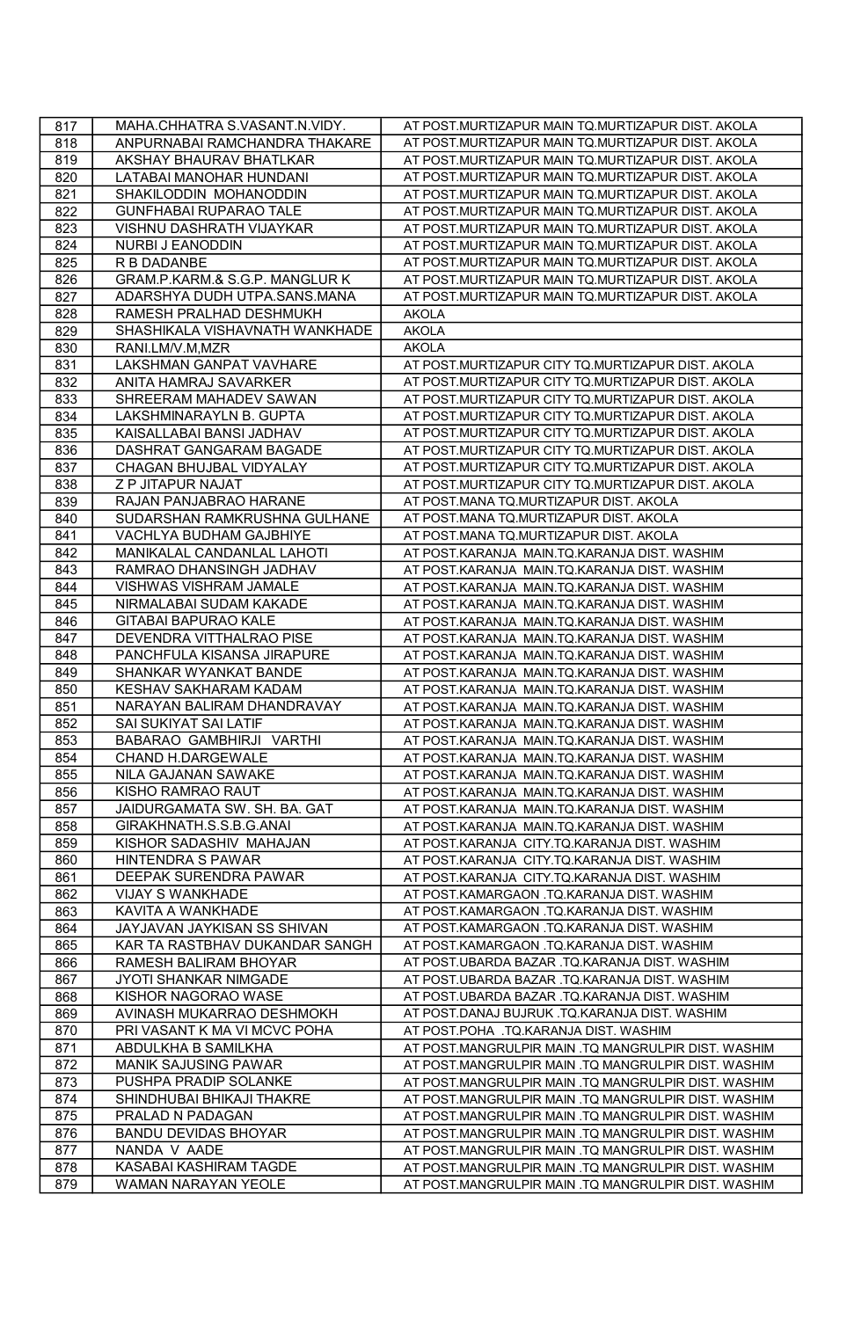| 817 | MAHA.CHHATRA S.VASANT.N.VIDY.  | AT POST.MURTIZAPUR MAIN TQ.MURTIZAPUR DIST. AKOLA   |
|-----|--------------------------------|-----------------------------------------------------|
| 818 | ANPURNABAI RAMCHANDRA THAKARE  | AT POST.MURTIZAPUR MAIN TQ.MURTIZAPUR DIST. AKOLA   |
| 819 | AKSHAY BHAURAV BHATLKAR        | AT POST.MURTIZAPUR MAIN TQ.MURTIZAPUR DIST. AKOLA   |
| 820 | LATABAI MANOHAR HUNDANI        | AT POST.MURTIZAPUR MAIN TQ.MURTIZAPUR DIST. AKOLA   |
| 821 | SHAKILODDIN MOHANODDIN         | AT POST.MURTIZAPUR MAIN TQ.MURTIZAPUR DIST. AKOLA   |
| 822 | <b>GUNFHABAI RUPARAO TALE</b>  | AT POST.MURTIZAPUR MAIN TO.MURTIZAPUR DIST. AKOLA   |
| 823 | VISHNU DASHRATH VIJAYKAR       | AT POST.MURTIZAPUR MAIN TQ.MURTIZAPUR DIST. AKOLA   |
| 824 | NURBI J EANODDIN               | AT POST.MURTIZAPUR MAIN TQ.MURTIZAPUR DIST. AKOLA   |
| 825 | R B DADANBE                    | AT POST.MURTIZAPUR MAIN TQ.MURTIZAPUR DIST. AKOLA   |
| 826 | GRAM.P.KARM.& S.G.P. MANGLUR K | AT POST.MURTIZAPUR MAIN TQ.MURTIZAPUR DIST. AKOLA   |
| 827 | ADARSHYA DUDH UTPA.SANS.MANA   | AT POST.MURTIZAPUR MAIN TQ.MURTIZAPUR DIST. AKOLA   |
| 828 | RAMESH PRALHAD DESHMUKH        | <b>AKOLA</b>                                        |
| 829 | SHASHIKALA VISHAVNATH WANKHADE | <b>AKOLA</b>                                        |
| 830 | RANI.LM/V.M,MZR                | <b>AKOLA</b>                                        |
| 831 | LAKSHMAN GANPAT VAVHARE        | AT POST.MURTIZAPUR CITY TQ.MURTIZAPUR DIST. AKOLA   |
| 832 | ANITA HAMRAJ SAVARKER          | AT POST.MURTIZAPUR CITY TQ.MURTIZAPUR DIST. AKOLA   |
| 833 | SHREERAM MAHADEV SAWAN         | AT POST.MURTIZAPUR CITY TQ.MURTIZAPUR DIST. AKOLA   |
| 834 | LAKSHMINARAYLN B. GUPTA        | AT POST.MURTIZAPUR CITY TQ.MURTIZAPUR DIST. AKOLA   |
| 835 | KAISALLABAI BANSI JADHAV       | AT POST.MURTIZAPUR CITY TQ.MURTIZAPUR DIST. AKOLA   |
| 836 | DASHRAT GANGARAM BAGADE        | AT POST.MURTIZAPUR CITY TQ.MURTIZAPUR DIST. AKOLA   |
| 837 | CHAGAN BHUJBAL VIDYALAY        | AT POST.MURTIZAPUR CITY TQ.MURTIZAPUR DIST. AKOLA   |
| 838 | Z P JITAPUR NAJAT              | AT POST.MURTIZAPUR CITY TQ.MURTIZAPUR DIST. AKOLA   |
| 839 | RAJAN PANJABRAO HARANE         | AT POST.MANA TQ.MURTIZAPUR DIST. AKOLA              |
| 840 | SUDARSHAN RAMKRUSHNA GULHANE   | AT POST.MANA TQ.MURTIZAPUR DIST. AKOLA              |
| 841 | VACHLYA BUDHAM GAJBHIYE        | AT POST.MANA TQ.MURTIZAPUR DIST. AKOLA              |
| 842 | MANIKALAL CANDANLAL LAHOTI     | AT POST.KARANJA MAIN.TQ.KARANJA DIST. WASHIM        |
| 843 | RAMRAO DHANSINGH JADHAV        | AT POST.KARANJA MAIN.TQ.KARANJA DIST. WASHIM        |
| 844 | VISHWAS VISHRAM JAMALE         | AT POST.KARANJA MAIN.TQ.KARANJA DIST. WASHIM        |
| 845 | NIRMALABAI SUDAM KAKADE        | AT POST.KARANJA MAIN.TQ.KARANJA DIST. WASHIM        |
| 846 | <b>GITABAI BAPURAO KALE</b>    | AT POST.KARANJA MAIN.TQ.KARANJA DIST. WASHIM        |
| 847 | DEVENDRA VITTHALRAO PISE       | AT POST.KARANJA MAIN.TQ.KARANJA DIST. WASHIM        |
| 848 | PANCHFULA KISANSA JIRAPURE     | AT POST.KARANJA MAIN.TQ.KARANJA DIST. WASHIM        |
| 849 | SHANKAR WYANKAT BANDE          | AT POST.KARANJA MAIN.TQ.KARANJA DIST. WASHIM        |
| 850 | KESHAV SAKHARAM KADAM          | AT POST.KARANJA MAIN.TQ.KARANJA DIST. WASHIM        |
| 851 | NARAYAN BALIRAM DHANDRAVAY     | AT POST.KARANJA MAIN.TQ.KARANJA DIST. WASHIM        |
| 852 | SAI SUKIYAT SAI LATIF          | AT POST.KARANJA MAIN.TQ.KARANJA DIST. WASHIM        |
| 853 | BABARAO GAMBHIRJI VARTHI       | AT POST.KARANJA MAIN.TQ.KARANJA DIST. WASHIM        |
| 854 | CHAND H.DARGEWALE              | AT POST.KARANJA MAIN.TQ.KARANJA DIST. WASHIM        |
| 855 | NILA GAJANAN SAWAKE            | AT POST.KARANJA MAIN.TQ.KARANJA DIST. WASHIM        |
| 856 | KISHO RAMRAO RAUT              | AT POST.KARANJA MAIN.TQ.KARANJA DIST. WASHIM        |
| 857 | JAIDURGAMATA SW. SH. BA. GAT   | AT POST.KARANJA MAIN.TQ.KARANJA DIST. WASHIM        |
| 858 | GIRAKHNATH.S.S.B.G.ANAI        | AT POST.KARANJA MAIN.TQ.KARANJA DIST. WASHIM        |
| 859 | KISHOR SADASHIV MAHAJAN        | AT POST.KARANJA CITY.TQ.KARANJA DIST. WASHIM        |
| 860 | HINTENDRA S PAWAR              | AT POST.KARANJA CITY.TQ.KARANJA DIST. WASHIM        |
| 861 | DEEPAK SURENDRA PAWAR          | AT POST.KARANJA CITY.TQ.KARANJA DIST. WASHIM        |
| 862 | VIJAY S WANKHADE               | AT POST.KAMARGAON .TQ.KARANJA DIST. WASHIM          |
| 863 | <b>KAVITA A WANKHADE</b>       | AT POST.KAMARGAON .TQ.KARANJA DIST. WASHIM          |
| 864 | JAYJAVAN JAYKISAN SS SHIVAN    | AT POST.KAMARGAON .TQ.KARANJA DIST. WASHIM          |
| 865 | KAR TA RASTBHAV DUKANDAR SANGH | AT POST.KAMARGAON .TQ.KARANJA DIST. WASHIM          |
| 866 | RAMESH BALIRAM BHOYAR          | AT POST.UBARDA BAZAR .TQ.KARANJA DIST. WASHIM       |
| 867 | JYOTI SHANKAR NIMGADE          | AT POST.UBARDA BAZAR .TQ.KARANJA DIST. WASHIM       |
| 868 | KISHOR NAGORAO WASE            | AT POST.UBARDA BAZAR .TQ.KARANJA DIST. WASHIM       |
| 869 | AVINASH MUKARRAO DESHMOKH      | AT POST.DANAJ BUJRUK .TQ.KARANJA DIST. WASHIM       |
| 870 | PRI VASANT K MA VI MCVC POHA   | AT POST.POHA .TQ.KARANJA DIST. WASHIM               |
| 871 | ABDULKHA B SAMILKHA            | AT POST.MANGRULPIR MAIN .TQ MANGRULPIR DIST. WASHIM |
| 872 | <b>MANIK SAJUSING PAWAR</b>    | AT POST.MANGRULPIR MAIN .TQ MANGRULPIR DIST. WASHIM |
| 873 | PUSHPA PRADIP SOLANKE          | AT POST.MANGRULPIR MAIN .TQ MANGRULPIR DIST. WASHIM |
| 874 | SHINDHUBAI BHIKAJI THAKRE      | AT POST.MANGRULPIR MAIN .TQ MANGRULPIR DIST. WASHIM |
| 875 | PRALAD N PADAGAN               | AT POST.MANGRULPIR MAIN .TQ MANGRULPIR DIST. WASHIM |
| 876 | <b>BANDU DEVIDAS BHOYAR</b>    | AT POST.MANGRULPIR MAIN .TQ MANGRULPIR DIST. WASHIM |
| 877 | NANDA V AADE                   | AT POST.MANGRULPIR MAIN .TQ MANGRULPIR DIST. WASHIM |
| 878 | KASABAI KASHIRAM TAGDE         | AT POST.MANGRULPIR MAIN .TQ MANGRULPIR DIST. WASHIM |
| 879 | WAMAN NARAYAN YEOLE            | AT POST.MANGRULPIR MAIN .TQ MANGRULPIR DIST. WASHIM |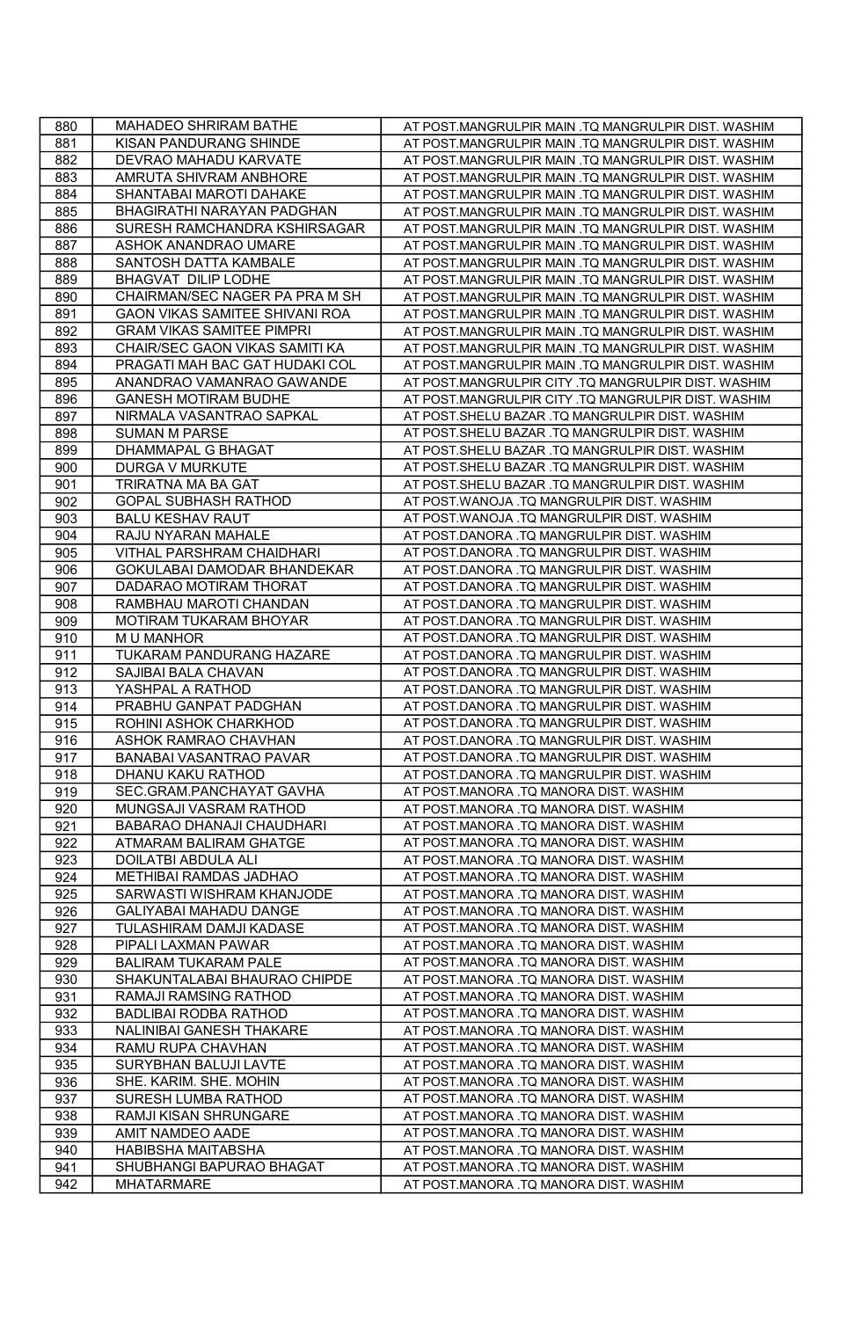| 880 | MAHADEO SHRIRAM BATHE            | AT POST.MANGRULPIR MAIN .TQ MANGRULPIR DIST. WASHIM |
|-----|----------------------------------|-----------------------------------------------------|
| 881 | KISAN PANDURANG SHINDE           | AT POST.MANGRULPIR MAIN .TQ MANGRULPIR DIST. WASHIM |
| 882 | DEVRAO MAHADU KARVATE            | AT POST.MANGRULPIR MAIN .TQ MANGRULPIR DIST. WASHIM |
| 883 | AMRUTA SHIVRAM ANBHORE           | AT POST.MANGRULPIR MAIN .TQ MANGRULPIR DIST. WASHIM |
| 884 | SHANTABAI MAROTI DAHAKE          | AT POST.MANGRULPIR MAIN .TQ MANGRULPIR DIST. WASHIM |
| 885 | BHAGIRATHI NARAYAN PADGHAN       | AT POST.MANGRULPIR MAIN .TQ MANGRULPIR DIST. WASHIM |
| 886 | SURESH RAMCHANDRA KSHIRSAGAR     | AT POST.MANGRULPIR MAIN .TQ MANGRULPIR DIST. WASHIM |
| 887 | ASHOK ANANDRAO UMARE             | AT POST.MANGRULPIR MAIN .TQ MANGRULPIR DIST. WASHIM |
| 888 | SANTOSH DATTA KAMBALE            | AT POST.MANGRULPIR MAIN .TQ MANGRULPIR DIST. WASHIM |
| 889 | BHAGVAT DILIP LODHE              | AT POST.MANGRULPIR MAIN .TQ MANGRULPIR DIST. WASHIM |
| 890 | CHAIRMAN/SEC NAGER PA PRA M SH   | AT POST.MANGRULPIR MAIN .TQ MANGRULPIR DIST. WASHIM |
| 891 | GAON VIKAS SAMITEE SHIVANI ROA   | AT POST.MANGRULPIR MAIN .TQ MANGRULPIR DIST. WASHIM |
| 892 | <b>GRAM VIKAS SAMITEE PIMPRI</b> | AT POST.MANGRULPIR MAIN .TQ MANGRULPIR DIST. WASHIM |
| 893 | CHAIR/SEC GAON VIKAS SAMITI KA   | AT POST.MANGRULPIR MAIN .TQ MANGRULPIR DIST. WASHIM |
| 894 | PRAGATI MAH BAC GAT HUDAKI COL   | AT POST.MANGRULPIR MAIN .TQ MANGRULPIR DIST. WASHIM |
| 895 | ANANDRAO VAMANRAO GAWANDE        | AT POST.MANGRULPIR CITY .TQ MANGRULPIR DIST. WASHIM |
| 896 | <b>GANESH MOTIRAM BUDHE</b>      | AT POST.MANGRULPIR CITY .TQ MANGRULPIR DIST. WASHIM |
| 897 | NIRMALA VASANTRAO SAPKAL         | AT POST.SHELU BAZAR .TQ MANGRULPIR DIST. WASHIM     |
| 898 | <b>SUMAN M PARSE</b>             | AT POST.SHELU BAZAR .TQ MANGRULPIR DIST. WASHIM     |
| 899 | DHAMMAPAL G BHAGAT               | AT POST.SHELU BAZAR .TQ MANGRULPIR DIST. WASHIM     |
| 900 | <b>DURGA V MURKUTE</b>           | AT POST.SHELU BAZAR .TQ MANGRULPIR DIST. WASHIM     |
| 901 | TRIRATNA MA BA GAT               | AT POST.SHELU BAZAR .TQ MANGRULPIR DIST. WASHIM     |
| 902 | <b>GOPAL SUBHASH RATHOD</b>      | AT POST.WANOJA .TQ MANGRULPIR DIST. WASHIM          |
| 903 | <b>BALU KESHAV RAUT</b>          | AT POST.WANOJA .TQ MANGRULPIR DIST. WASHIM          |
| 904 | RAJU NYARAN MAHALE               | AT POST.DANORA .TQ MANGRULPIR DIST. WASHIM          |
| 905 | VITHAL PARSHRAM CHAIDHARI        | AT POST.DANORA .TQ MANGRULPIR DIST. WASHIM          |
| 906 | GOKULABAI DAMODAR BHANDEKAR      | AT POST.DANORA .TQ MANGRULPIR DIST. WASHIM          |
| 907 | DADARAO MOTIRAM THORAT           | AT POST.DANORA .TQ MANGRULPIR DIST. WASHIM          |
| 908 | RAMBHAU MAROTI CHANDAN           | AT POST.DANORA .TQ MANGRULPIR DIST. WASHIM          |
| 909 | MOTIRAM TUKARAM BHOYAR           | AT POST.DANORA .TQ MANGRULPIR DIST. WASHIM          |
| 910 | <b>MU MANHOR</b>                 | AT POST.DANORA .TQ MANGRULPIR DIST. WASHIM          |
| 911 | TUKARAM PANDURANG HAZARE         | AT POST.DANORA .TQ MANGRULPIR DIST. WASHIM          |
| 912 | SAJIBAI BALA CHAVAN              | AT POST.DANORA .TQ MANGRULPIR DIST. WASHIM          |
| 913 | YASHPAL A RATHOD                 | AT POST.DANORA .TQ MANGRULPIR DIST. WASHIM          |
| 914 | PRABHU GANPAT PADGHAN            | AT POST.DANORA .TQ MANGRULPIR DIST. WASHIM          |
| 915 | ROHINI ASHOK CHARKHOD            | AT POST.DANORA .TQ MANGRULPIR DIST. WASHIM          |
| 916 | ASHOK RAMRAO CHAVHAN             | AT POST.DANORA .TQ MANGRULPIR DIST. WASHIM          |
| 917 | BANABAI VASANTRAO PAVAR          | AT POST.DANORA .TQ MANGRULPIR DIST. WASHIM          |
| 918 | DHANU KAKU RATHOD                | AT POST.DANORA .TQ MANGRULPIR DIST. WASHIM          |
| 919 | SEC.GRAM.PANCHAYAT GAVHA         | AT POST.MANORA .TQ MANORA DIST. WASHIM              |
| 920 | MUNGSAJI VASRAM RATHOD           | AT POST.MANORA .TQ MANORA DIST. WASHIM              |
| 921 | BABARAO DHANAJI CHAUDHARI        | AT POST.MANORA .TQ MANORA DIST. WASHIM              |
| 922 | ATMARAM BALIRAM GHATGE           | AT POST.MANORA .TQ MANORA DIST. WASHIM              |
| 923 | DOILATBI ABDULA ALI              | AT POST.MANORA .TQ MANORA DIST. WASHIM              |
| 924 | METHIBAI RAMDAS JADHAO           | AT POST.MANORA .TQ MANORA DIST. WASHIM              |
| 925 | SARWASTI WISHRAM KHANJODE        | AT POST.MANORA .TQ MANORA DIST. WASHIM              |
| 926 | GALIYABAI MAHADU DANGE           | AT POST.MANORA .TQ MANORA DIST. WASHIM              |
| 927 | TULASHIRAM DAMJI KADASE          | AT POST.MANORA .TQ MANORA DIST. WASHIM              |
| 928 | PIPALI LAXMAN PAWAR              | AT POST.MANORA .TQ MANORA DIST. WASHIM              |
| 929 | <b>BALIRAM TUKARAM PALE</b>      | AT POST.MANORA .TQ MANORA DIST. WASHIM              |
| 930 | SHAKUNTALABAI BHAURAO CHIPDE     | AT POST.MANORA .TQ MANORA DIST. WASHIM              |
| 931 | RAMAJI RAMSING RATHOD            | AT POST.MANORA .TQ MANORA DIST. WASHIM              |
| 932 | <b>BADLIBAI RODBA RATHOD</b>     | AT POST.MANORA .TQ MANORA DIST. WASHIM              |
| 933 | NALINIBAI GANESH THAKARE         | AT POST.MANORA .TQ MANORA DIST. WASHIM              |
| 934 | RAMU RUPA CHAVHAN                | AT POST.MANORA .TQ MANORA DIST. WASHIM              |
| 935 | SURYBHAN BALUJI LAVTE            | AT POST.MANORA .TQ MANORA DIST. WASHIM              |
| 936 | SHE. KARIM. SHE. MOHIN           | AT POST.MANORA .TQ MANORA DIST. WASHIM              |
| 937 | SURESH LUMBA RATHOD              | AT POST.MANORA .TQ MANORA DIST. WASHIM              |
| 938 | RAMJI KISAN SHRUNGARE            | AT POST.MANORA .TQ MANORA DIST. WASHIM              |
| 939 | AMIT NAMDEO AADE                 | AT POST.MANORA .TQ MANORA DIST. WASHIM              |
| 940 | <b>HABIBSHA MAITABSHA</b>        | AT POST.MANORA .TQ MANORA DIST. WASHIM              |
| 941 | SHUBHANGI BAPURAO BHAGAT         | AT POST.MANORA .TQ MANORA DIST. WASHIM              |
| 942 | <b>MHATARMARE</b>                | AT POST.MANORA .TQ MANORA DIST. WASHIM              |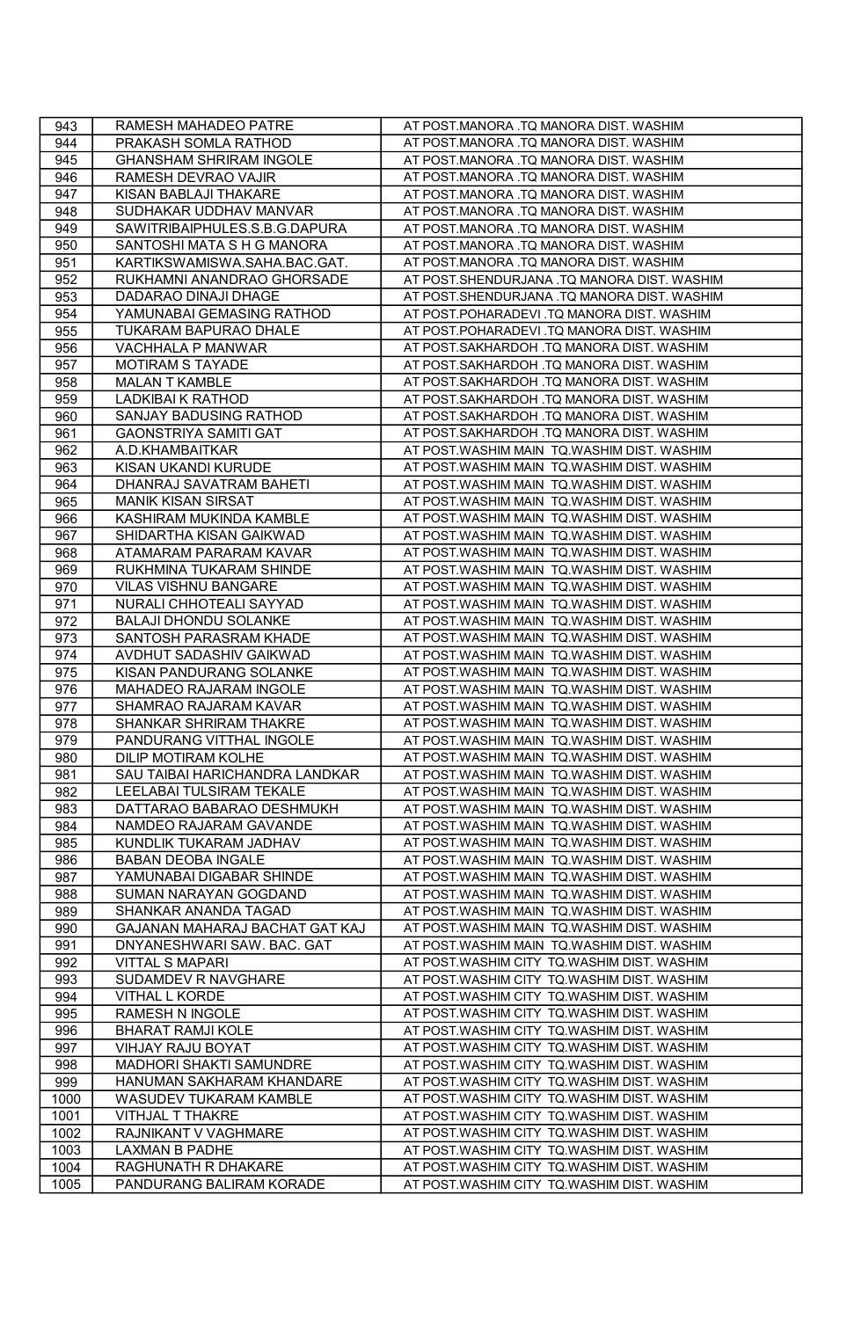| 943  | RAMESH MAHADEO PATRE           | AT POST.MANORA .TQ MANORA DIST. WASHIM      |
|------|--------------------------------|---------------------------------------------|
| 944  | PRAKASH SOMLA RATHOD           | AT POST.MANORA .TQ MANORA DIST. WASHIM      |
| 945  | <b>GHANSHAM SHRIRAM INGOLE</b> | AT POST.MANORA .TQ MANORA DIST. WASHIM      |
| 946  | RAMESH DEVRAO VAJIR            | AT POST.MANORA .TQ MANORA DIST. WASHIM      |
| 947  | KISAN BABLAJI THAKARE          | AT POST.MANORA .TQ MANORA DIST. WASHIM      |
| 948  | SUDHAKAR UDDHAV MANVAR         | AT POST.MANORA .TQ MANORA DIST. WASHIM      |
| 949  | SAWITRIBAIPHULES.S.B.G.DAPURA  | AT POST.MANORA .TQ MANORA DIST. WASHIM      |
| 950  | SANTOSHI MATA S H G MANORA     | AT POST.MANORA .TQ MANORA DIST. WASHIM      |
| 951  | KARTIKSWAMISWA.SAHA.BAC.GAT.   | AT POST.MANORA .TQ MANORA DIST. WASHIM      |
| 952  | RUKHAMNI ANANDRAO GHORSADE     | AT POST.SHENDURJANA .TQ MANORA DIST. WASHIM |
| 953  | DADARAO DINAJI DHAGE           | AT POST.SHENDURJANA .TQ MANORA DIST. WASHIM |
| 954  | YAMUNABAI GEMASING RATHOD      | AT POST.POHARADEVI .TQ MANORA DIST. WASHIM  |
| 955  | TUKARAM BAPURAO DHALE          | AT POST.POHARADEVI .TQ MANORA DIST. WASHIM  |
| 956  | VACHHALA P MANWAR              | AT POST.SAKHARDOH .TQ MANORA DIST. WASHIM   |
| 957  | MOTIRAM S TAYADE               | AT POST.SAKHARDOH .TQ MANORA DIST. WASHIM   |
| 958  | <b>MALAN T KAMBLE</b>          | AT POST.SAKHARDOH .TQ MANORA DIST. WASHIM   |
| 959  | LADKIBAI K RATHOD              | AT POST.SAKHARDOH .TQ MANORA DIST. WASHIM   |
| 960  | SANJAY BADUSING RATHOD         | AT POST.SAKHARDOH .TQ MANORA DIST. WASHIM   |
| 961  | GAONSTRIYA SAMITI GAT          | AT POST.SAKHARDOH .TQ MANORA DIST. WASHIM   |
| 962  | A.D.KHAMBAITKAR                | AT POST.WASHIM MAIN TQ.WASHIM DIST. WASHIM  |
| 963  | KISAN UKANDI KURUDE            | AT POST.WASHIM MAIN TQ.WASHIM DIST. WASHIM  |
| 964  | DHANRAJ SAVATRAM BAHETI        | AT POST.WASHIM MAIN TQ.WASHIM DIST. WASHIM  |
| 965  | <b>MANIK KISAN SIRSAT</b>      | AT POST.WASHIM MAIN TQ.WASHIM DIST. WASHIM  |
| 966  | KASHIRAM MUKINDA KAMBLE        | AT POST.WASHIM MAIN TQ.WASHIM DIST. WASHIM  |
| 967  | SHIDARTHA KISAN GAIKWAD        | AT POST.WASHIM MAIN TQ.WASHIM DIST. WASHIM  |
| 968  | ATAMARAM PARARAM KAVAR         | AT POST.WASHIM MAIN TQ.WASHIM DIST. WASHIM  |
| 969  | RUKHMINA TUKARAM SHINDE        | AT POST.WASHIM MAIN TQ.WASHIM DIST. WASHIM  |
| 970  | <b>VILAS VISHNU BANGARE</b>    | AT POST.WASHIM MAIN TQ.WASHIM DIST. WASHIM  |
| 971  | NURALI CHHOTEALI SAYYAD        | AT POST.WASHIM MAIN TQ.WASHIM DIST. WASHIM  |
| 972  | <b>BALAJI DHONDU SOLANKE</b>   | AT POST.WASHIM MAIN TQ.WASHIM DIST. WASHIM  |
| 973  | SANTOSH PARASRAM KHADE         | AT POST.WASHIM MAIN TQ.WASHIM DIST. WASHIM  |
| 974  | AVDHUT SADASHIV GAIKWAD        | AT POST.WASHIM MAIN TQ.WASHIM DIST. WASHIM  |
| 975  | KISAN PANDURANG SOLANKE        | AT POST.WASHIM MAIN TQ.WASHIM DIST. WASHIM  |
| 976  | MAHADEO RAJARAM INGOLE         | AT POST.WASHIM MAIN TQ.WASHIM DIST. WASHIM  |
| 977  | SHAMRAO RAJARAM KAVAR          | AT POST.WASHIM MAIN TQ.WASHIM DIST. WASHIM  |
| 978  | SHANKAR SHRIRAM THAKRE         | AT POST.WASHIM MAIN TQ.WASHIM DIST. WASHIM  |
| 979  | PANDURANG VITTHAL INGOLE       | AT POST.WASHIM MAIN TQ.WASHIM DIST. WASHIM  |
| 980  | DILIP MOTIRAM KOLHE            | AT POST.WASHIM MAIN TQ.WASHIM DIST. WASHIM  |
| 981  | SAU TAIBAI HARICHANDRA LANDKAR | AT POST.WASHIM MAIN TQ.WASHIM DIST. WASHIM  |
| 982  | LEELABAI TULSIRAM TEKALE       | AT POST.WASHIM MAIN TQ.WASHIM DIST. WASHIM  |
| 983  | DATTARAO BABARAO DESHMUKH      | AT POST.WASHIM MAIN TQ.WASHIM DIST. WASHIM  |
| 984  | NAMDEO RAJARAM GAVANDE         | AT POST.WASHIM MAIN TQ.WASHIM DIST. WASHIM  |
| 985  | KUNDLIK TUKARAM JADHAV         | AT POST.WASHIM MAIN TQ.WASHIM DIST. WASHIM  |
| 986  | <b>BABAN DEOBA INGALE</b>      | AT POST.WASHIM MAIN TQ.WASHIM DIST. WASHIM  |
| 987  | YAMUNABAI DIGABAR SHINDE       | AT POST.WASHIM MAIN TQ.WASHIM DIST. WASHIM  |
| 988  | SUMAN NARAYAN GOGDAND          | AT POST.WASHIM MAIN TQ.WASHIM DIST. WASHIM  |
| 989  | SHANKAR ANANDA TAGAD           | AT POST.WASHIM MAIN TQ.WASHIM DIST. WASHIM  |
| 990  | GAJANAN MAHARAJ BACHAT GAT KAJ | AT POST.WASHIM MAIN TQ.WASHIM DIST. WASHIM  |
| 991  | DNYANESHWARI SAW. BAC. GAT     | AT POST.WASHIM MAIN TQ.WASHIM DIST. WASHIM  |
| 992  | <b>VITTAL S MAPARI</b>         | AT POST.WASHIM CITY TQ.WASHIM DIST. WASHIM  |
| 993  | SUDAMDEV R NAVGHARE            | AT POST.WASHIM CITY TQ.WASHIM DIST. WASHIM  |
| 994  | VITHAL L KORDE                 | AT POST.WASHIM CITY TQ.WASHIM DIST. WASHIM  |
| 995  | RAMESH N INGOLE                | AT POST.WASHIM CITY TQ.WASHIM DIST. WASHIM  |
| 996  | <b>BHARAT RAMJI KOLE</b>       | AT POST.WASHIM CITY TQ.WASHIM DIST. WASHIM  |
| 997  | VIHJAY RAJU BOYAT              | AT POST.WASHIM CITY TQ.WASHIM DIST. WASHIM  |
| 998  | MADHORI SHAKTI SAMUNDRE        | AT POST.WASHIM CITY TQ.WASHIM DIST. WASHIM  |
| 999  | HANUMAN SAKHARAM KHANDARE      | AT POST.WASHIM CITY TQ.WASHIM DIST. WASHIM  |
| 1000 | WASUDEV TUKARAM KAMBLE         | AT POST.WASHIM CITY TQ.WASHIM DIST. WASHIM  |
| 1001 | VITHJAL T THAKRE               | AT POST.WASHIM CITY TQ.WASHIM DIST. WASHIM  |
| 1002 | RAJNIKANT V VAGHMARE           | AT POST.WASHIM CITY TQ.WASHIM DIST. WASHIM  |
| 1003 | LAXMAN B PADHE                 | AT POST.WASHIM CITY TQ.WASHIM DIST. WASHIM  |
| 1004 | RAGHUNATH R DHAKARE            | AT POST.WASHIM CITY TQ.WASHIM DIST. WASHIM  |
| 1005 | PANDURANG BALIRAM KORADE       | AT POST.WASHIM CITY TQ.WASHIM DIST. WASHIM  |
|      |                                |                                             |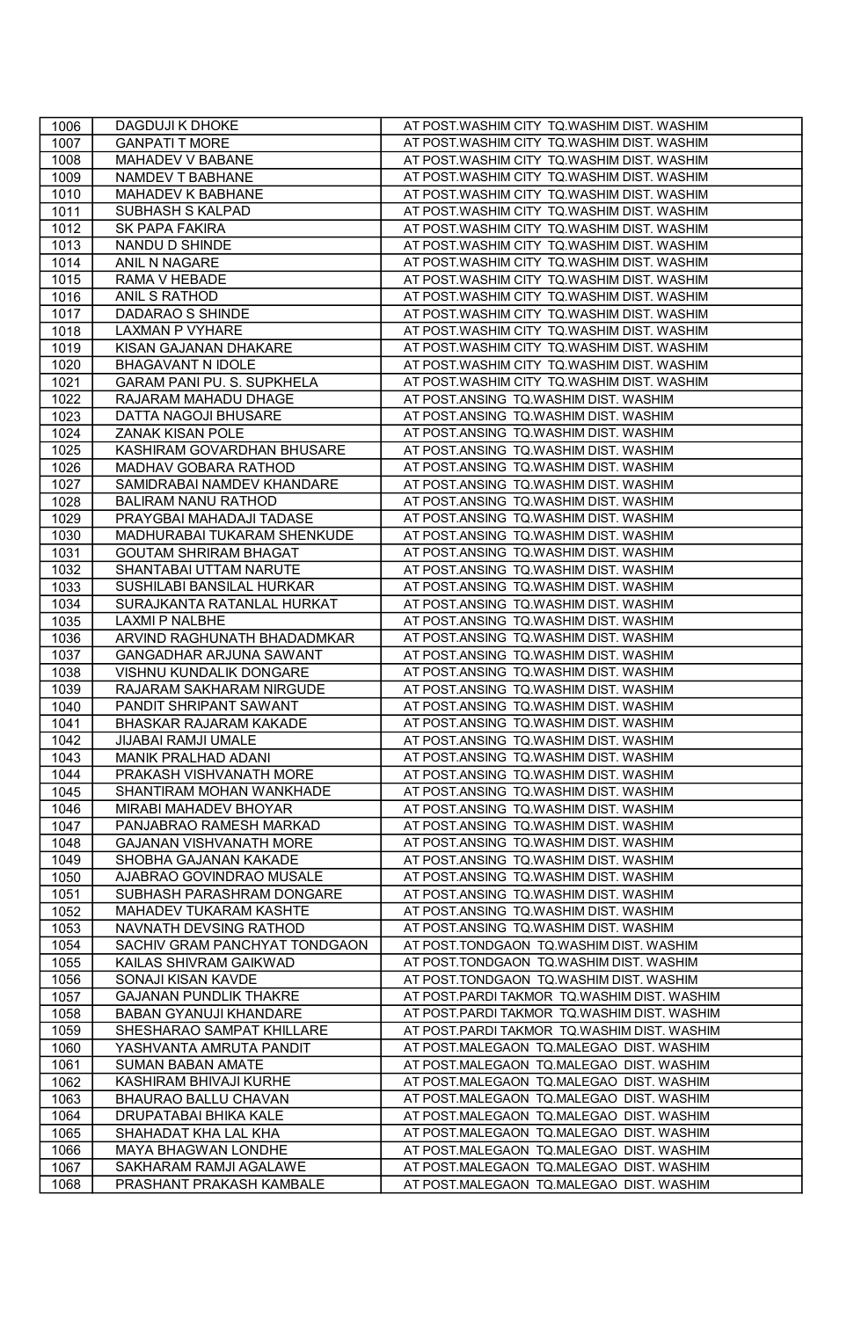| 1006         | DAGDUJI K DHOKE                                    | AT POST.WASHIM CITY TQ.WASHIM DIST. WASHIM                                     |
|--------------|----------------------------------------------------|--------------------------------------------------------------------------------|
| 1007         | <b>GANPATI T MORE</b>                              | AT POST.WASHIM CITY TQ.WASHIM DIST. WASHIM                                     |
| 1008         | MAHADEV V BABANE                                   | AT POST.WASHIM CITY TQ.WASHIM DIST. WASHIM                                     |
| 1009         | NAMDEV T BABHANE                                   | AT POST.WASHIM CITY TQ.WASHIM DIST. WASHIM                                     |
| 1010         | MAHADEV K BABHANE                                  | AT POST.WASHIM CITY TQ.WASHIM DIST. WASHIM                                     |
| 1011         | SUBHASH S KALPAD                                   | AT POST.WASHIM CITY TQ.WASHIM DIST. WASHIM                                     |
| 1012         | <b>SK PAPA FAKIRA</b>                              | AT POST.WASHIM CITY TQ.WASHIM DIST. WASHIM                                     |
| 1013         | NANDU D SHINDE                                     | AT POST.WASHIM CITY TQ.WASHIM DIST. WASHIM                                     |
| 1014         | ANIL N NAGARE                                      | AT POST.WASHIM CITY TQ.WASHIM DIST. WASHIM                                     |
| 1015         | RAMA V HEBADE                                      | AT POST.WASHIM CITY TQ.WASHIM DIST. WASHIM                                     |
| 1016         | ANIL S RATHOD                                      | AT POST.WASHIM CITY TQ.WASHIM DIST. WASHIM                                     |
| 1017         | DADARAO S SHINDE                                   | AT POST.WASHIM CITY TQ.WASHIM DIST. WASHIM                                     |
| 1018         | LAXMAN P VYHARE                                    | AT POST.WASHIM CITY TQ.WASHIM DIST. WASHIM                                     |
| 1019         | KISAN GAJANAN DHAKARE                              | AT POST.WASHIM CITY TQ.WASHIM DIST. WASHIM                                     |
| 1020         | <b>BHAGAVANT N IDOLE</b>                           | AT POST.WASHIM CITY TQ.WASHIM DIST. WASHIM                                     |
| 1021         | GARAM PANI PU. S. SUPKHELA                         | AT POST.WASHIM CITY TQ.WASHIM DIST. WASHIM                                     |
| 1022         | RAJARAM MAHADU DHAGE                               | AT POST.ANSING TQ.WASHIM DIST. WASHIM                                          |
| 1023         | DATTA NAGOJI BHUSARE                               | AT POST.ANSING TQ.WASHIM DIST. WASHIM                                          |
| 1024         | ZANAK KISAN POLE                                   | AT POST.ANSING TQ.WASHIM DIST. WASHIM                                          |
| 1025         | KASHIRAM GOVARDHAN BHUSARE                         | AT POST.ANSING TQ.WASHIM DIST. WASHIM                                          |
| 1026         | MADHAV GOBARA RATHOD                               | AT POST.ANSING TQ.WASHIM DIST. WASHIM                                          |
| 1027         | SAMIDRABAI NAMDEV KHANDARE                         | AT POST.ANSING TQ.WASHIM DIST. WASHIM                                          |
| 1028         | BALIRAM NANU RATHOD                                | AT POST.ANSING TQ.WASHIM DIST. WASHIM                                          |
| 1029         | PRAYGBAI MAHADAJI TADASE                           | AT POST.ANSING TQ.WASHIM DIST. WASHIM                                          |
| 1030         | MADHURABAI TUKARAM SHENKUDE                        | AT POST.ANSING TQ.WASHIM DIST. WASHIM                                          |
| 1031         | <b>GOUTAM SHRIRAM BHAGAT</b>                       | AT POST.ANSING TQ.WASHIM DIST. WASHIM                                          |
| 1032         | SHANTABAI UTTAM NARUTE                             | AT POST.ANSING TQ.WASHIM DIST. WASHIM                                          |
| 1033         | SUSHILABI BANSILAL HURKAR                          | AT POST.ANSING TQ.WASHIM DIST. WASHIM                                          |
| 1034         | SURAJKANTA RATANLAL HURKAT                         | AT POST.ANSING TO.WASHIM DIST. WASHIM                                          |
| 1035         | LAXMI P NALBHE                                     | AT POST.ANSING TQ.WASHIM DIST. WASHIM                                          |
| 1036         | ARVIND RAGHUNATH BHADADMKAR                        | AT POST.ANSING TQ.WASHIM DIST. WASHIM                                          |
| 1037         | GANGADHAR ARJUNA SAWANT                            | AT POST.ANSING TQ.WASHIM DIST. WASHIM                                          |
| 1038         | VISHNU KUNDALIK DONGARE                            | AT POST.ANSING TQ.WASHIM DIST. WASHIM                                          |
| 1039<br>1040 | RAJARAM SAKHARAM NIRGUDE<br>PANDIT SHRIPANT SAWANT | AT POST.ANSING TQ.WASHIM DIST. WASHIM<br>AT POST.ANSING TQ.WASHIM DIST. WASHIM |
| 1041         | BHASKAR RAJARAM KAKADE                             | AT POST.ANSING TQ.WASHIM DIST. WASHIM                                          |
| 1042         | <b>JIJABAI RAMJI UMALE</b>                         | AT POST.ANSING TO.WASHIM DIST. WASHIM                                          |
| 1043         | MANIK PRALHAD ADANI                                | AT POST.ANSING TQ.WASHIM DIST. WASHIM                                          |
| 1044         | PRAKASH VISHVANATH MORE                            | AT POST.ANSING TQ.WASHIM DIST. WASHIM                                          |
| 1045         | SHANTIRAM MOHAN WANKHADE                           | AT POST.ANSING TQ.WASHIM DIST. WASHIM                                          |
| 1046         | MIRABI MAHADEV BHOYAR                              | AT POST.ANSING TQ.WASHIM DIST. WASHIM                                          |
| 1047         | PANJABRAO RAMESH MARKAD                            | AT POST.ANSING TQ.WASHIM DIST. WASHIM                                          |
| 1048         | GAJANAN VISHVANATH MORE                            | AT POST.ANSING TQ.WASHIM DIST. WASHIM                                          |
| 1049         | SHOBHA GAJANAN KAKADE                              | AT POST.ANSING TQ.WASHIM DIST. WASHIM                                          |
| 1050         | AJABRAO GOVINDRAO MUSALE                           | AT POST.ANSING TO.WASHIM DIST. WASHIM                                          |
| 1051         | SUBHASH PARASHRAM DONGARE                          | AT POST.ANSING TQ.WASHIM DIST. WASHIM                                          |
| 1052         | MAHADEV TUKARAM KASHTE                             | AT POST.ANSING TQ.WASHIM DIST. WASHIM                                          |
| 1053         | NAVNATH DEVSING RATHOD                             | AT POST.ANSING TQ.WASHIM DIST. WASHIM                                          |
| 1054         | SACHIV GRAM PANCHYAT TONDGAON                      | AT POST.TONDGAON TQ.WASHIM DIST. WASHIM                                        |
| 1055         | KAILAS SHIVRAM GAIKWAD                             | AT POST.TONDGAON TQ.WASHIM DIST. WASHIM                                        |
| 1056         | SONAJI KISAN KAVDE                                 | AT POST.TONDGAON TQ.WASHIM DIST. WASHIM                                        |
| 1057         | <b>GAJANAN PUNDLIK THAKRE</b>                      | AT POST.PARDI TAKMOR TQ.WASHIM DIST. WASHIM                                    |
| 1058         | BABAN GYANUJI KHANDARE                             | AT POST.PARDI TAKMOR TQ.WASHIM DIST. WASHIM                                    |
| 1059         | SHESHARAO SAMPAT KHILLARE                          | AT POST.PARDI TAKMOR TQ.WASHIM DIST. WASHIM                                    |
| 1060         | YASHVANTA AMRUTA PANDIT                            | AT POST.MALEGAON TQ.MALEGAO DIST. WASHIM                                       |
| 1061         | SUMAN BABAN AMATE                                  | AT POST.MALEGAON TQ.MALEGAO DIST. WASHIM                                       |
| 1062         | KASHIRAM BHIVAJI KURHE                             | AT POST.MALEGAON TQ.MALEGAO DIST. WASHIM                                       |
| 1063         | BHAURAO BALLU CHAVAN                               | AT POST.MALEGAON TQ.MALEGAO DIST. WASHIM                                       |
| 1064         | DRUPATABAI BHIKA KALE                              | AT POST.MALEGAON TQ.MALEGAO DIST. WASHIM                                       |
| 1065         | SHAHADAT KHA LAL KHA                               | AT POST.MALEGAON TQ.MALEGAO DIST. WASHIM                                       |
| 1066         | MAYA BHAGWAN LONDHE                                | AT POST.MALEGAON TQ.MALEGAO DIST. WASHIM                                       |
| 1067         | SAKHARAM RAMJI AGALAWE                             | AT POST.MALEGAON TQ.MALEGAO DIST. WASHIM                                       |
| 1068         | PRASHANT PRAKASH KAMBALE                           | AT POST.MALEGAON TQ.MALEGAO DIST. WASHIM                                       |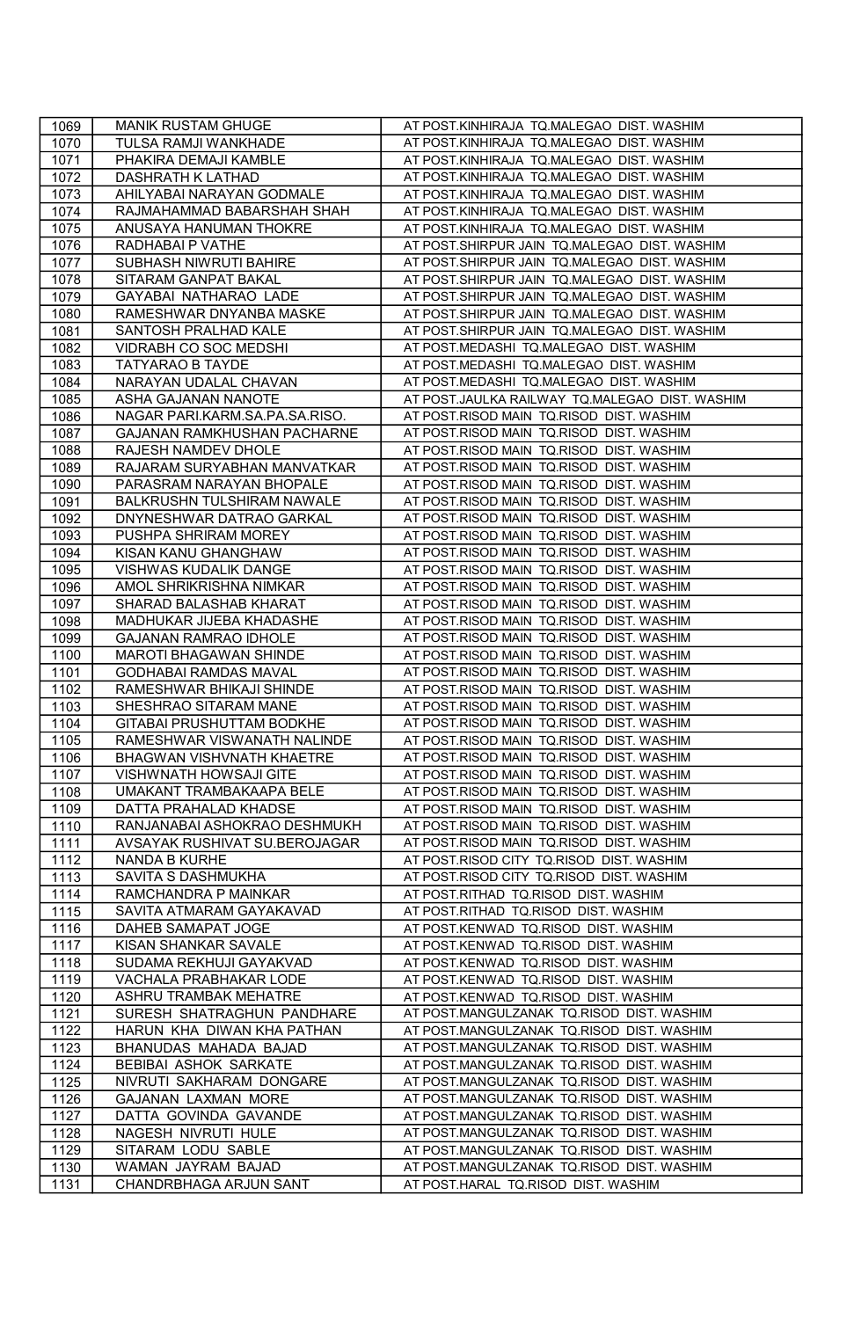| 1069         | MANIK RUSTAM GHUGE                                | AT POST.KINHIRAJA TQ.MALEGAO DIST. WASHIM                                            |
|--------------|---------------------------------------------------|--------------------------------------------------------------------------------------|
| 1070         | TULSA RAMJI WANKHADE                              | AT POST.KINHIRAJA TQ.MALEGAO DIST. WASHIM                                            |
| 1071         | PHAKIRA DEMAJI KAMBLE                             | AT POST.KINHIRAJA TQ.MALEGAO DIST. WASHIM                                            |
| 1072         | DASHRATH K LATHAD                                 | AT POST.KINHIRAJA TQ.MALEGAO DIST. WASHIM                                            |
| 1073         | AHILYABAI NARAYAN GODMALE                         | AT POST.KINHIRAJA TQ.MALEGAO DIST. WASHIM                                            |
| 1074         | RAJMAHAMMAD BABARSHAH SHAH                        | AT POST.KINHIRAJA TQ.MALEGAO DIST. WASHIM                                            |
| 1075         | ANUSAYA HANUMAN THOKRE                            | AT POST.KINHIRAJA TQ.MALEGAO DIST. WASHIM                                            |
| 1076         | RADHABAI P VATHE                                  | AT POST.SHIRPUR JAIN TQ.MALEGAO DIST. WASHIM                                         |
| 1077         | SUBHASH NIWRUTI BAHIRE                            | AT POST.SHIRPUR JAIN TQ.MALEGAO DIST. WASHIM                                         |
| 1078         | SITARAM GANPAT BAKAL                              | AT POST.SHIRPUR JAIN TQ.MALEGAO DIST. WASHIM                                         |
| 1079         | GAYABAI NATHARAO LADE                             | AT POST.SHIRPUR JAIN TQ.MALEGAO DIST. WASHIM                                         |
| 1080         | RAMESHWAR DNYANBA MASKE                           | AT POST.SHIRPUR JAIN TO.MALEGAO DIST. WASHIM                                         |
| 1081         | SANTOSH PRALHAD KALE                              | AT POST.SHIRPUR JAIN TQ.MALEGAO DIST. WASHIM                                         |
| 1082         | VIDRABH CO SOC MEDSHI                             | AT POST.MEDASHI TQ.MALEGAO DIST. WASHIM                                              |
| 1083         | TATYARAO B TAYDE                                  | AT POST.MEDASHI TQ.MALEGAO DIST. WASHIM                                              |
| 1084         | NARAYAN UDALAL CHAVAN                             | AT POST.MEDASHI TQ.MALEGAO DIST. WASHIM                                              |
| 1085         | ASHA GAJANAN NANOTE                               | AT POST.JAULKA RAILWAY TQ.MALEGAO DIST. WASHIM                                       |
| 1086         | NAGAR PARI.KARM.SA.PA.SA.RISO.                    | AT POST.RISOD MAIN TQ.RISOD DIST. WASHIM                                             |
| 1087         | GAJANAN RAMKHUSHAN PACHARNE                       | AT POST.RISOD MAIN TQ.RISOD DIST. WASHIM                                             |
| 1088         | RAJESH NAMDEV DHOLE                               | AT POST.RISOD MAIN TQ.RISOD DIST. WASHIM                                             |
| 1089         | RAJARAM SURYABHAN MANVATKAR                       | AT POST.RISOD MAIN TQ.RISOD DIST. WASHIM                                             |
| 1090         | PARASRAM NARAYAN BHOPALE                          | AT POST.RISOD MAIN TQ.RISOD DIST. WASHIM                                             |
| 1091         | BALKRUSHN TULSHIRAM NAWALE                        | AT POST.RISOD MAIN TQ.RISOD DIST. WASHIM                                             |
| 1092         | DNYNESHWAR DATRAO GARKAL                          | AT POST.RISOD MAIN TQ.RISOD DIST. WASHIM                                             |
| 1093         | PUSHPA SHRIRAM MOREY                              | AT POST.RISOD MAIN TQ.RISOD DIST. WASHIM                                             |
| 1094         | KISAN KANU GHANGHAW                               | AT POST.RISOD MAIN TQ.RISOD DIST. WASHIM                                             |
| 1095         | VISHWAS KUDALIK DANGE                             | AT POST.RISOD MAIN TQ.RISOD DIST. WASHIM                                             |
| 1096         | AMOL SHRIKRISHNA NIMKAR                           | AT POST.RISOD MAIN TQ.RISOD DIST. WASHIM                                             |
| 1097         | SHARAD BALASHAB KHARAT                            | AT POST.RISOD MAIN TQ.RISOD DIST. WASHIM                                             |
| 1098         | MADHUKAR JIJEBA KHADASHE                          | AT POST.RISOD MAIN TQ.RISOD DIST. WASHIM                                             |
| 1099         | GAJANAN RAMRAO IDHOLE                             | AT POST.RISOD MAIN TQ.RISOD DIST. WASHIM                                             |
| 1100         | MAROTI BHAGAWAN SHINDE                            | AT POST.RISOD MAIN TQ.RISOD DIST. WASHIM                                             |
| 1101<br>1102 | GODHABAI RAMDAS MAVAL                             | AT POST.RISOD MAIN TQ.RISOD DIST. WASHIM<br>AT POST.RISOD MAIN TQ.RISOD DIST. WASHIM |
| 1103         | RAMESHWAR BHIKAJI SHINDE<br>SHESHRAO SITARAM MANE | AT POST.RISOD MAIN TQ.RISOD DIST. WASHIM                                             |
| 1104         | GITABAI PRUSHUTTAM BODKHE                         | AT POST.RISOD MAIN TQ.RISOD DIST. WASHIM                                             |
| 1105         | RAMESHWAR VISWANATH NALINDE                       | AT POST.RISOD MAIN TQ.RISOD DIST. WASHIM                                             |
| 1106         | BHAGWAN VISHVNATH KHAETRE                         | AT POST.RISOD MAIN TQ.RISOD DIST. WASHIM                                             |
| 1107         | VISHWNATH HOWSAJI GITE                            | AT POST.RISOD MAIN TQ.RISOD DIST. WASHIM                                             |
| 1108         | UMAKANT TRAMBAKAAPA BELE                          | AT POST.RISOD MAIN TQ.RISOD DIST. WASHIM                                             |
| 1109         | DATTA PRAHALAD KHADSE                             | AT POST.RISOD MAIN TQ.RISOD DIST. WASHIM                                             |
| 1110         | RANJANABAI ASHOKRAO DESHMUKH                      | AT POST.RISOD MAIN TQ.RISOD DIST. WASHIM                                             |
| 1111         | AVSAYAK RUSHIVAT SU.BEROJAGAR                     | AT POST.RISOD MAIN TQ.RISOD DIST. WASHIM                                             |
| 1112         | <b>NANDA B KURHE</b>                              | AT POST.RISOD CITY TQ.RISOD DIST. WASHIM                                             |
| 1113         | SAVITA S DASHMUKHA                                | AT POST.RISOD CITY TQ.RISOD DIST. WASHIM                                             |
| 1114         | RAMCHANDRA P MAINKAR                              | AT POST.RITHAD TQ.RISOD DIST. WASHIM                                                 |
| 1115         | SAVITA ATMARAM GAYAKAVAD                          | AT POST.RITHAD TQ.RISOD DIST. WASHIM                                                 |
| 1116         | DAHEB SAMAPAT JOGE                                | AT POST.KENWAD TQ.RISOD DIST. WASHIM                                                 |
| 1117         | KISAN SHANKAR SAVALE                              | AT POST.KENWAD TQ.RISOD DIST. WASHIM                                                 |
| 1118         | SUDAMA REKHUJI GAYAKVAD                           | AT POST.KENWAD TQ.RISOD DIST. WASHIM                                                 |
| 1119         | VACHALA PRABHAKAR LODE                            | AT POST.KENWAD TQ.RISOD DIST. WASHIM                                                 |
| 1120         | ASHRU TRAMBAK MEHATRE                             | AT POST.KENWAD TQ.RISOD DIST. WASHIM                                                 |
| 1121         | SURESH SHATRAGHUN PANDHARE                        | AT POST.MANGULZANAK TQ.RISOD DIST. WASHIM                                            |
| 1122         | HARUN KHA DIWAN KHA PATHAN                        | AT POST.MANGULZANAK TQ.RISOD DIST. WASHIM                                            |
| 1123         | BHANUDAS MAHADA BAJAD                             | AT POST.MANGULZANAK TQ.RISOD DIST. WASHIM                                            |
| 1124         | BEBIBAI ASHOK SARKATE                             | AT POST.MANGULZANAK TQ.RISOD DIST. WASHIM                                            |
| 1125         | NIVRUTI SAKHARAM DONGARE                          | AT POST.MANGULZANAK TQ.RISOD DIST. WASHIM                                            |
| 1126         | GAJANAN LAXMAN MORE                               | AT POST.MANGULZANAK TQ.RISOD DIST. WASHIM                                            |
| 1127         | DATTA GOVINDA GAVANDE                             | AT POST.MANGULZANAK TQ.RISOD DIST. WASHIM                                            |
| 1128         | NAGESH NIVRUTI HULE                               | AT POST.MANGULZANAK TQ.RISOD DIST. WASHIM                                            |
| 1129         | SITARAM LODU SABLE                                | AT POST.MANGULZANAK TQ.RISOD DIST. WASHIM                                            |
| 1130         | WAMAN JAYRAM BAJAD                                | AT POST.MANGULZANAK TQ.RISOD DIST. WASHIM                                            |
| 1131         | CHANDRBHAGA ARJUN SANT                            | AT POST.HARAL TQ.RISOD DIST. WASHIM                                                  |